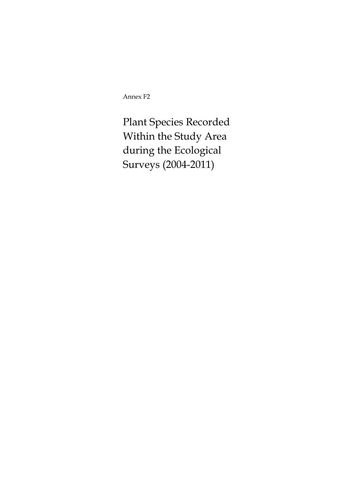Annex F2

Plant Species Recorded Within the Study Area during the Ecological Surveys (2004-2011)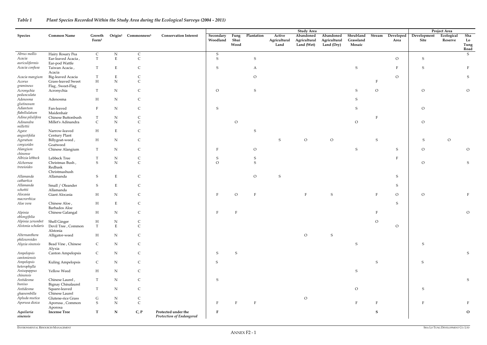# *Table 1 Plant Species Recorded Within the Study Area during the Ecological Surveys (2004 - 2011)*

|                                 |                                              |                             |                          |                                             |                                 |                       |                      |                |                                | <b>Study Area</b>                       |                                         |                                  |              |                   |                     | Project Area          |                           |
|---------------------------------|----------------------------------------------|-----------------------------|--------------------------|---------------------------------------------|---------------------------------|-----------------------|----------------------|----------------|--------------------------------|-----------------------------------------|-----------------------------------------|----------------------------------|--------------|-------------------|---------------------|-----------------------|---------------------------|
| <b>Species</b>                  | <b>Common Name</b>                           | Growth<br>Form <sup>1</sup> |                          | Origin <sup>2</sup> Commonness <sup>3</sup> | <b>Conservation Interest</b>    | Secondary<br>Woodland | Fung<br>Shui<br>Wood | Plantation     | Active<br>Agricultural<br>Land | Abandoned<br>Agricultural<br>Land (Wet) | Abandoned<br>Agricultural<br>Land (Dry) | Shrubland<br>Grassland<br>Mosaic | Stream       | Developed<br>Area | Development<br>Site | Ecological<br>Reserve | Sha<br>Lo<br>Tung<br>Road |
| Abrus mollis                    | Hairy Rosary Pea                             | $\mathsf{C}$                | N                        | $\mathsf C$                                 |                                 | S                     |                      |                |                                |                                         |                                         |                                  |              |                   |                     |                       | S                         |
| Acacia<br>auriculiformis        | Ear-leaved Acacia,<br>Ear-pod Wattle         | T                           | $\mathbf E$              | $\mathsf C$                                 |                                 | S                     |                      | ${\sf S}$      |                                |                                         |                                         |                                  |              | $\overline{O}$    | S                   |                       |                           |
| Acacia confusa                  | Taiwan Acacia,<br>Acacia                     | T                           | $E_{\rm}$                | C                                           |                                 | S                     |                      | A              |                                |                                         |                                         | ${\sf S}$                        |              | $\mathbf{F}$      | S                   |                       |                           |
| Acacia mangium                  | Big-leaved Acacia                            | T                           | $E_{\rm}$                | C                                           |                                 |                       |                      | $\Omega$       |                                |                                         |                                         |                                  |              | $\mathcal{O}$     |                     |                       | S                         |
| Acorus<br>gramineus             | Grass-leaved Sweet<br>Flag, Sweet-Flag       | $\mathbf H$                 | ${\bf N}$                | $\overline{C}$                              |                                 |                       |                      |                |                                |                                         |                                         |                                  |              |                   |                     |                       |                           |
| Acronychia<br>pedunculata       | Acronychia                                   | T                           | $\mathbf N$              | $\mathsf{C}$                                |                                 | $\overline{O}$        |                      | $\,$ S         |                                |                                         |                                         | S                                | $\circ$      |                   | $\circ$             |                       | ${\cal O}$                |
| Adenosma<br>glutinosum          | Adenosma                                     | $H_{\rm}$                   | $\mathbf N$              | C                                           |                                 |                       |                      |                |                                |                                         |                                         | S                                |              |                   |                     |                       |                           |
| Adiantum<br>flabellulatum       | Fan-leaved<br>Maidenhair                     |                             | N                        | $\mathsf{C}$                                |                                 | S                     |                      |                |                                |                                         |                                         | S                                |              |                   | $\circ$             |                       |                           |
| Adina pilulifera                | Chinese Buttonbush                           | $\mathbf T$                 | ${\bf N}$                |                                             |                                 |                       |                      |                |                                |                                         |                                         |                                  | F            |                   |                     |                       |                           |
|                                 |                                              |                             |                          | C                                           |                                 |                       |                      |                |                                |                                         |                                         |                                  |              |                   |                     |                       |                           |
| Adinandra<br>millettii          | Millet's Adinandra                           | $\mathsf{C}$                | ${\bf N}$                | $\mathsf C$                                 |                                 |                       | $\circ$              |                |                                |                                         |                                         | $\circ$                          |              |                   | $\overline{O}$      |                       |                           |
| Agave<br>angustifolia           | Narrow-leaved<br>Century Plant               | H                           | $\mathbf E$              | C                                           |                                 |                       |                      | <sup>S</sup>   |                                |                                         |                                         |                                  |              |                   |                     |                       |                           |
| Ageratum<br>conyzoides          | Billygoat-weed,<br>Goatweed                  | H                           | $\mathbf N$              | C                                           |                                 |                       |                      |                | S                              | $\circ$                                 | $\circ$                                 |                                  | S            |                   | S                   | $\mathcal O$          |                           |
| Alangium<br>chinense            | Chinese Alangium                             | T                           | N                        | $\mathsf C$                                 |                                 | F                     |                      | $\overline{O}$ |                                |                                         |                                         | S                                |              | S                 | $\mathcal{O}$       |                       | $\mathcal O$              |
| Albizia lebbeck                 | Lebbeck Tree                                 |                             | $\mathbf N$              | $\mathsf{C}$                                |                                 | S                     |                      | S              |                                |                                         |                                         |                                  |              | F                 |                     |                       |                           |
| Alchornea<br>trewioides         | Christmas Bush,<br>Redbask<br>Christmashush  | S                           | ${\bf N}$                | $\mathsf{C}$                                |                                 | $\Omega$              |                      | S              |                                |                                         |                                         |                                  |              |                   | $\circ$             |                       | S                         |
| Allamanda<br>cathartica         | Allamanda                                    | ${\mathsf S}$               | ${\bf E}$                | $\mathsf{C}$                                |                                 |                       |                      | $\Omega$       | S                              |                                         |                                         |                                  |              | S                 |                     |                       |                           |
| Allamanda<br>schottii           | Small / Oleander<br>Allamanda                | S                           | $\mathbf E$              | C                                           |                                 |                       |                      |                |                                |                                         |                                         |                                  |              | S                 |                     |                       |                           |
| Alocasia<br>macrorrhiza         | Giant Alocasia                               | H                           | $\mathbf N$              | C                                           |                                 |                       | $\circ$              | $\mathbf{F}$   |                                | $\mathbf{F}$                            | ${\sf S}$                               |                                  |              | $\circ$           | $\overline{O}$      |                       |                           |
| Aloe vera                       | Chinese Aloe,<br>Barbados Aloe               | $H_{\rm}$                   | $E_{\rm}$                | $\mathsf C$                                 |                                 |                       |                      |                |                                |                                         |                                         |                                  |              | S                 |                     |                       |                           |
| Alpinia<br>oblongifolia         | Chinese Galangal                             | H                           | ${\bf N}$                |                                             |                                 |                       |                      |                |                                |                                         |                                         |                                  |              |                   |                     |                       | $\overline{O}$            |
| Alpinia zerumbet                | <b>Shell Ginger</b>                          | $\boldsymbol{\mathrm{H}}$   | ${\bf N}$                |                                             |                                 |                       |                      |                |                                |                                         |                                         |                                  | $\mathcal O$ |                   |                     |                       |                           |
| Alstonia scholaris              | Devil Tree, Common<br>Alstonia               | T                           | ${\bf E}$                | $\mathsf{C}$                                |                                 |                       |                      |                |                                |                                         |                                         |                                  |              | $\rm{O}$          |                     |                       |                           |
| Alternanthera<br>philoxeroides  | Alligator-weed                               | H                           | $\mathbf N$              | C                                           |                                 |                       |                      |                |                                | $\overline{O}$                          | S                                       |                                  |              |                   |                     |                       |                           |
| Alyxia sinensis                 | Bead Vine, Chinese<br>Alyxia                 | $\mathsf{C}$                | ${\bf N}$                | $\mathsf{C}$                                |                                 |                       |                      |                |                                |                                         |                                         | ${\sf S}$                        |              |                   | S                   |                       |                           |
| Ampelopsis<br>cantoniensis      | Canton Ampelopsis                            | $\mathsf{C}$                | $\mathbf N$              | C                                           |                                 | S                     | S                    |                |                                |                                         |                                         |                                  |              |                   |                     |                       | S                         |
| Ampelopsis<br>heterophylla      | Kuling Ampelopsis                            | $\mathsf{C}$                | ${\bf N}$                | $\mathsf C$                                 |                                 | S                     |                      |                |                                |                                         |                                         |                                  | S            |                   | <sub>S</sub>        |                       |                           |
| Anisopappus<br>chinensis        | Yellow Weed                                  | H                           | ${\bf N}$                | C                                           |                                 |                       |                      |                |                                |                                         |                                         | S                                |              |                   |                     |                       |                           |
| Antidesma<br>bunius             | Chinese Laurel,<br><b>Bignay Chinalaurel</b> | $\mathbf T$                 | ${\bf N}$                | $\mathsf C$                                 |                                 | S                     |                      |                |                                |                                         |                                         |                                  |              |                   |                     |                       | ${\sf S}$                 |
| Antidesma<br>ghaesembilla       | Square-leaved<br>Chinese Laurel              | T                           | ${\bf N}$                | $\mathsf C$                                 |                                 |                       |                      |                |                                |                                         |                                         | $\rm{O}$                         |              |                   | S                   |                       |                           |
| Apluda mutica<br>Aporusa dioica | Glutene-rice Grass<br>Aporusa, Common        | ${\mathsf G}$<br>S          | $\mathbf N$<br>${\bf N}$ | $\mathsf{C}$<br>$\mathsf{C}$                |                                 | F                     |                      | $\mathbf{F}$   |                                | $\overline{O}$                          |                                         | F                                | -F           |                   |                     |                       |                           |
|                                 | Aporosa                                      |                             |                          |                                             | Protected under the             |                       |                      |                |                                |                                         |                                         |                                  | <sub>S</sub> |                   |                     |                       | ${\bf O}$                 |
| Aquilaria<br>sinensis           | <b>Incense Tree</b>                          | $\mathbf T$                 | ${\bf N}$                | C, P                                        | <b>Protection of Endangered</b> |                       |                      |                |                                |                                         |                                         |                                  |              |                   |                     |                       |                           |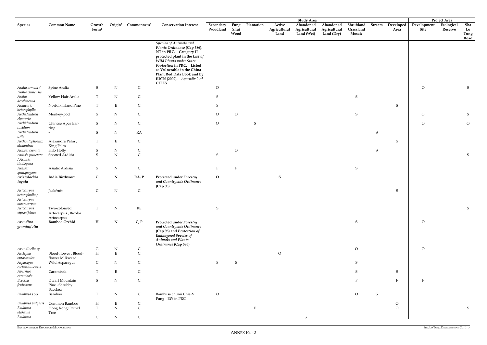|                                                           |                                                   |                             |             |                                             |                                                                                                                                                                                                                                                                                                   |                       |                      |               |                                | <b>Study Area</b>                       |                                         |                                  |        |                   |                     | Project Area          |                           |
|-----------------------------------------------------------|---------------------------------------------------|-----------------------------|-------------|---------------------------------------------|---------------------------------------------------------------------------------------------------------------------------------------------------------------------------------------------------------------------------------------------------------------------------------------------------|-----------------------|----------------------|---------------|--------------------------------|-----------------------------------------|-----------------------------------------|----------------------------------|--------|-------------------|---------------------|-----------------------|---------------------------|
| <b>Species</b>                                            | <b>Common Name</b>                                | Growth<br>Form <sup>1</sup> |             | Origin <sup>2</sup> Commonness <sup>3</sup> | <b>Conservation Interest</b>                                                                                                                                                                                                                                                                      | Secondary<br>Woodland | Fung<br>Shui<br>Wood | Plantation    | Active<br>Agricultural<br>Land | Abandoned<br>Agricultural<br>Land (Wet) | Abandoned<br>Agricultural<br>Land (Dry) | Shrubland<br>Grassland<br>Mosaic | Stream | Developed<br>Area | Development<br>Site | Ecological<br>Reserve | Sha<br>Lo<br>Tung<br>Road |
|                                                           |                                                   |                             |             |                                             | <b>Species of Animals and</b><br>Plants Ordinance (Cap 586).<br>NT in PRC. Category II<br>protected plant in the List of<br>Wild Plants under State<br>Protection in PRC. Listed<br>as Vulnerable in the China<br>Plant Red Data Book and by<br><b>IUCN</b> (2002). Appendix 2 of<br><b>CITES</b> |                       |                      |               |                                |                                         |                                         |                                  |        |                   |                     |                       |                           |
| Aralia armata /<br>Aralia chinensis                       | Spine Aralia                                      | S                           | ${\bf N}$   | $\mathsf{C}$                                |                                                                                                                                                                                                                                                                                                   | $\overline{O}$        |                      |               |                                |                                         |                                         |                                  |        |                   | $\overline{O}$      |                       | S                         |
| Aralia<br>decaisneana                                     | Yellow Hair Aralia                                | T                           | ${\bf N}$   | $\mathsf C$                                 |                                                                                                                                                                                                                                                                                                   | S                     |                      |               |                                |                                         |                                         | ${\mathsf S}$                    |        |                   |                     |                       |                           |
| Araucaria<br>heterophylla                                 | Norfolk Island Pine                               | $\mathbf T$                 | $\mathbf E$ | $\mathsf C$                                 |                                                                                                                                                                                                                                                                                                   | ${\sf S}$             |                      |               |                                |                                         |                                         |                                  |        | S                 |                     |                       |                           |
| Archidendron<br>clypearia                                 | Monkey-pod                                        | S                           | ${\bf N}$   | $\mathsf C$                                 |                                                                                                                                                                                                                                                                                                   | $\mathcal{O}$         | $\overline{O}$       |               |                                |                                         |                                         | ${\mathsf S}$                    |        |                   | $\circ$             |                       | S                         |
| Archidendron<br>lucidum                                   | Chinese Apea Ear-<br>ring                         | S                           | ${\bf N}$   | ${\bf C}$                                   |                                                                                                                                                                                                                                                                                                   | $\mathcal{O}$         |                      | ${\mathsf S}$ |                                |                                         |                                         |                                  |        |                   | $\mathcal O$        |                       | $\overline{O}$            |
| Archidendron<br>utile                                     |                                                   | ${\mathbf S}$               | ${\bf N}$   | RA                                          |                                                                                                                                                                                                                                                                                                   |                       |                      |               |                                |                                         |                                         |                                  | S      |                   |                     |                       |                           |
| Archontophoenix<br>alexandrae                             | Alexandra Palm,<br>King Palm                      | $\mathbf T$                 | $\mathbf E$ | $\mathsf C$                                 |                                                                                                                                                                                                                                                                                                   |                       |                      |               |                                |                                         |                                         |                                  |        | ${\mathsf S}$     |                     |                       |                           |
| Ardisia crenata                                           | Hilo Holly                                        | S                           | ${\bf N}$   | $\mathsf C$                                 |                                                                                                                                                                                                                                                                                                   |                       | $\rm{O}$             |               |                                |                                         |                                         |                                  | S      |                   |                     |                       |                           |
| Ardisia punctata                                          | Spotted Ardisia                                   | ${\mathbf S}$               | ${\bf N}$   | $\mathsf C$                                 |                                                                                                                                                                                                                                                                                                   | ${\sf S}$             |                      |               |                                |                                         |                                         |                                  |        |                   |                     |                       | ${\mathsf S}$             |
| / Ardisia<br>lindleyana                                   |                                                   |                             |             |                                             |                                                                                                                                                                                                                                                                                                   |                       |                      |               |                                |                                         |                                         |                                  |        |                   |                     |                       |                           |
| Ardisia                                                   | Asiatic Ardisia                                   | S                           | ${\bf N}$   | $\mathsf C$                                 |                                                                                                                                                                                                                                                                                                   | F                     | $\mathbf{F}$         |               |                                |                                         |                                         | S                                |        |                   |                     |                       |                           |
| quinquegona<br>Aristolochia<br>tagala                     | India Birthwort                                   | $\mathbf C$                 | ${\bf N}$   | RA, P                                       | <b>Protected under Forestry</b><br>and Countryside Ordinance                                                                                                                                                                                                                                      | $\mathbf{O}$          |                      |               | S                              |                                         |                                         |                                  |        |                   |                     |                       |                           |
| Artocarpus<br>heterophylla /<br>Artocarpus<br>macrocarpon | Jackfruit                                         | $\mathsf{C}$                | ${\bf N}$   | $\mathsf{C}$                                | (Cap 96)                                                                                                                                                                                                                                                                                          |                       |                      |               |                                |                                         |                                         |                                  |        | S                 |                     |                       |                           |
| Artocarpus<br>styracifolius                               | Two-coloured<br>Artocarpus, Bicolor<br>Artocarpus | T                           | ${\bf N}$   | $\mathbf{RE}$                               |                                                                                                                                                                                                                                                                                                   | S                     |                      |               |                                |                                         |                                         |                                  |        |                   |                     |                       | ${\sf S}$                 |
| Arundina<br>graminifolia                                  | Bamboo Orchid                                     | H                           | $\mathbf N$ | C, P                                        | <b>Protected under Forestry</b><br>and Countryside Ordinance<br>(Cap 96) and Protection of<br><b>Endangered Species of</b><br><b>Animals and Plants</b><br>Ordinance (Cap 586)                                                                                                                    |                       |                      |               |                                |                                         |                                         | S                                |        |                   | $\mathbf{O}$        |                       |                           |
| Arundinella sp.                                           |                                                   | $\mathsf G$                 | ${\bf N}$   | $\mathsf{C}$                                |                                                                                                                                                                                                                                                                                                   |                       |                      |               |                                |                                         |                                         | ${\cal O}$                       |        |                   | $\overline{O}$      |                       |                           |
| Asclepias<br>curassavica                                  | Blood-flower, Blood-<br>flower Milkweed           | $\mathbf H$                 | $\mathbf E$ | $\mathsf C$                                 |                                                                                                                                                                                                                                                                                                   |                       |                      |               | $\mathcal{O}$                  |                                         |                                         |                                  |        |                   |                     |                       |                           |
| Asparagus<br>cochinchinensis                              | Wild Asparagus                                    | $\mathsf{C}$                | ${\bf N}$   | $\mathsf C$                                 |                                                                                                                                                                                                                                                                                                   | S                     | ${\mathsf S}$        |               |                                |                                         |                                         | S                                |        |                   |                     |                       |                           |
| Averrhoa<br>carambola                                     | Carambola                                         | T                           | $\mathbf E$ | $\mathsf C$                                 |                                                                                                                                                                                                                                                                                                   |                       |                      |               |                                |                                         |                                         | S                                |        | S                 |                     |                       |                           |
| Baeckea<br>frutescens                                     | Dwarf Mountain<br>Pine, Shrubby<br>Baeckea        | S                           | ${\bf N}$   | ${\bf C}$                                   |                                                                                                                                                                                                                                                                                                   |                       |                      |               |                                |                                         |                                         | E                                |        | $\mathbf{F}$      | $\mathbf F$         |                       |                           |
| Bambusa spp.                                              | Bamboo                                            | $\mathbf T$                 | ${\rm N}$   | $\mathsf{C}$                                | Bambusa chunii Chia &<br>Fung - EW in PRC                                                                                                                                                                                                                                                         | $\circ$               |                      |               |                                |                                         |                                         | $\mathcal{O}$                    | S      |                   |                     |                       |                           |
| Bambusa vulgaris                                          | Common Bamboo                                     | H                           | $\mathbf E$ | $\mathsf{C}$                                |                                                                                                                                                                                                                                                                                                   |                       |                      |               |                                |                                         |                                         |                                  |        | $\rm{O}$          |                     |                       |                           |
| Bauhinia<br>blakeana                                      | Hong Kong Orchid<br>Tree                          | $\mathbf T$                 | ${\bf N}$   | $\mathsf C$                                 |                                                                                                                                                                                                                                                                                                   |                       |                      |               |                                |                                         |                                         |                                  |        | $\circ$           |                     |                       | ${\sf S}$                 |
| Bauhinia                                                  |                                                   | $\mathsf{C}$                | ${\bf N}$   | ${\bf C}$                                   |                                                                                                                                                                                                                                                                                                   |                       |                      |               |                                | ${\mathsf S}$                           |                                         |                                  |        |                   |                     |                       |                           |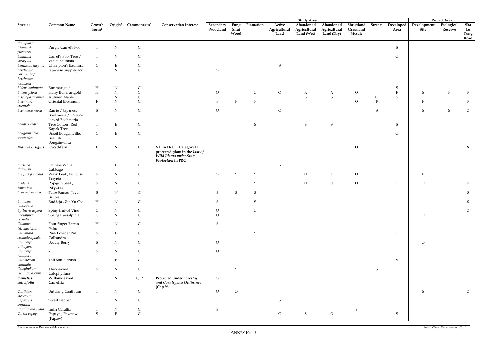ENVIRONMENTAL RESOURCES MANAGEMENT

|                                                    |                                                            |                             |                          |                                             |                                                                                                          |                       |                      |               |                                | <b>Study Area</b>                       |                                         |                                  |          |                          |                     | Project Area          |                           |
|----------------------------------------------------|------------------------------------------------------------|-----------------------------|--------------------------|---------------------------------------------|----------------------------------------------------------------------------------------------------------|-----------------------|----------------------|---------------|--------------------------------|-----------------------------------------|-----------------------------------------|----------------------------------|----------|--------------------------|---------------------|-----------------------|---------------------------|
| <b>Species</b>                                     | <b>Common Name</b>                                         | Growth<br>Form <sup>1</sup> |                          | Origin <sup>2</sup> Commonness <sup>3</sup> | <b>Conservation Interest</b>                                                                             | Secondary<br>Woodland | Fung<br>Shui<br>Wood | Plantation    | Active<br>Agricultural<br>Land | Abandoned<br>Agricultural<br>Land (Wet) | Abandoned<br>Agricultural<br>Land (Dry) | Shrubland<br>Grassland<br>Mosaic | Stream   | <b>Developed</b><br>Area | Development<br>Site | Ecological<br>Reserve | Sha<br>Lo<br>Tung<br>Road |
| championii                                         |                                                            |                             |                          |                                             |                                                                                                          |                       |                      |               |                                |                                         |                                         |                                  |          |                          |                     |                       |                           |
| Bauhinia<br>purpurea                               | Purple Camel's Foot                                        | T                           | $\mathbf N$              | $\mathsf{C}$                                |                                                                                                          |                       |                      |               |                                |                                         |                                         |                                  |          | $S_{\mathcal{L}}$        |                     |                       |                           |
| Bauhinia<br>variegata                              | Camel's Foot Tree /<br>White Bauhinia                      | T                           | ${\bf N}$                | C                                           |                                                                                                          |                       |                      |               |                                |                                         |                                         |                                  |          | $\circ$                  |                     |                       |                           |
| Benincasa hispida                                  | Champion's Bauhinia                                        | $\mathsf{C}$                | E                        | C                                           |                                                                                                          |                       |                      |               | S                              |                                         |                                         |                                  |          |                          |                     |                       |                           |
| Berchemia<br>floribunda /<br>Berchemia<br>racemosa | Japanese Supple-jack                                       | $\mathsf C$                 | ${\bf N}$                | $\mathsf{C}$                                |                                                                                                          | S                     |                      |               |                                |                                         |                                         |                                  |          |                          |                     |                       |                           |
| Bidens bipinnata                                   | Bur-marigold                                               | H                           | ${\bf N}$                | C                                           |                                                                                                          |                       |                      |               |                                |                                         |                                         |                                  |          | $\mathsf S$              |                     |                       |                           |
| Bidens pilosa                                      | Hairy Bur-marigold                                         | $\boldsymbol{\mathrm{H}}$   | ${\bf N}$                | $\mathsf{C}$                                |                                                                                                          | $\overline{O}$        |                      | $\circ$       | $\overline{O}$                 | A                                       | A                                       | $\mathcal{O}$                    |          | ${\bf F}$                | S                   |                       |                           |
| Bischofia javanica                                 | Autumn Maple                                               | T                           | ${\bf N}$                | $\mathsf{C}$                                |                                                                                                          |                       |                      |               |                                | ${\sf S}$                               | $\mathbf S$                             |                                  | $\circ$  | ${\mathbf S}$            |                     |                       | $\circ$                   |
| Blechnum                                           | Oriental Blechnum                                          | F                           | N                        | $\overline{C}$                              |                                                                                                          |                       |                      | E             |                                |                                         |                                         | $\overline{O}$                   | $\Gamma$ |                          | F                   |                       |                           |
| orientale                                          |                                                            |                             |                          |                                             |                                                                                                          |                       |                      |               |                                |                                         |                                         |                                  |          |                          |                     |                       |                           |
| Boehmeria nivea                                    | Ramie / Japanese<br>Boehmeria / Virid-<br>leaved Boehmeria | ${\mathsf S}$               | ${\bf N}$                | $\mathsf C$                                 |                                                                                                          | $\overline{O}$        |                      |               | $\circ$                        |                                         |                                         |                                  | S        |                          | S                   | $\mathsf S$           | $\circ$                   |
| Bombax ceiba                                       | Tree Cotton, Red                                           | T                           | E                        | C                                           |                                                                                                          |                       |                      | ${\mathsf S}$ |                                | S                                       | S                                       |                                  |          | S                        |                     |                       |                           |
| Bougainvillea<br>spectabilis                       | Kapok Tree<br>Brazil Bougainvillea,<br>Beautiful           | $\mathsf{C}$                | $\mathbf E$              | $\mathsf C$                                 |                                                                                                          |                       |                      |               |                                |                                         |                                         |                                  |          | $\overline{O}$           |                     |                       |                           |
|                                                    | Bongainvillea                                              |                             |                          |                                             |                                                                                                          |                       |                      |               |                                |                                         |                                         |                                  |          |                          |                     |                       |                           |
| Brainea insignis                                   | Cycad-fern                                                 | $\mathbf{F}$                | ${\bf N}$                | $\mathsf{C}$                                | VU in PRC. Category II<br>protected plant in the List of<br>Wild Plants under State<br>Protection in PRC |                       |                      |               |                                |                                         |                                         | $\mathbf{O}$                     |          |                          |                     |                       | S                         |
| <b>Brassica</b><br>chinensis                       | Chinese White<br>Cabbage                                   | H                           | E                        | C                                           |                                                                                                          |                       |                      |               | S                              |                                         |                                         |                                  |          |                          |                     |                       |                           |
| Breynia fruticosa                                  | Waxy Leaf , Fruitclse<br>Breynia                           | S                           | $\mathbf N$              | $\mathsf{C}$                                |                                                                                                          | S                     | S                    | ${\mathsf S}$ |                                | $\circ$                                 | $\, {\rm F}$                            | $\rm O$                          |          |                          |                     |                       |                           |
| <b>Bridelia</b><br>tomentosa                       | Pop-gun Seed,<br>Pikpoktai                                 | S                           | $\mathbf N$              | C                                           |                                                                                                          |                       |                      | S             |                                | $\circ$                                 | $\rm{O}$                                | $\rm O$                          |          | $\circ$                  | $\overline{O}$      |                       |                           |
| Brucea javanica                                    | False Sumac, Java<br>Brucea                                | S                           | ${\bf N}$                | C                                           |                                                                                                          | S                     | S                    | S             |                                |                                         |                                         |                                  |          |                          |                     |                       | S                         |
| Buddleja<br>lindleyana                             | Buddeja, Zui Yu Cao                                        | H                           | $\mathbf N$              |                                             |                                                                                                          | S                     |                      |               |                                |                                         |                                         |                                  |          |                          |                     |                       | S                         |
| Byttneria aspera                                   | Spiny-fruited Vine                                         | $\mathsf{C}$                | ${\bf N}$                |                                             |                                                                                                          | $\overline{O}$        |                      | $\rm{O}$      |                                |                                         |                                         |                                  |          |                          |                     |                       | $\circ$                   |
| Caesalpinia<br>vernalis<br>Calamus                 | Spring Caesalpinia                                         | $\mathsf C$                 | ${\rm N}$                | $\overline{C}$<br>$\mathsf{C}$              |                                                                                                          | $\overline{O}$        |                      |               |                                |                                         |                                         |                                  |          |                          | $\circ$             |                       |                           |
| tetradactylus<br>Calliandra                        | Four-finger Rattan<br>Palm<br>Pink Powder Puff,            | H<br>${\bf S}$              | ${\bf N}$<br>$\mathbf E$ | $\mathsf C$                                 |                                                                                                          | ${\sf S}$             |                      | ${\mathsf S}$ |                                |                                         |                                         |                                  |          | $\overline{O}$           |                     |                       |                           |
| haematocephala<br>Callicarpa                       | Calliandra<br><b>Beauty Berry</b>                          | S                           | ${\bf N}$                | $\mathsf{C}$                                |                                                                                                          | $\overline{O}$        |                      |               |                                |                                         |                                         |                                  |          |                          | $\circ$             |                       |                           |
| cathayana<br>Callicarpa                            | $\overline{\phantom{a}}$                                   | S                           | $\mathbf N$              | $\mathsf{C}$                                |                                                                                                          | $\overline{O}$        |                      |               |                                |                                         |                                         |                                  |          |                          |                     |                       |                           |
| nudiflora<br>Callistemon                           | Tall Bottle-brush                                          | $\mathbf T$                 | $\mathbf E$              | C                                           |                                                                                                          |                       |                      |               |                                |                                         |                                         |                                  |          | $S_{\mathcal{L}}$        |                     |                       |                           |
| viminalis<br>Calophyllum<br>membranaceum           | Thin-leaved                                                | S                           | ${\bf N}$                | C                                           |                                                                                                          |                       | S                    |               |                                |                                         |                                         |                                  | S        |                          |                     |                       |                           |
| Camellia<br>salicifolia                            | Calophyllum<br>Willow-leaved<br>Camellia                   | $\mathbf T$                 | ${\bf N}$                | C, P                                        | <b>Protected under Forestry</b><br>and Countryside Ordinance<br>(Cap 96)                                 | $\mathbf S$           |                      |               |                                |                                         |                                         |                                  |          |                          |                     |                       |                           |
| Canthium<br>dicoccum                               | <b>Butulang Canthium</b>                                   | $\mathbf T$                 | ${\bf N}$                | $\mathsf{C}$                                |                                                                                                          | $\circ$               | $\circ$              |               |                                |                                         |                                         |                                  |          |                          | ${\mathsf S}$       |                       | $\overline{O}$            |
| Capsicum<br>annuum                                 | <b>Sweet Pepper</b>                                        | H                           | ${\bf N}$                | $\mathsf{C}$                                |                                                                                                          |                       |                      |               | S                              |                                         |                                         |                                  |          |                          |                     |                       |                           |
| Carallia brachiata                                 | India Carallia                                             | $\mathbf T$                 | ${\bf N}$                | $\mathsf C$                                 |                                                                                                          | S                     |                      |               |                                |                                         |                                         | ${\sf S}$                        |          |                          |                     |                       |                           |
| Carica papaya                                      | Papaya, Pawpaw<br>(Papaw)                                  | ${\mathsf S}$               | $\mathbf E$              | $\mathsf C$                                 |                                                                                                          |                       |                      |               | $\overline{O}$                 | ${\mathsf S}$                           | $\circ$                                 |                                  |          | $S_{\mathcal{S}}$        |                     |                       |                           |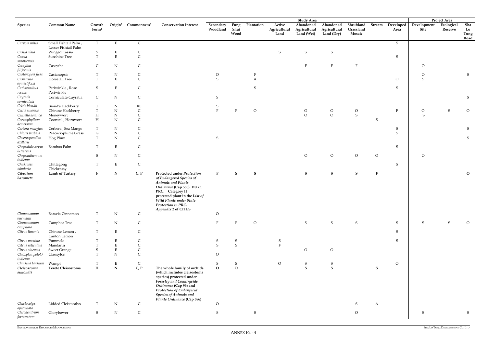|                                          |                                              |                             |                 |                                             |                                                                                                                                                                                                                                                 |                       |                      |                |                                | <b>Study Area</b>                       |                                         |                                  |                |                   |                     | Project Area          |                           |
|------------------------------------------|----------------------------------------------|-----------------------------|-----------------|---------------------------------------------|-------------------------------------------------------------------------------------------------------------------------------------------------------------------------------------------------------------------------------------------------|-----------------------|----------------------|----------------|--------------------------------|-----------------------------------------|-----------------------------------------|----------------------------------|----------------|-------------------|---------------------|-----------------------|---------------------------|
| <b>Species</b>                           | <b>Common Name</b>                           | Growth<br>Form <sup>1</sup> |                 | Origin <sup>2</sup> Commonness <sup>3</sup> | <b>Conservation Interest</b>                                                                                                                                                                                                                    | Secondary<br>Woodland | Fung<br>Shui<br>Wood | Plantation     | Active<br>Agricultural<br>Land | Abandoned<br>Agricultural<br>Land (Wet) | Abandoned<br>Agricultural<br>Land (Dry) | Shrubland<br>Grassland<br>Mosaic | Stream         | Developed<br>Area | Development<br>Site | Ecological<br>Reserve | Sha<br>Lo<br>Tung<br>Road |
| Caryota mitis                            | Small Fishtail Palm,<br>Lesser Fishtail Palm | T                           | E               | $\mathsf{C}$                                |                                                                                                                                                                                                                                                 |                       |                      |                |                                |                                         |                                         |                                  |                | $S_{\text{}}$     |                     |                       |                           |
| Cassia alata                             | <b>Winged Cassia</b>                         | $\mathbf S$                 | Ε               | C                                           |                                                                                                                                                                                                                                                 |                       |                      |                | S                              | ${\mathsf S}$                           | ${\mathsf S}$                           |                                  |                |                   |                     |                       |                           |
| Cassia                                   | Sunshine Tree                                | T                           | $\mathbf E$     | $\mathsf{C}$                                |                                                                                                                                                                                                                                                 |                       |                      |                |                                |                                         |                                         |                                  |                | ${\mathsf S}$     |                     |                       |                           |
| surattensis                              |                                              |                             |                 |                                             |                                                                                                                                                                                                                                                 |                       |                      |                |                                |                                         |                                         |                                  |                |                   |                     |                       |                           |
| Cassytha<br>filiformis                   | Cassytha                                     | $\mathsf C$                 | ${\rm N}$       | $\mathsf C$                                 |                                                                                                                                                                                                                                                 |                       |                      |                |                                | $\mathbf F$                             | $\rm F$                                 | $\mathbf{F}$                     |                |                   | $\overline{O}$      |                       |                           |
| Castanopsis fissa                        | Castanopsis                                  |                             | ${\bf N}$       | $\mathsf{C}$                                |                                                                                                                                                                                                                                                 | $\overline{O}$        |                      |                |                                |                                         |                                         |                                  |                |                   | $\circ$             |                       | S                         |
| Casuarina                                | Horsetail Tree                               | T                           | $\mathbf E$     | $\mathsf{C}$                                |                                                                                                                                                                                                                                                 | S                     |                      | $\overline{A}$ |                                |                                         |                                         |                                  |                | $\circ$           | ${\mathsf S}$       |                       |                           |
| equisetifolia<br>Catharanthus            | Periwinkle, Rose                             | S                           | $\mathbf E$     | $\mathsf C$                                 |                                                                                                                                                                                                                                                 |                       |                      | ${\mathsf S}$  |                                |                                         |                                         |                                  |                |                   |                     |                       |                           |
| roseus                                   | Periwinkle                                   |                             |                 |                                             |                                                                                                                                                                                                                                                 |                       |                      |                |                                |                                         |                                         |                                  |                | S                 |                     |                       |                           |
| Cayratia                                 | Corniculate Cayratia                         | $\mathsf{C}$                | ${\rm N}$       | $\mathsf C$                                 |                                                                                                                                                                                                                                                 | S                     |                      |                |                                |                                         |                                         |                                  |                |                   |                     |                       | S                         |
| corniculata                              |                                              |                             |                 |                                             |                                                                                                                                                                                                                                                 |                       |                      |                |                                |                                         |                                         |                                  |                |                   |                     |                       |                           |
| Celtis biondii                           | Biond's Hackberry                            | Т                           | ${\bf N}$       | $\mathbf{RE}$                               |                                                                                                                                                                                                                                                 | S                     |                      |                |                                |                                         |                                         |                                  |                |                   |                     |                       |                           |
| Celtis sinensis                          | Chinese Hackberry                            | $\mathbf T$                 | ${\rm N}$       | $\mathsf C$                                 |                                                                                                                                                                                                                                                 | $\rm F$               |                      | $\circ$        |                                | $\mathcal O$                            | $\circ$                                 | $\circ$                          |                | F                 | $\circ$             | $S_{\text{}}$         | $\mathcal O$              |
| Centella asiatica                        | Moneywort                                    | $\boldsymbol{\mathrm{H}}$   | ${\rm N}$       | $\mathsf{C}$                                |                                                                                                                                                                                                                                                 |                       |                      |                |                                | $\mathcal O$                            | $\circ$                                 | ${\mathsf S}$                    |                |                   | S                   |                       |                           |
| Ceratophyllum                            | Coontail, Hornwort                           | H                           | ${\bf N}$       | $\mathsf{C}$                                |                                                                                                                                                                                                                                                 |                       |                      |                |                                |                                         |                                         |                                  | S              |                   |                     |                       |                           |
| demersum                                 |                                              |                             |                 |                                             |                                                                                                                                                                                                                                                 |                       |                      |                |                                |                                         |                                         |                                  |                |                   |                     |                       |                           |
| Cerbera manghas                          | Cerbera, Sea Mango                           | T                           | ${\bf N}$       | C                                           |                                                                                                                                                                                                                                                 |                       |                      |                |                                |                                         |                                         |                                  |                | $S_{\text{}}$     |                     |                       | S                         |
| Chloris barbata                          | Peacock-plume Grass                          | $\mathsf G$                 | ${\bf N}$       | $\mathsf{C}$                                |                                                                                                                                                                                                                                                 |                       |                      |                |                                |                                         |                                         |                                  |                | ${\mathbf S}$     |                     |                       |                           |
| Choerospondias<br>axillaris              | Hog Plum                                     | T                           | ${\bf N}$       | $\overline{C}$                              |                                                                                                                                                                                                                                                 | S                     |                      |                |                                |                                         |                                         |                                  |                |                   |                     |                       | S                         |
| Chrysalidocarpus<br>lutescens            | Bamboo Palm                                  | T                           | $\mathbf E$     | $\mathsf{C}$                                |                                                                                                                                                                                                                                                 |                       |                      |                |                                |                                         |                                         |                                  |                | S                 |                     |                       |                           |
| Chrysanthemum<br>indicum                 |                                              | S                           | ${\bf N}$       | $\mathsf C$                                 |                                                                                                                                                                                                                                                 |                       |                      |                |                                | $\rm{O}$                                | $\circ$                                 | $\overline{O}$                   | $\overline{O}$ |                   | $\overline{O}$      |                       |                           |
| Chukrasia<br>tabularia                   | Chittagong<br>Chickrassy                     | T                           | $\mathbf E$     | $\mathsf C$                                 |                                                                                                                                                                                                                                                 |                       |                      |                |                                |                                         |                                         |                                  |                | S                 |                     |                       |                           |
| Cibotium<br>barometz                     | Lamb of Tartary                              | $\mathbf{F}$                | ${\bf N}$       | C, P                                        | Protected under Protection<br>of Endangered Species of<br><b>Animals and Plants</b><br>Ordinance (Cap 586). VU in<br>PRC. Category II<br>protected plant in the List of<br>Wild Plants under State<br>Protection in PRC.<br>Appendix 2 of CITES | $\mathbf{F}$          | S                    | $\mathbf S$    |                                | $\mathbf S$                             | $\mathbf{s}$                            | S                                | $\mathbf{F}$   |                   |                     |                       | $\mathbf O$               |
| Cinnamomum                               | Batavia Cinnamon                             | T                           | ${\bf N}$       | $\mathsf{C}$                                |                                                                                                                                                                                                                                                 | $\overline{O}$        |                      |                |                                |                                         |                                         |                                  |                |                   |                     |                       |                           |
| burmanii<br>Cinnamomum                   | Camphor Tree                                 | T                           | ${\bf N}$       | $\mathsf C$                                 |                                                                                                                                                                                                                                                 | $\mathbf{F}$          | F                    | $\overline{O}$ |                                | S                                       | S                                       | S                                |                | $S_{\mathcal{L}}$ | S                   | S                     | $\circ$                   |
| camphora                                 |                                              |                             |                 |                                             |                                                                                                                                                                                                                                                 |                       |                      |                |                                |                                         |                                         |                                  |                |                   |                     |                       |                           |
| Citrus limonia                           | Chinese Lemon,<br>Canton Lemon               | T                           | $\mathbf E$     | $\mathsf C$                                 |                                                                                                                                                                                                                                                 |                       |                      |                |                                |                                         |                                         |                                  |                | $S_{\mathcal{L}}$ |                     |                       |                           |
| Citrus maxima                            | Pummelo                                      |                             | ${\bf E}$       | $\mathsf C$                                 |                                                                                                                                                                                                                                                 | S                     | S                    |                | S                              |                                         |                                         |                                  |                | ${\mathsf S}$     |                     |                       |                           |
| Citrus reticulata                        | Mandarin                                     |                             | ${\bf E}$       | $\mathsf C$                                 |                                                                                                                                                                                                                                                 | ${\sf S}$             | ${\mathsf S}$        |                | $\Gamma$                       |                                         |                                         |                                  |                |                   |                     |                       |                           |
| Citrus sinensis                          | <b>Sweet Orange</b>                          | $\mathbf S$                 | ${\bf E}$       | $\mathsf C$                                 |                                                                                                                                                                                                                                                 |                       |                      |                |                                | ${\cal O}$                              | $\mathcal O$                            |                                  |                |                   |                     |                       |                           |
| Claoxylon polot /<br>indicum             | Claoxylon                                    | T                           | ${\bf N}$       | $\mathsf C$                                 |                                                                                                                                                                                                                                                 | $\overline{O}$        |                      |                |                                |                                         |                                         |                                  |                |                   |                     |                       |                           |
| Clausena lansium                         | Wampi                                        |                             | $E_{\parallel}$ | $\mathsf C$                                 |                                                                                                                                                                                                                                                 | S                     | S                    |                | $\overline{O}$                 | S                                       | S                                       |                                  |                | $\mathcal{O}$     |                     |                       |                           |
| Cleisostoma                              | Terete Cleisostoma                           | $\bf H$                     | ${\bf N}$       | C, P                                        | The whole family of orchids                                                                                                                                                                                                                     | $\mathbf{O}$          | $\mathbf{o}$         |                |                                | ${\bf S}$                               | ${\bf S}$                               |                                  | S              |                   |                     |                       |                           |
| simondii                                 |                                              |                             |                 |                                             | (which includes cleisostoma<br>species) protected under<br><b>Forestry and Countryside</b><br>Ordinance (Cap 96) and<br>Protection of Endangered<br><b>Species of Animals and</b><br>Plants Ordinance (Cap 586)                                 |                       |                      |                |                                |                                         |                                         |                                  |                |                   |                     |                       |                           |
| Cleistocalyx                             | Lidded Cleistocalyx                          | T                           | ${\bf N}$       | $\mathsf{C}$                                |                                                                                                                                                                                                                                                 | $\overline{O}$        |                      |                |                                |                                         |                                         | S                                | A              |                   |                     |                       |                           |
| operculata<br>Clerodendrum<br>fortunatum | Glorybower                                   | S                           | ${\bf N}$       | $\mathsf C$                                 |                                                                                                                                                                                                                                                 | S                     |                      | S              |                                |                                         |                                         | $\overline{O}$                   |                |                   | S                   |                       | S                         |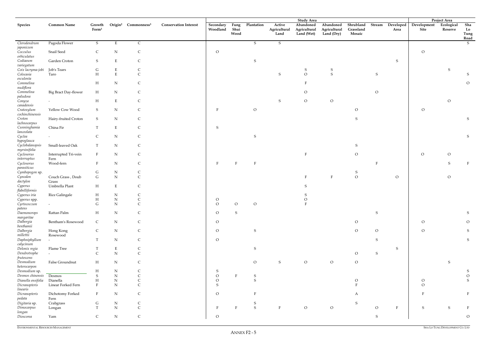|                               |                            |                             |             |                                             |                              |                       |                      |                |                                | <b>Study Area</b>                       |                                         |                                  |         |                   |                     | Project Area          |                           |
|-------------------------------|----------------------------|-----------------------------|-------------|---------------------------------------------|------------------------------|-----------------------|----------------------|----------------|--------------------------------|-----------------------------------------|-----------------------------------------|----------------------------------|---------|-------------------|---------------------|-----------------------|---------------------------|
| <b>Species</b>                | <b>Common Name</b>         | Growth<br>Form <sup>1</sup> |             | Origin <sup>2</sup> Commonness <sup>3</sup> | <b>Conservation Interest</b> | Secondary<br>Woodland | Fung<br>Shui<br>Wood | Plantation     | Active<br>Agricultural<br>Land | Abandoned<br>Agricultural<br>Land (Wet) | Abandoned<br>Agricultural<br>Land (Dry) | Shrubland<br>Grassland<br>Mosaic | Stream  | Developed<br>Area | Development<br>Site | Ecological<br>Reserve | Sha<br>Lo<br>Tung<br>Road |
| Clerodendrum<br>japonicum     | Pagoda Flower              | S                           | E           | $\mathsf{C}$                                |                              |                       |                      | S              | S                              |                                         |                                         |                                  |         |                   |                     |                       | S                         |
| Cocculus<br>orbiculatus       | Snail Seed                 | C                           | ${\bf N}$   | C                                           |                              | $\overline{O}$        |                      |                |                                |                                         |                                         |                                  |         |                   | $\circ$             |                       |                           |
| Codiaeum<br>variegatum        | Garden Croton              | S                           | $\mathbf E$ | C                                           |                              |                       |                      | S              |                                |                                         |                                         |                                  |         | S                 |                     |                       |                           |
| Coix lacryma-jobi             | Job's Tears                | G                           | Ε           | C                                           |                              |                       |                      |                |                                | S                                       | S                                       |                                  |         |                   |                     | S                     |                           |
| Colocasia                     | Taro                       | H                           | ${\bf E}$   | $\mathsf C$                                 |                              |                       |                      |                | S                              | $\overline{O}$                          | $\,$ S                                  |                                  | S       |                   |                     |                       | S                         |
| $\it esculent a$              |                            |                             |             |                                             |                              |                       |                      |                |                                | $\mathbf{E}$                            |                                         |                                  |         |                   |                     |                       |                           |
| Commelina<br>nudiflora        |                            | H                           | ${\rm N}$   | C                                           |                              |                       |                      |                |                                |                                         |                                         |                                  |         |                   |                     |                       | ${\cal O}$                |
| Commelina<br>paludosa         | Big Bract Day-flower       | H                           | $N_{\rm}$   | C                                           |                              |                       |                      |                |                                | $\circ$                                 |                                         |                                  | $\circ$ |                   |                     |                       |                           |
| Conyza<br>canadensis          |                            | H                           | $\mathbf E$ | C                                           |                              |                       |                      |                | S                              | $\mathcal O$                            | $\mathcal O$                            |                                  |         |                   |                     | $\overline{O}$        |                           |
| Cratoxylum<br>cochinchinensis | Yellow Cow Wood            | S                           | $\mathbf N$ | C                                           |                              | F                     |                      | $\circ$        |                                |                                         |                                         | $\circ$                          |         |                   | $\circ$             |                       |                           |
| Croton<br>lachnocarpus        | Hairy-fruited Croton       | S                           | $\mathbf N$ | C                                           |                              |                       |                      |                |                                |                                         |                                         | S                                |         |                   |                     |                       | S                         |
| Cunninghamia<br>lanceolata    | China Fir                  | T                           | $\mathbf E$ | $\mathsf{C}$                                |                              | S                     |                      |                |                                |                                         |                                         |                                  |         |                   |                     |                       |                           |
| Cyclea                        |                            | $\mathsf{C}$                | ${\bf N}$   | C                                           |                              |                       |                      | S              |                                |                                         |                                         |                                  |         |                   |                     |                       | ${\mathsf S}$             |
| hypoglauca<br>Cyclobalanopsis | Small-leaved Oak           | T                           | $N_{\rm}$   | C                                           |                              |                       |                      |                |                                |                                         |                                         | S                                |         |                   |                     |                       |                           |
| myrsinifolia<br>Cyclosorus    | Interrupted Tri-vein       | $\mathbf{F}$                | $\mathbf N$ | C                                           |                              |                       |                      |                |                                | $\mathbf{E}$                            |                                         | $\circ$                          |         |                   | $\circ$             | $\overline{O}$        |                           |
| interruptus<br>Cyclosorus     | Fern<br>Wood-fern          | $\mathbf F$                 | ${\bf N}$   | $\mathsf{C}$                                |                              |                       |                      |                |                                |                                         |                                         |                                  |         |                   |                     | S                     |                           |
| parasiticus                   |                            |                             |             |                                             |                              |                       |                      |                |                                |                                         |                                         |                                  |         |                   |                     |                       |                           |
| Cymbopogon sp.                |                            | G                           | ${\bf N}$   | C                                           |                              |                       |                      |                |                                |                                         |                                         | S                                |         |                   |                     |                       |                           |
| Cynodon<br>dactylon           | Couch Grass, Doub<br>Grass | $\mathsf G$                 | ${\bf N}$   | $\mathcal{C}$                               |                              |                       |                      |                |                                |                                         | $\mathbf{F}$                            | $\rm{O}$                         |         | $\overline{O}$    |                     | $\overline{O}$        |                           |
| Cyperus<br>flabelliformis     | Umbrella Plant             | H                           | E           | C                                           |                              |                       |                      |                |                                | S                                       |                                         |                                  |         |                   |                     |                       |                           |
| Cyperus iria                  | <b>Rice Galingale</b>      | H                           | ${\bf N}$   | C                                           |                              |                       |                      |                |                                |                                         |                                         |                                  |         |                   |                     |                       |                           |
| Cyperus spp.                  |                            | H                           | ${\bf N}$   | $\mathsf{C}$                                |                              | $\overline{O}$        |                      |                |                                | $\Omega$                                |                                         |                                  |         |                   |                     |                       |                           |
| Cyrtococcum                   | $\overline{\phantom{a}}$   | G                           | ${\rm N}$   |                                             |                              | $\circ$               | $\Omega$             | $\overline{O}$ |                                |                                         |                                         |                                  |         |                   |                     |                       |                           |
| patens                        |                            |                             |             |                                             |                              |                       |                      |                |                                |                                         |                                         |                                  |         |                   |                     |                       |                           |
| Daemonorops<br>margaritae     | Rattan Palm                | H                           | N           | $\mathsf{C}$                                |                              | $\overline{O}$        | S                    |                |                                |                                         |                                         |                                  | S       |                   |                     |                       | S                         |
| Dalbergia<br>benthamii        | Bentham's Rosewood         | $\mathsf{C}$                | N           | C                                           |                              | $\circ$               |                      |                |                                |                                         |                                         | $\overline{O}$                   |         |                   | $\overline{O}$      |                       | $\circ$                   |
| Dalbergia<br>millettii        | Hong Kong<br>Rosewood      | $\mathsf{C}$                | ${\bf N}$   | $\mathsf C$                                 |                              | $\circ$               |                      | S              |                                |                                         |                                         | $\rm{O}$                         | $\circ$ |                   | $\overline{O}$      |                       | ${\sf S}$                 |
| Daphniphyllum<br>calycinum    |                            | T                           | ${\bf N}$   | $\mathsf{C}$                                |                              | $\overline{O}$        |                      |                |                                |                                         |                                         |                                  | S       |                   |                     |                       | S                         |
| Delonix regia                 | Flame Tree                 |                             | E           | C                                           |                              |                       |                      | ${\sf S}$      |                                |                                         |                                         |                                  |         | S                 |                     |                       |                           |
| Dendrotrophe<br>frutescens    |                            | $\mathsf{C}$                | ${\bf N}$   | $\mathsf C$                                 |                              |                       |                      |                |                                |                                         |                                         | $\overline{O}$                   | S       |                   |                     |                       |                           |
| Desmodium<br>heterocarpon     | False Groundnut            | H                           | N           | $\mathsf{C}$                                |                              |                       |                      | $\circ$        | S                              | $\circ$                                 | $\overline{O}$                          | $\mathcal{O}$                    |         |                   |                     | S                     |                           |
| Desmodium sp.                 |                            | $H_{\rm}$                   | ${\bf N}$   |                                             |                              | S                     |                      |                |                                |                                         |                                         |                                  |         |                   |                     |                       | S.                        |
| Desmos chinensis              | Desmos                     | S                           | ${\bf N}$   |                                             |                              | $\circ$               |                      | S              |                                |                                         |                                         |                                  |         |                   |                     |                       |                           |
| Dianella ensifolia            | Dianella                   | H                           | ${\bf N}$   | $\mathsf{C}$                                |                              | $\overline{O}$        |                      | S              |                                |                                         |                                         | $\circ$                          |         |                   | $\Omega$            |                       | S                         |
| Dicranopteris                 | Linear Forked Fern         | $\mathbf{F}$                | ${\bf N}$   |                                             |                              | <sup>S</sup>          |                      |                |                                |                                         |                                         |                                  |         |                   | $\Omega$            |                       |                           |
| <i>linearis</i>               |                            |                             |             |                                             |                              |                       |                      |                |                                |                                         |                                         |                                  |         |                   |                     |                       |                           |
| Dicranopteris<br>pedata       | Dichotomy Forked<br>Fern   | $\mathbf{F}$                | ${\rm N}$   | $\mathsf C$                                 |                              | $\circ$               |                      |                |                                |                                         |                                         | A                                |         |                   |                     |                       |                           |
| Digitaria sp.                 | Crabgrass                  | G                           | ${\bf N}$   | $\mathsf{C}$                                |                              |                       |                      | S              |                                |                                         |                                         | S                                |         |                   |                     |                       |                           |
| Dimocarpus                    | Longan                     | T                           | ${\bf N}$   | $\mathsf C$                                 |                              | $\mathbf{F}$          | E                    | S              | F                              | $\circ$                                 | $\overline{O}$                          |                                  | $\circ$ | $\mathbf{F}$      | S                   | S                     | F                         |
| longan<br>Dioscorea           | Yam                        | $\mathsf{C}$                | N           | $\mathsf C$                                 |                              | $\overline{O}$        |                      |                |                                |                                         |                                         |                                  | S       |                   |                     |                       | $\mathcal{O}$             |
|                               |                            |                             |             |                                             |                              |                       |                      |                |                                |                                         |                                         |                                  |         |                   |                     |                       |                           |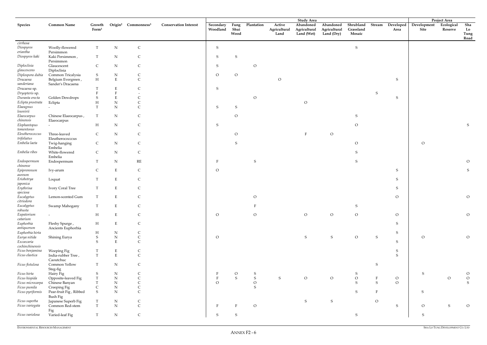| Shrubland<br><b>Common Name</b><br>Origin <sup>2</sup> Commonness <sup>3</sup><br><b>Conservation Interest</b><br>Plantation<br>Active<br>Abandoned<br>Abandoned<br>Stream<br>Developed<br>Development<br>Ecological<br>Sha<br>Species<br>Growth<br>Secondary<br>Fung<br>$\mathbf{Form}^1$<br>Woodland<br>Shui<br>Agricultural<br>Grassland<br>Lo<br>Agricultural<br>Agricultural<br>Site<br>Reserve<br>Area<br>Wood<br>Land (Wet)<br>Mosaic<br>Land (Dry)<br>Tung<br>Land<br>Road<br>cirrhosa<br>Woolly-flowered<br>${\bf N}$<br>$\mathsf C$<br>${\sf S}$<br>${\sf S}$<br>Diospyros<br>T<br>eriantha<br>Persimmon<br>${\bf N}$<br>Diospyros kaki<br>Kaki Persimmon,<br>T<br>$\mathsf C$<br>S<br>S<br>Persimmon<br>Diploclisia<br>N<br>$\mathsf{C}$<br>$\mathsf{C}$<br>S<br>$\overline{O}$<br>Glaucescent<br>glaucescens<br>Diploclisia<br>Diplospora dubia<br>Common Tricalysia<br>${\bf N}$<br>$\overline{O}$<br>$\overline{O}$<br>S<br>$\mathsf{C}$<br>$\rm H$<br>${\bf E}$<br>$\mathsf{C}$<br>$\circ$<br>Dracaena<br>Belgium Evergreen,<br>S<br>sanderiana<br>Sander's Dracaena<br>E<br>S<br>Dracaena sp.<br>C<br>S<br>Dryopteris sp.<br>$\mathbf E$<br>$\circ$<br>$\mathbf S$<br>Duranta erecta<br>Golden Dewdrops<br>S<br>Eclipta prostrata<br>${\rm N}$<br>$\circ$<br>$H_{\rm}$<br>Eclipta<br>Elaeagnus<br>T<br>$\mathbf N$<br>$\mathsf{C}$<br>S<br>S<br>$\overline{\phantom{a}}$<br>loureirii<br>Elaeocarpus<br>Chinese Elaeocarpus,<br>T<br>$N_{\rm}$<br>$\mathsf C$<br>$\circ$<br>S<br>chinensis<br>Elaeocarpus<br>$\mathbf H$<br>${\bf N}$<br>$\mathsf C$<br>$\overline{O}$<br>Elephantopus<br>S<br>S<br>$to$ mentosus<br>Eleutherococcus<br>$\mathsf C$<br>N<br>$\rm{O}$<br>Three-leaved<br>$\circ$<br>F<br>C<br>trifoliatus<br>Eleutherococccus<br>Embelia laeta<br>N<br>Twig-hanging<br>$\mathsf{C}$<br>$\mathsf{C}$<br>S<br>$\overline{O}$<br>$\overline{O}$<br>Embelia<br>${\bf N}$<br>$\mathsf C$<br>Embelia ribes<br>White-flowered<br>$\mathsf{C}$<br>${\sf S}$<br>Embelia<br>$\mathbb{R}\mathcal{E}$<br>Endospermum<br>$\mathbf N$<br>S<br>S<br>$\overline{O}$<br>T<br>$\mathbf{F}$<br>Endospermum<br>chinense<br>$\mathbf E$<br>$\mathsf C$<br>Epipremnum<br>$\overline{O}$<br>S<br>$\mathsf{C}$<br>S<br>Ivy-arum<br>aureum<br>Eriobotrya<br>$\mathbf E$<br>$\mathsf C$<br>$\mathbf T$<br>S<br>Loquat<br>japonica<br>Erythrina<br>$\mathbf E$<br>Ivory Coral Tree<br>T<br>S<br>C<br>speciosa<br>Eucalyptus<br>$\mathbf E$<br>$\mathsf C$<br>Lemon-scented Gum<br>T<br>$\overline{O}$<br>$\overline{O}$<br>$\overline{O}$<br>citriodora<br>Swamp Mahogany<br>Eucalyptus<br>S<br>T<br>Е<br>F<br>robusta<br>$\mathbf H$<br>${\bf E}$<br>$\overline{O}$<br>$\overline{O}$<br>$\overline{O}$<br>$\mathsf C$<br>$\overline{O}$<br>$\circ$<br>$\overline{O}$<br>$\overline{O}$<br>Eupatorium<br>$\overline{\phantom{a}}$<br>catarium<br>Euphorbia<br>$\mathbf H$<br>${\bf E}$<br>$\mathsf C$<br>$S_{\mathcal{L}}$<br>Fleshy Spurge,<br>antiquorum<br>Ancients Euphorbia<br>Euphorbia hirta<br>$\rm H$<br>${\rm N}$<br>$S_{\mathcal{L}}$<br>$\mathsf{C}$<br>Eurya nitida<br>${\bf N}$<br>${\mathsf S}$<br>$\mathsf C$<br>$\overline{O}$<br>${\mathsf S}$<br>${\sf S}$<br>$\overline{O}$<br>${\mathsf S}$<br>$\overline{O}$<br>$\overline{O}$<br>Shining Eurya<br>$\mathbf{E}$<br>$\mathsf C$<br>Excoecaria<br>S<br>S<br>cochinchinensis<br>Ficus benjamina<br>$\mathbf E$<br>$S_{\mathcal{L}}$<br>Weeping Fig<br>$\mathsf{C}$<br>${\bf E}$<br>$\overline{C}$<br>${\mathsf S}$<br>Ficus elastica<br>$\mathbf T$<br>India-rubber Tree,<br>Caoutchuc<br>${\rm N}$<br>Common Yellow<br>${\mathsf S}$<br>Ficus fistulosa<br>T<br>$\mathsf{C}$<br>Steg-fig<br>Ficus hirta<br>${\rm N}$<br>Hairy Fig<br>S<br>S<br>C<br>$\circ$<br>S<br>$\overline{O}$<br>S<br>S<br>${\mathsf S}$<br>Ficus hispida<br>${\bf N}$<br>$\mathsf C$<br>$\mathbf F$<br>S<br>$\circ$<br>$\circ$<br>Opposite-leaved Fig<br>$\mathbf T$<br>$\circ$<br>$\circ$<br>$\overline{O}$<br>$\circ$<br>S<br>${\bf N}$<br>$\mathsf{C}$<br>$\overline{O}$<br>$\rm{O}$<br>S<br>$\overline{O}$<br>S<br>Ficus microcarpa<br>T<br>Chinese Banyan<br>$\mathsf{C}$<br>$\mathsf S$<br>${\bf N}$<br>Ficus pumila<br>Creeping Fig<br>$\mathsf{C}$<br>${\bf N}$<br>$\mathsf C$<br>${\sf S}$<br>Ficus pyriformis<br>S<br>$\mathbf{F}$<br>${\mathsf S}$<br>Pear-fruit Fig, Ribbed<br><b>Bush Fig</b><br>${\sf S}$<br>${\rm N}$<br>${\sf S}$<br>$\mathcal O$<br>Ficus superba<br>$\mathsf C$<br>Japanese Superb Fig<br>T<br>$\mathsf C$<br>$\mathbf T$<br>${\bf N}$<br>$\circ$<br>$S_{\mathcal{C}}$<br>S<br>$\overline{O}$<br>Ficus variegata<br>Common Red-stem<br>$\overline{O}$<br>F<br>Fig<br>$\mathsf C$<br>${\mathsf S}$<br>${\mathsf S}$<br>${\bf N}$<br>S<br>Ficus variolosa<br>Varied-leaf Fig<br>T<br>S |  |  |  |  |  | <b>Study Area</b> |  |  | Project Area |  |
|-----------------------------------------------------------------------------------------------------------------------------------------------------------------------------------------------------------------------------------------------------------------------------------------------------------------------------------------------------------------------------------------------------------------------------------------------------------------------------------------------------------------------------------------------------------------------------------------------------------------------------------------------------------------------------------------------------------------------------------------------------------------------------------------------------------------------------------------------------------------------------------------------------------------------------------------------------------------------------------------------------------------------------------------------------------------------------------------------------------------------------------------------------------------------------------------------------------------------------------------------------------------------------------------------------------------------------------------------------------------------------------------------------------------------------------------------------------------------------------------------------------------------------------------------------------------------------------------------------------------------------------------------------------------------------------------------------------------------------------------------------------------------------------------------------------------------------------------------------------------------------------------------------------------------------------------------------------------------------------------------------------------------------------------------------------------------------------------------------------------------------------------------------------------------------------------------------------------------------------------------------------------------------------------------------------------------------------------------------------------------------------------------------------------------------------------------------------------------------------------------------------------------------------------------------------------------------------------------------------------------------------------------------------------------------------------------------------------------------------------------------------------------------------------------------------------------------------------------------------------------------------------------------------------------------------------------------------------------------------------------------------------------------------------------------------------------------------------------------------------------------------------------------------------------------------------------------------------------------------------------------------------------------------------------------------------------------------------------------------------------------------------------------------------------------------------------------------------------------------------------------------------------------------------------------------------------------------------------------------------------------------------------------------------------------------------------------------------------------------------------------------------------------------------------------------------------------------------------------------------------------------------------------------------------------------------------------------------------------------------------------------------------------------------------------------------------------------------------------------------------------------------------------------------------------------------------------------------------------------------------------------------------------------------------------------------------------------------------------------------------------------------------------------------------------------------------------------------------------------------------------------------------------------------------------------------------------------------------------------------------------------------------------------------------------------------------------------------------------------------------------------------------|--|--|--|--|--|-------------------|--|--|--------------|--|
|                                                                                                                                                                                                                                                                                                                                                                                                                                                                                                                                                                                                                                                                                                                                                                                                                                                                                                                                                                                                                                                                                                                                                                                                                                                                                                                                                                                                                                                                                                                                                                                                                                                                                                                                                                                                                                                                                                                                                                                                                                                                                                                                                                                                                                                                                                                                                                                                                                                                                                                                                                                                                                                                                                                                                                                                                                                                                                                                                                                                                                                                                                                                                                                                                                                                                                                                                                                                                                                                                                                                                                                                                                                                                                                                                                                                                                                                                                                                                                                                                                                                                                                                                                                                                                                                                                                                                                                                                                                                                                                                                                                                                                                                                                                                                                       |  |  |  |  |  |                   |  |  |              |  |
|                                                                                                                                                                                                                                                                                                                                                                                                                                                                                                                                                                                                                                                                                                                                                                                                                                                                                                                                                                                                                                                                                                                                                                                                                                                                                                                                                                                                                                                                                                                                                                                                                                                                                                                                                                                                                                                                                                                                                                                                                                                                                                                                                                                                                                                                                                                                                                                                                                                                                                                                                                                                                                                                                                                                                                                                                                                                                                                                                                                                                                                                                                                                                                                                                                                                                                                                                                                                                                                                                                                                                                                                                                                                                                                                                                                                                                                                                                                                                                                                                                                                                                                                                                                                                                                                                                                                                                                                                                                                                                                                                                                                                                                                                                                                                                       |  |  |  |  |  |                   |  |  |              |  |
|                                                                                                                                                                                                                                                                                                                                                                                                                                                                                                                                                                                                                                                                                                                                                                                                                                                                                                                                                                                                                                                                                                                                                                                                                                                                                                                                                                                                                                                                                                                                                                                                                                                                                                                                                                                                                                                                                                                                                                                                                                                                                                                                                                                                                                                                                                                                                                                                                                                                                                                                                                                                                                                                                                                                                                                                                                                                                                                                                                                                                                                                                                                                                                                                                                                                                                                                                                                                                                                                                                                                                                                                                                                                                                                                                                                                                                                                                                                                                                                                                                                                                                                                                                                                                                                                                                                                                                                                                                                                                                                                                                                                                                                                                                                                                                       |  |  |  |  |  |                   |  |  |              |  |
|                                                                                                                                                                                                                                                                                                                                                                                                                                                                                                                                                                                                                                                                                                                                                                                                                                                                                                                                                                                                                                                                                                                                                                                                                                                                                                                                                                                                                                                                                                                                                                                                                                                                                                                                                                                                                                                                                                                                                                                                                                                                                                                                                                                                                                                                                                                                                                                                                                                                                                                                                                                                                                                                                                                                                                                                                                                                                                                                                                                                                                                                                                                                                                                                                                                                                                                                                                                                                                                                                                                                                                                                                                                                                                                                                                                                                                                                                                                                                                                                                                                                                                                                                                                                                                                                                                                                                                                                                                                                                                                                                                                                                                                                                                                                                                       |  |  |  |  |  |                   |  |  |              |  |
|                                                                                                                                                                                                                                                                                                                                                                                                                                                                                                                                                                                                                                                                                                                                                                                                                                                                                                                                                                                                                                                                                                                                                                                                                                                                                                                                                                                                                                                                                                                                                                                                                                                                                                                                                                                                                                                                                                                                                                                                                                                                                                                                                                                                                                                                                                                                                                                                                                                                                                                                                                                                                                                                                                                                                                                                                                                                                                                                                                                                                                                                                                                                                                                                                                                                                                                                                                                                                                                                                                                                                                                                                                                                                                                                                                                                                                                                                                                                                                                                                                                                                                                                                                                                                                                                                                                                                                                                                                                                                                                                                                                                                                                                                                                                                                       |  |  |  |  |  |                   |  |  |              |  |
|                                                                                                                                                                                                                                                                                                                                                                                                                                                                                                                                                                                                                                                                                                                                                                                                                                                                                                                                                                                                                                                                                                                                                                                                                                                                                                                                                                                                                                                                                                                                                                                                                                                                                                                                                                                                                                                                                                                                                                                                                                                                                                                                                                                                                                                                                                                                                                                                                                                                                                                                                                                                                                                                                                                                                                                                                                                                                                                                                                                                                                                                                                                                                                                                                                                                                                                                                                                                                                                                                                                                                                                                                                                                                                                                                                                                                                                                                                                                                                                                                                                                                                                                                                                                                                                                                                                                                                                                                                                                                                                                                                                                                                                                                                                                                                       |  |  |  |  |  |                   |  |  |              |  |
|                                                                                                                                                                                                                                                                                                                                                                                                                                                                                                                                                                                                                                                                                                                                                                                                                                                                                                                                                                                                                                                                                                                                                                                                                                                                                                                                                                                                                                                                                                                                                                                                                                                                                                                                                                                                                                                                                                                                                                                                                                                                                                                                                                                                                                                                                                                                                                                                                                                                                                                                                                                                                                                                                                                                                                                                                                                                                                                                                                                                                                                                                                                                                                                                                                                                                                                                                                                                                                                                                                                                                                                                                                                                                                                                                                                                                                                                                                                                                                                                                                                                                                                                                                                                                                                                                                                                                                                                                                                                                                                                                                                                                                                                                                                                                                       |  |  |  |  |  |                   |  |  |              |  |
|                                                                                                                                                                                                                                                                                                                                                                                                                                                                                                                                                                                                                                                                                                                                                                                                                                                                                                                                                                                                                                                                                                                                                                                                                                                                                                                                                                                                                                                                                                                                                                                                                                                                                                                                                                                                                                                                                                                                                                                                                                                                                                                                                                                                                                                                                                                                                                                                                                                                                                                                                                                                                                                                                                                                                                                                                                                                                                                                                                                                                                                                                                                                                                                                                                                                                                                                                                                                                                                                                                                                                                                                                                                                                                                                                                                                                                                                                                                                                                                                                                                                                                                                                                                                                                                                                                                                                                                                                                                                                                                                                                                                                                                                                                                                                                       |  |  |  |  |  |                   |  |  |              |  |
|                                                                                                                                                                                                                                                                                                                                                                                                                                                                                                                                                                                                                                                                                                                                                                                                                                                                                                                                                                                                                                                                                                                                                                                                                                                                                                                                                                                                                                                                                                                                                                                                                                                                                                                                                                                                                                                                                                                                                                                                                                                                                                                                                                                                                                                                                                                                                                                                                                                                                                                                                                                                                                                                                                                                                                                                                                                                                                                                                                                                                                                                                                                                                                                                                                                                                                                                                                                                                                                                                                                                                                                                                                                                                                                                                                                                                                                                                                                                                                                                                                                                                                                                                                                                                                                                                                                                                                                                                                                                                                                                                                                                                                                                                                                                                                       |  |  |  |  |  |                   |  |  |              |  |
|                                                                                                                                                                                                                                                                                                                                                                                                                                                                                                                                                                                                                                                                                                                                                                                                                                                                                                                                                                                                                                                                                                                                                                                                                                                                                                                                                                                                                                                                                                                                                                                                                                                                                                                                                                                                                                                                                                                                                                                                                                                                                                                                                                                                                                                                                                                                                                                                                                                                                                                                                                                                                                                                                                                                                                                                                                                                                                                                                                                                                                                                                                                                                                                                                                                                                                                                                                                                                                                                                                                                                                                                                                                                                                                                                                                                                                                                                                                                                                                                                                                                                                                                                                                                                                                                                                                                                                                                                                                                                                                                                                                                                                                                                                                                                                       |  |  |  |  |  |                   |  |  |              |  |
|                                                                                                                                                                                                                                                                                                                                                                                                                                                                                                                                                                                                                                                                                                                                                                                                                                                                                                                                                                                                                                                                                                                                                                                                                                                                                                                                                                                                                                                                                                                                                                                                                                                                                                                                                                                                                                                                                                                                                                                                                                                                                                                                                                                                                                                                                                                                                                                                                                                                                                                                                                                                                                                                                                                                                                                                                                                                                                                                                                                                                                                                                                                                                                                                                                                                                                                                                                                                                                                                                                                                                                                                                                                                                                                                                                                                                                                                                                                                                                                                                                                                                                                                                                                                                                                                                                                                                                                                                                                                                                                                                                                                                                                                                                                                                                       |  |  |  |  |  |                   |  |  |              |  |
|                                                                                                                                                                                                                                                                                                                                                                                                                                                                                                                                                                                                                                                                                                                                                                                                                                                                                                                                                                                                                                                                                                                                                                                                                                                                                                                                                                                                                                                                                                                                                                                                                                                                                                                                                                                                                                                                                                                                                                                                                                                                                                                                                                                                                                                                                                                                                                                                                                                                                                                                                                                                                                                                                                                                                                                                                                                                                                                                                                                                                                                                                                                                                                                                                                                                                                                                                                                                                                                                                                                                                                                                                                                                                                                                                                                                                                                                                                                                                                                                                                                                                                                                                                                                                                                                                                                                                                                                                                                                                                                                                                                                                                                                                                                                                                       |  |  |  |  |  |                   |  |  |              |  |
|                                                                                                                                                                                                                                                                                                                                                                                                                                                                                                                                                                                                                                                                                                                                                                                                                                                                                                                                                                                                                                                                                                                                                                                                                                                                                                                                                                                                                                                                                                                                                                                                                                                                                                                                                                                                                                                                                                                                                                                                                                                                                                                                                                                                                                                                                                                                                                                                                                                                                                                                                                                                                                                                                                                                                                                                                                                                                                                                                                                                                                                                                                                                                                                                                                                                                                                                                                                                                                                                                                                                                                                                                                                                                                                                                                                                                                                                                                                                                                                                                                                                                                                                                                                                                                                                                                                                                                                                                                                                                                                                                                                                                                                                                                                                                                       |  |  |  |  |  |                   |  |  |              |  |
|                                                                                                                                                                                                                                                                                                                                                                                                                                                                                                                                                                                                                                                                                                                                                                                                                                                                                                                                                                                                                                                                                                                                                                                                                                                                                                                                                                                                                                                                                                                                                                                                                                                                                                                                                                                                                                                                                                                                                                                                                                                                                                                                                                                                                                                                                                                                                                                                                                                                                                                                                                                                                                                                                                                                                                                                                                                                                                                                                                                                                                                                                                                                                                                                                                                                                                                                                                                                                                                                                                                                                                                                                                                                                                                                                                                                                                                                                                                                                                                                                                                                                                                                                                                                                                                                                                                                                                                                                                                                                                                                                                                                                                                                                                                                                                       |  |  |  |  |  |                   |  |  |              |  |
|                                                                                                                                                                                                                                                                                                                                                                                                                                                                                                                                                                                                                                                                                                                                                                                                                                                                                                                                                                                                                                                                                                                                                                                                                                                                                                                                                                                                                                                                                                                                                                                                                                                                                                                                                                                                                                                                                                                                                                                                                                                                                                                                                                                                                                                                                                                                                                                                                                                                                                                                                                                                                                                                                                                                                                                                                                                                                                                                                                                                                                                                                                                                                                                                                                                                                                                                                                                                                                                                                                                                                                                                                                                                                                                                                                                                                                                                                                                                                                                                                                                                                                                                                                                                                                                                                                                                                                                                                                                                                                                                                                                                                                                                                                                                                                       |  |  |  |  |  |                   |  |  |              |  |
|                                                                                                                                                                                                                                                                                                                                                                                                                                                                                                                                                                                                                                                                                                                                                                                                                                                                                                                                                                                                                                                                                                                                                                                                                                                                                                                                                                                                                                                                                                                                                                                                                                                                                                                                                                                                                                                                                                                                                                                                                                                                                                                                                                                                                                                                                                                                                                                                                                                                                                                                                                                                                                                                                                                                                                                                                                                                                                                                                                                                                                                                                                                                                                                                                                                                                                                                                                                                                                                                                                                                                                                                                                                                                                                                                                                                                                                                                                                                                                                                                                                                                                                                                                                                                                                                                                                                                                                                                                                                                                                                                                                                                                                                                                                                                                       |  |  |  |  |  |                   |  |  |              |  |
|                                                                                                                                                                                                                                                                                                                                                                                                                                                                                                                                                                                                                                                                                                                                                                                                                                                                                                                                                                                                                                                                                                                                                                                                                                                                                                                                                                                                                                                                                                                                                                                                                                                                                                                                                                                                                                                                                                                                                                                                                                                                                                                                                                                                                                                                                                                                                                                                                                                                                                                                                                                                                                                                                                                                                                                                                                                                                                                                                                                                                                                                                                                                                                                                                                                                                                                                                                                                                                                                                                                                                                                                                                                                                                                                                                                                                                                                                                                                                                                                                                                                                                                                                                                                                                                                                                                                                                                                                                                                                                                                                                                                                                                                                                                                                                       |  |  |  |  |  |                   |  |  |              |  |
|                                                                                                                                                                                                                                                                                                                                                                                                                                                                                                                                                                                                                                                                                                                                                                                                                                                                                                                                                                                                                                                                                                                                                                                                                                                                                                                                                                                                                                                                                                                                                                                                                                                                                                                                                                                                                                                                                                                                                                                                                                                                                                                                                                                                                                                                                                                                                                                                                                                                                                                                                                                                                                                                                                                                                                                                                                                                                                                                                                                                                                                                                                                                                                                                                                                                                                                                                                                                                                                                                                                                                                                                                                                                                                                                                                                                                                                                                                                                                                                                                                                                                                                                                                                                                                                                                                                                                                                                                                                                                                                                                                                                                                                                                                                                                                       |  |  |  |  |  |                   |  |  |              |  |
|                                                                                                                                                                                                                                                                                                                                                                                                                                                                                                                                                                                                                                                                                                                                                                                                                                                                                                                                                                                                                                                                                                                                                                                                                                                                                                                                                                                                                                                                                                                                                                                                                                                                                                                                                                                                                                                                                                                                                                                                                                                                                                                                                                                                                                                                                                                                                                                                                                                                                                                                                                                                                                                                                                                                                                                                                                                                                                                                                                                                                                                                                                                                                                                                                                                                                                                                                                                                                                                                                                                                                                                                                                                                                                                                                                                                                                                                                                                                                                                                                                                                                                                                                                                                                                                                                                                                                                                                                                                                                                                                                                                                                                                                                                                                                                       |  |  |  |  |  |                   |  |  |              |  |
|                                                                                                                                                                                                                                                                                                                                                                                                                                                                                                                                                                                                                                                                                                                                                                                                                                                                                                                                                                                                                                                                                                                                                                                                                                                                                                                                                                                                                                                                                                                                                                                                                                                                                                                                                                                                                                                                                                                                                                                                                                                                                                                                                                                                                                                                                                                                                                                                                                                                                                                                                                                                                                                                                                                                                                                                                                                                                                                                                                                                                                                                                                                                                                                                                                                                                                                                                                                                                                                                                                                                                                                                                                                                                                                                                                                                                                                                                                                                                                                                                                                                                                                                                                                                                                                                                                                                                                                                                                                                                                                                                                                                                                                                                                                                                                       |  |  |  |  |  |                   |  |  |              |  |
|                                                                                                                                                                                                                                                                                                                                                                                                                                                                                                                                                                                                                                                                                                                                                                                                                                                                                                                                                                                                                                                                                                                                                                                                                                                                                                                                                                                                                                                                                                                                                                                                                                                                                                                                                                                                                                                                                                                                                                                                                                                                                                                                                                                                                                                                                                                                                                                                                                                                                                                                                                                                                                                                                                                                                                                                                                                                                                                                                                                                                                                                                                                                                                                                                                                                                                                                                                                                                                                                                                                                                                                                                                                                                                                                                                                                                                                                                                                                                                                                                                                                                                                                                                                                                                                                                                                                                                                                                                                                                                                                                                                                                                                                                                                                                                       |  |  |  |  |  |                   |  |  |              |  |
|                                                                                                                                                                                                                                                                                                                                                                                                                                                                                                                                                                                                                                                                                                                                                                                                                                                                                                                                                                                                                                                                                                                                                                                                                                                                                                                                                                                                                                                                                                                                                                                                                                                                                                                                                                                                                                                                                                                                                                                                                                                                                                                                                                                                                                                                                                                                                                                                                                                                                                                                                                                                                                                                                                                                                                                                                                                                                                                                                                                                                                                                                                                                                                                                                                                                                                                                                                                                                                                                                                                                                                                                                                                                                                                                                                                                                                                                                                                                                                                                                                                                                                                                                                                                                                                                                                                                                                                                                                                                                                                                                                                                                                                                                                                                                                       |  |  |  |  |  |                   |  |  |              |  |
|                                                                                                                                                                                                                                                                                                                                                                                                                                                                                                                                                                                                                                                                                                                                                                                                                                                                                                                                                                                                                                                                                                                                                                                                                                                                                                                                                                                                                                                                                                                                                                                                                                                                                                                                                                                                                                                                                                                                                                                                                                                                                                                                                                                                                                                                                                                                                                                                                                                                                                                                                                                                                                                                                                                                                                                                                                                                                                                                                                                                                                                                                                                                                                                                                                                                                                                                                                                                                                                                                                                                                                                                                                                                                                                                                                                                                                                                                                                                                                                                                                                                                                                                                                                                                                                                                                                                                                                                                                                                                                                                                                                                                                                                                                                                                                       |  |  |  |  |  |                   |  |  |              |  |
|                                                                                                                                                                                                                                                                                                                                                                                                                                                                                                                                                                                                                                                                                                                                                                                                                                                                                                                                                                                                                                                                                                                                                                                                                                                                                                                                                                                                                                                                                                                                                                                                                                                                                                                                                                                                                                                                                                                                                                                                                                                                                                                                                                                                                                                                                                                                                                                                                                                                                                                                                                                                                                                                                                                                                                                                                                                                                                                                                                                                                                                                                                                                                                                                                                                                                                                                                                                                                                                                                                                                                                                                                                                                                                                                                                                                                                                                                                                                                                                                                                                                                                                                                                                                                                                                                                                                                                                                                                                                                                                                                                                                                                                                                                                                                                       |  |  |  |  |  |                   |  |  |              |  |
|                                                                                                                                                                                                                                                                                                                                                                                                                                                                                                                                                                                                                                                                                                                                                                                                                                                                                                                                                                                                                                                                                                                                                                                                                                                                                                                                                                                                                                                                                                                                                                                                                                                                                                                                                                                                                                                                                                                                                                                                                                                                                                                                                                                                                                                                                                                                                                                                                                                                                                                                                                                                                                                                                                                                                                                                                                                                                                                                                                                                                                                                                                                                                                                                                                                                                                                                                                                                                                                                                                                                                                                                                                                                                                                                                                                                                                                                                                                                                                                                                                                                                                                                                                                                                                                                                                                                                                                                                                                                                                                                                                                                                                                                                                                                                                       |  |  |  |  |  |                   |  |  |              |  |
|                                                                                                                                                                                                                                                                                                                                                                                                                                                                                                                                                                                                                                                                                                                                                                                                                                                                                                                                                                                                                                                                                                                                                                                                                                                                                                                                                                                                                                                                                                                                                                                                                                                                                                                                                                                                                                                                                                                                                                                                                                                                                                                                                                                                                                                                                                                                                                                                                                                                                                                                                                                                                                                                                                                                                                                                                                                                                                                                                                                                                                                                                                                                                                                                                                                                                                                                                                                                                                                                                                                                                                                                                                                                                                                                                                                                                                                                                                                                                                                                                                                                                                                                                                                                                                                                                                                                                                                                                                                                                                                                                                                                                                                                                                                                                                       |  |  |  |  |  |                   |  |  |              |  |
|                                                                                                                                                                                                                                                                                                                                                                                                                                                                                                                                                                                                                                                                                                                                                                                                                                                                                                                                                                                                                                                                                                                                                                                                                                                                                                                                                                                                                                                                                                                                                                                                                                                                                                                                                                                                                                                                                                                                                                                                                                                                                                                                                                                                                                                                                                                                                                                                                                                                                                                                                                                                                                                                                                                                                                                                                                                                                                                                                                                                                                                                                                                                                                                                                                                                                                                                                                                                                                                                                                                                                                                                                                                                                                                                                                                                                                                                                                                                                                                                                                                                                                                                                                                                                                                                                                                                                                                                                                                                                                                                                                                                                                                                                                                                                                       |  |  |  |  |  |                   |  |  |              |  |
|                                                                                                                                                                                                                                                                                                                                                                                                                                                                                                                                                                                                                                                                                                                                                                                                                                                                                                                                                                                                                                                                                                                                                                                                                                                                                                                                                                                                                                                                                                                                                                                                                                                                                                                                                                                                                                                                                                                                                                                                                                                                                                                                                                                                                                                                                                                                                                                                                                                                                                                                                                                                                                                                                                                                                                                                                                                                                                                                                                                                                                                                                                                                                                                                                                                                                                                                                                                                                                                                                                                                                                                                                                                                                                                                                                                                                                                                                                                                                                                                                                                                                                                                                                                                                                                                                                                                                                                                                                                                                                                                                                                                                                                                                                                                                                       |  |  |  |  |  |                   |  |  |              |  |
|                                                                                                                                                                                                                                                                                                                                                                                                                                                                                                                                                                                                                                                                                                                                                                                                                                                                                                                                                                                                                                                                                                                                                                                                                                                                                                                                                                                                                                                                                                                                                                                                                                                                                                                                                                                                                                                                                                                                                                                                                                                                                                                                                                                                                                                                                                                                                                                                                                                                                                                                                                                                                                                                                                                                                                                                                                                                                                                                                                                                                                                                                                                                                                                                                                                                                                                                                                                                                                                                                                                                                                                                                                                                                                                                                                                                                                                                                                                                                                                                                                                                                                                                                                                                                                                                                                                                                                                                                                                                                                                                                                                                                                                                                                                                                                       |  |  |  |  |  |                   |  |  |              |  |
|                                                                                                                                                                                                                                                                                                                                                                                                                                                                                                                                                                                                                                                                                                                                                                                                                                                                                                                                                                                                                                                                                                                                                                                                                                                                                                                                                                                                                                                                                                                                                                                                                                                                                                                                                                                                                                                                                                                                                                                                                                                                                                                                                                                                                                                                                                                                                                                                                                                                                                                                                                                                                                                                                                                                                                                                                                                                                                                                                                                                                                                                                                                                                                                                                                                                                                                                                                                                                                                                                                                                                                                                                                                                                                                                                                                                                                                                                                                                                                                                                                                                                                                                                                                                                                                                                                                                                                                                                                                                                                                                                                                                                                                                                                                                                                       |  |  |  |  |  |                   |  |  |              |  |
|                                                                                                                                                                                                                                                                                                                                                                                                                                                                                                                                                                                                                                                                                                                                                                                                                                                                                                                                                                                                                                                                                                                                                                                                                                                                                                                                                                                                                                                                                                                                                                                                                                                                                                                                                                                                                                                                                                                                                                                                                                                                                                                                                                                                                                                                                                                                                                                                                                                                                                                                                                                                                                                                                                                                                                                                                                                                                                                                                                                                                                                                                                                                                                                                                                                                                                                                                                                                                                                                                                                                                                                                                                                                                                                                                                                                                                                                                                                                                                                                                                                                                                                                                                                                                                                                                                                                                                                                                                                                                                                                                                                                                                                                                                                                                                       |  |  |  |  |  |                   |  |  |              |  |
|                                                                                                                                                                                                                                                                                                                                                                                                                                                                                                                                                                                                                                                                                                                                                                                                                                                                                                                                                                                                                                                                                                                                                                                                                                                                                                                                                                                                                                                                                                                                                                                                                                                                                                                                                                                                                                                                                                                                                                                                                                                                                                                                                                                                                                                                                                                                                                                                                                                                                                                                                                                                                                                                                                                                                                                                                                                                                                                                                                                                                                                                                                                                                                                                                                                                                                                                                                                                                                                                                                                                                                                                                                                                                                                                                                                                                                                                                                                                                                                                                                                                                                                                                                                                                                                                                                                                                                                                                                                                                                                                                                                                                                                                                                                                                                       |  |  |  |  |  |                   |  |  |              |  |
|                                                                                                                                                                                                                                                                                                                                                                                                                                                                                                                                                                                                                                                                                                                                                                                                                                                                                                                                                                                                                                                                                                                                                                                                                                                                                                                                                                                                                                                                                                                                                                                                                                                                                                                                                                                                                                                                                                                                                                                                                                                                                                                                                                                                                                                                                                                                                                                                                                                                                                                                                                                                                                                                                                                                                                                                                                                                                                                                                                                                                                                                                                                                                                                                                                                                                                                                                                                                                                                                                                                                                                                                                                                                                                                                                                                                                                                                                                                                                                                                                                                                                                                                                                                                                                                                                                                                                                                                                                                                                                                                                                                                                                                                                                                                                                       |  |  |  |  |  |                   |  |  |              |  |
|                                                                                                                                                                                                                                                                                                                                                                                                                                                                                                                                                                                                                                                                                                                                                                                                                                                                                                                                                                                                                                                                                                                                                                                                                                                                                                                                                                                                                                                                                                                                                                                                                                                                                                                                                                                                                                                                                                                                                                                                                                                                                                                                                                                                                                                                                                                                                                                                                                                                                                                                                                                                                                                                                                                                                                                                                                                                                                                                                                                                                                                                                                                                                                                                                                                                                                                                                                                                                                                                                                                                                                                                                                                                                                                                                                                                                                                                                                                                                                                                                                                                                                                                                                                                                                                                                                                                                                                                                                                                                                                                                                                                                                                                                                                                                                       |  |  |  |  |  |                   |  |  |              |  |
|                                                                                                                                                                                                                                                                                                                                                                                                                                                                                                                                                                                                                                                                                                                                                                                                                                                                                                                                                                                                                                                                                                                                                                                                                                                                                                                                                                                                                                                                                                                                                                                                                                                                                                                                                                                                                                                                                                                                                                                                                                                                                                                                                                                                                                                                                                                                                                                                                                                                                                                                                                                                                                                                                                                                                                                                                                                                                                                                                                                                                                                                                                                                                                                                                                                                                                                                                                                                                                                                                                                                                                                                                                                                                                                                                                                                                                                                                                                                                                                                                                                                                                                                                                                                                                                                                                                                                                                                                                                                                                                                                                                                                                                                                                                                                                       |  |  |  |  |  |                   |  |  |              |  |
|                                                                                                                                                                                                                                                                                                                                                                                                                                                                                                                                                                                                                                                                                                                                                                                                                                                                                                                                                                                                                                                                                                                                                                                                                                                                                                                                                                                                                                                                                                                                                                                                                                                                                                                                                                                                                                                                                                                                                                                                                                                                                                                                                                                                                                                                                                                                                                                                                                                                                                                                                                                                                                                                                                                                                                                                                                                                                                                                                                                                                                                                                                                                                                                                                                                                                                                                                                                                                                                                                                                                                                                                                                                                                                                                                                                                                                                                                                                                                                                                                                                                                                                                                                                                                                                                                                                                                                                                                                                                                                                                                                                                                                                                                                                                                                       |  |  |  |  |  |                   |  |  |              |  |
|                                                                                                                                                                                                                                                                                                                                                                                                                                                                                                                                                                                                                                                                                                                                                                                                                                                                                                                                                                                                                                                                                                                                                                                                                                                                                                                                                                                                                                                                                                                                                                                                                                                                                                                                                                                                                                                                                                                                                                                                                                                                                                                                                                                                                                                                                                                                                                                                                                                                                                                                                                                                                                                                                                                                                                                                                                                                                                                                                                                                                                                                                                                                                                                                                                                                                                                                                                                                                                                                                                                                                                                                                                                                                                                                                                                                                                                                                                                                                                                                                                                                                                                                                                                                                                                                                                                                                                                                                                                                                                                                                                                                                                                                                                                                                                       |  |  |  |  |  |                   |  |  |              |  |
|                                                                                                                                                                                                                                                                                                                                                                                                                                                                                                                                                                                                                                                                                                                                                                                                                                                                                                                                                                                                                                                                                                                                                                                                                                                                                                                                                                                                                                                                                                                                                                                                                                                                                                                                                                                                                                                                                                                                                                                                                                                                                                                                                                                                                                                                                                                                                                                                                                                                                                                                                                                                                                                                                                                                                                                                                                                                                                                                                                                                                                                                                                                                                                                                                                                                                                                                                                                                                                                                                                                                                                                                                                                                                                                                                                                                                                                                                                                                                                                                                                                                                                                                                                                                                                                                                                                                                                                                                                                                                                                                                                                                                                                                                                                                                                       |  |  |  |  |  |                   |  |  |              |  |
|                                                                                                                                                                                                                                                                                                                                                                                                                                                                                                                                                                                                                                                                                                                                                                                                                                                                                                                                                                                                                                                                                                                                                                                                                                                                                                                                                                                                                                                                                                                                                                                                                                                                                                                                                                                                                                                                                                                                                                                                                                                                                                                                                                                                                                                                                                                                                                                                                                                                                                                                                                                                                                                                                                                                                                                                                                                                                                                                                                                                                                                                                                                                                                                                                                                                                                                                                                                                                                                                                                                                                                                                                                                                                                                                                                                                                                                                                                                                                                                                                                                                                                                                                                                                                                                                                                                                                                                                                                                                                                                                                                                                                                                                                                                                                                       |  |  |  |  |  |                   |  |  |              |  |
|                                                                                                                                                                                                                                                                                                                                                                                                                                                                                                                                                                                                                                                                                                                                                                                                                                                                                                                                                                                                                                                                                                                                                                                                                                                                                                                                                                                                                                                                                                                                                                                                                                                                                                                                                                                                                                                                                                                                                                                                                                                                                                                                                                                                                                                                                                                                                                                                                                                                                                                                                                                                                                                                                                                                                                                                                                                                                                                                                                                                                                                                                                                                                                                                                                                                                                                                                                                                                                                                                                                                                                                                                                                                                                                                                                                                                                                                                                                                                                                                                                                                                                                                                                                                                                                                                                                                                                                                                                                                                                                                                                                                                                                                                                                                                                       |  |  |  |  |  |                   |  |  |              |  |
|                                                                                                                                                                                                                                                                                                                                                                                                                                                                                                                                                                                                                                                                                                                                                                                                                                                                                                                                                                                                                                                                                                                                                                                                                                                                                                                                                                                                                                                                                                                                                                                                                                                                                                                                                                                                                                                                                                                                                                                                                                                                                                                                                                                                                                                                                                                                                                                                                                                                                                                                                                                                                                                                                                                                                                                                                                                                                                                                                                                                                                                                                                                                                                                                                                                                                                                                                                                                                                                                                                                                                                                                                                                                                                                                                                                                                                                                                                                                                                                                                                                                                                                                                                                                                                                                                                                                                                                                                                                                                                                                                                                                                                                                                                                                                                       |  |  |  |  |  |                   |  |  |              |  |
|                                                                                                                                                                                                                                                                                                                                                                                                                                                                                                                                                                                                                                                                                                                                                                                                                                                                                                                                                                                                                                                                                                                                                                                                                                                                                                                                                                                                                                                                                                                                                                                                                                                                                                                                                                                                                                                                                                                                                                                                                                                                                                                                                                                                                                                                                                                                                                                                                                                                                                                                                                                                                                                                                                                                                                                                                                                                                                                                                                                                                                                                                                                                                                                                                                                                                                                                                                                                                                                                                                                                                                                                                                                                                                                                                                                                                                                                                                                                                                                                                                                                                                                                                                                                                                                                                                                                                                                                                                                                                                                                                                                                                                                                                                                                                                       |  |  |  |  |  |                   |  |  |              |  |
|                                                                                                                                                                                                                                                                                                                                                                                                                                                                                                                                                                                                                                                                                                                                                                                                                                                                                                                                                                                                                                                                                                                                                                                                                                                                                                                                                                                                                                                                                                                                                                                                                                                                                                                                                                                                                                                                                                                                                                                                                                                                                                                                                                                                                                                                                                                                                                                                                                                                                                                                                                                                                                                                                                                                                                                                                                                                                                                                                                                                                                                                                                                                                                                                                                                                                                                                                                                                                                                                                                                                                                                                                                                                                                                                                                                                                                                                                                                                                                                                                                                                                                                                                                                                                                                                                                                                                                                                                                                                                                                                                                                                                                                                                                                                                                       |  |  |  |  |  |                   |  |  |              |  |
|                                                                                                                                                                                                                                                                                                                                                                                                                                                                                                                                                                                                                                                                                                                                                                                                                                                                                                                                                                                                                                                                                                                                                                                                                                                                                                                                                                                                                                                                                                                                                                                                                                                                                                                                                                                                                                                                                                                                                                                                                                                                                                                                                                                                                                                                                                                                                                                                                                                                                                                                                                                                                                                                                                                                                                                                                                                                                                                                                                                                                                                                                                                                                                                                                                                                                                                                                                                                                                                                                                                                                                                                                                                                                                                                                                                                                                                                                                                                                                                                                                                                                                                                                                                                                                                                                                                                                                                                                                                                                                                                                                                                                                                                                                                                                                       |  |  |  |  |  |                   |  |  |              |  |
|                                                                                                                                                                                                                                                                                                                                                                                                                                                                                                                                                                                                                                                                                                                                                                                                                                                                                                                                                                                                                                                                                                                                                                                                                                                                                                                                                                                                                                                                                                                                                                                                                                                                                                                                                                                                                                                                                                                                                                                                                                                                                                                                                                                                                                                                                                                                                                                                                                                                                                                                                                                                                                                                                                                                                                                                                                                                                                                                                                                                                                                                                                                                                                                                                                                                                                                                                                                                                                                                                                                                                                                                                                                                                                                                                                                                                                                                                                                                                                                                                                                                                                                                                                                                                                                                                                                                                                                                                                                                                                                                                                                                                                                                                                                                                                       |  |  |  |  |  |                   |  |  |              |  |
|                                                                                                                                                                                                                                                                                                                                                                                                                                                                                                                                                                                                                                                                                                                                                                                                                                                                                                                                                                                                                                                                                                                                                                                                                                                                                                                                                                                                                                                                                                                                                                                                                                                                                                                                                                                                                                                                                                                                                                                                                                                                                                                                                                                                                                                                                                                                                                                                                                                                                                                                                                                                                                                                                                                                                                                                                                                                                                                                                                                                                                                                                                                                                                                                                                                                                                                                                                                                                                                                                                                                                                                                                                                                                                                                                                                                                                                                                                                                                                                                                                                                                                                                                                                                                                                                                                                                                                                                                                                                                                                                                                                                                                                                                                                                                                       |  |  |  |  |  |                   |  |  |              |  |
|                                                                                                                                                                                                                                                                                                                                                                                                                                                                                                                                                                                                                                                                                                                                                                                                                                                                                                                                                                                                                                                                                                                                                                                                                                                                                                                                                                                                                                                                                                                                                                                                                                                                                                                                                                                                                                                                                                                                                                                                                                                                                                                                                                                                                                                                                                                                                                                                                                                                                                                                                                                                                                                                                                                                                                                                                                                                                                                                                                                                                                                                                                                                                                                                                                                                                                                                                                                                                                                                                                                                                                                                                                                                                                                                                                                                                                                                                                                                                                                                                                                                                                                                                                                                                                                                                                                                                                                                                                                                                                                                                                                                                                                                                                                                                                       |  |  |  |  |  |                   |  |  |              |  |
|                                                                                                                                                                                                                                                                                                                                                                                                                                                                                                                                                                                                                                                                                                                                                                                                                                                                                                                                                                                                                                                                                                                                                                                                                                                                                                                                                                                                                                                                                                                                                                                                                                                                                                                                                                                                                                                                                                                                                                                                                                                                                                                                                                                                                                                                                                                                                                                                                                                                                                                                                                                                                                                                                                                                                                                                                                                                                                                                                                                                                                                                                                                                                                                                                                                                                                                                                                                                                                                                                                                                                                                                                                                                                                                                                                                                                                                                                                                                                                                                                                                                                                                                                                                                                                                                                                                                                                                                                                                                                                                                                                                                                                                                                                                                                                       |  |  |  |  |  |                   |  |  |              |  |
|                                                                                                                                                                                                                                                                                                                                                                                                                                                                                                                                                                                                                                                                                                                                                                                                                                                                                                                                                                                                                                                                                                                                                                                                                                                                                                                                                                                                                                                                                                                                                                                                                                                                                                                                                                                                                                                                                                                                                                                                                                                                                                                                                                                                                                                                                                                                                                                                                                                                                                                                                                                                                                                                                                                                                                                                                                                                                                                                                                                                                                                                                                                                                                                                                                                                                                                                                                                                                                                                                                                                                                                                                                                                                                                                                                                                                                                                                                                                                                                                                                                                                                                                                                                                                                                                                                                                                                                                                                                                                                                                                                                                                                                                                                                                                                       |  |  |  |  |  |                   |  |  |              |  |
|                                                                                                                                                                                                                                                                                                                                                                                                                                                                                                                                                                                                                                                                                                                                                                                                                                                                                                                                                                                                                                                                                                                                                                                                                                                                                                                                                                                                                                                                                                                                                                                                                                                                                                                                                                                                                                                                                                                                                                                                                                                                                                                                                                                                                                                                                                                                                                                                                                                                                                                                                                                                                                                                                                                                                                                                                                                                                                                                                                                                                                                                                                                                                                                                                                                                                                                                                                                                                                                                                                                                                                                                                                                                                                                                                                                                                                                                                                                                                                                                                                                                                                                                                                                                                                                                                                                                                                                                                                                                                                                                                                                                                                                                                                                                                                       |  |  |  |  |  |                   |  |  |              |  |
|                                                                                                                                                                                                                                                                                                                                                                                                                                                                                                                                                                                                                                                                                                                                                                                                                                                                                                                                                                                                                                                                                                                                                                                                                                                                                                                                                                                                                                                                                                                                                                                                                                                                                                                                                                                                                                                                                                                                                                                                                                                                                                                                                                                                                                                                                                                                                                                                                                                                                                                                                                                                                                                                                                                                                                                                                                                                                                                                                                                                                                                                                                                                                                                                                                                                                                                                                                                                                                                                                                                                                                                                                                                                                                                                                                                                                                                                                                                                                                                                                                                                                                                                                                                                                                                                                                                                                                                                                                                                                                                                                                                                                                                                                                                                                                       |  |  |  |  |  |                   |  |  |              |  |
|                                                                                                                                                                                                                                                                                                                                                                                                                                                                                                                                                                                                                                                                                                                                                                                                                                                                                                                                                                                                                                                                                                                                                                                                                                                                                                                                                                                                                                                                                                                                                                                                                                                                                                                                                                                                                                                                                                                                                                                                                                                                                                                                                                                                                                                                                                                                                                                                                                                                                                                                                                                                                                                                                                                                                                                                                                                                                                                                                                                                                                                                                                                                                                                                                                                                                                                                                                                                                                                                                                                                                                                                                                                                                                                                                                                                                                                                                                                                                                                                                                                                                                                                                                                                                                                                                                                                                                                                                                                                                                                                                                                                                                                                                                                                                                       |  |  |  |  |  |                   |  |  |              |  |
|                                                                                                                                                                                                                                                                                                                                                                                                                                                                                                                                                                                                                                                                                                                                                                                                                                                                                                                                                                                                                                                                                                                                                                                                                                                                                                                                                                                                                                                                                                                                                                                                                                                                                                                                                                                                                                                                                                                                                                                                                                                                                                                                                                                                                                                                                                                                                                                                                                                                                                                                                                                                                                                                                                                                                                                                                                                                                                                                                                                                                                                                                                                                                                                                                                                                                                                                                                                                                                                                                                                                                                                                                                                                                                                                                                                                                                                                                                                                                                                                                                                                                                                                                                                                                                                                                                                                                                                                                                                                                                                                                                                                                                                                                                                                                                       |  |  |  |  |  |                   |  |  |              |  |
|                                                                                                                                                                                                                                                                                                                                                                                                                                                                                                                                                                                                                                                                                                                                                                                                                                                                                                                                                                                                                                                                                                                                                                                                                                                                                                                                                                                                                                                                                                                                                                                                                                                                                                                                                                                                                                                                                                                                                                                                                                                                                                                                                                                                                                                                                                                                                                                                                                                                                                                                                                                                                                                                                                                                                                                                                                                                                                                                                                                                                                                                                                                                                                                                                                                                                                                                                                                                                                                                                                                                                                                                                                                                                                                                                                                                                                                                                                                                                                                                                                                                                                                                                                                                                                                                                                                                                                                                                                                                                                                                                                                                                                                                                                                                                                       |  |  |  |  |  |                   |  |  |              |  |
|                                                                                                                                                                                                                                                                                                                                                                                                                                                                                                                                                                                                                                                                                                                                                                                                                                                                                                                                                                                                                                                                                                                                                                                                                                                                                                                                                                                                                                                                                                                                                                                                                                                                                                                                                                                                                                                                                                                                                                                                                                                                                                                                                                                                                                                                                                                                                                                                                                                                                                                                                                                                                                                                                                                                                                                                                                                                                                                                                                                                                                                                                                                                                                                                                                                                                                                                                                                                                                                                                                                                                                                                                                                                                                                                                                                                                                                                                                                                                                                                                                                                                                                                                                                                                                                                                                                                                                                                                                                                                                                                                                                                                                                                                                                                                                       |  |  |  |  |  |                   |  |  |              |  |
|                                                                                                                                                                                                                                                                                                                                                                                                                                                                                                                                                                                                                                                                                                                                                                                                                                                                                                                                                                                                                                                                                                                                                                                                                                                                                                                                                                                                                                                                                                                                                                                                                                                                                                                                                                                                                                                                                                                                                                                                                                                                                                                                                                                                                                                                                                                                                                                                                                                                                                                                                                                                                                                                                                                                                                                                                                                                                                                                                                                                                                                                                                                                                                                                                                                                                                                                                                                                                                                                                                                                                                                                                                                                                                                                                                                                                                                                                                                                                                                                                                                                                                                                                                                                                                                                                                                                                                                                                                                                                                                                                                                                                                                                                                                                                                       |  |  |  |  |  |                   |  |  |              |  |
|                                                                                                                                                                                                                                                                                                                                                                                                                                                                                                                                                                                                                                                                                                                                                                                                                                                                                                                                                                                                                                                                                                                                                                                                                                                                                                                                                                                                                                                                                                                                                                                                                                                                                                                                                                                                                                                                                                                                                                                                                                                                                                                                                                                                                                                                                                                                                                                                                                                                                                                                                                                                                                                                                                                                                                                                                                                                                                                                                                                                                                                                                                                                                                                                                                                                                                                                                                                                                                                                                                                                                                                                                                                                                                                                                                                                                                                                                                                                                                                                                                                                                                                                                                                                                                                                                                                                                                                                                                                                                                                                                                                                                                                                                                                                                                       |  |  |  |  |  |                   |  |  |              |  |
|                                                                                                                                                                                                                                                                                                                                                                                                                                                                                                                                                                                                                                                                                                                                                                                                                                                                                                                                                                                                                                                                                                                                                                                                                                                                                                                                                                                                                                                                                                                                                                                                                                                                                                                                                                                                                                                                                                                                                                                                                                                                                                                                                                                                                                                                                                                                                                                                                                                                                                                                                                                                                                                                                                                                                                                                                                                                                                                                                                                                                                                                                                                                                                                                                                                                                                                                                                                                                                                                                                                                                                                                                                                                                                                                                                                                                                                                                                                                                                                                                                                                                                                                                                                                                                                                                                                                                                                                                                                                                                                                                                                                                                                                                                                                                                       |  |  |  |  |  |                   |  |  |              |  |
|                                                                                                                                                                                                                                                                                                                                                                                                                                                                                                                                                                                                                                                                                                                                                                                                                                                                                                                                                                                                                                                                                                                                                                                                                                                                                                                                                                                                                                                                                                                                                                                                                                                                                                                                                                                                                                                                                                                                                                                                                                                                                                                                                                                                                                                                                                                                                                                                                                                                                                                                                                                                                                                                                                                                                                                                                                                                                                                                                                                                                                                                                                                                                                                                                                                                                                                                                                                                                                                                                                                                                                                                                                                                                                                                                                                                                                                                                                                                                                                                                                                                                                                                                                                                                                                                                                                                                                                                                                                                                                                                                                                                                                                                                                                                                                       |  |  |  |  |  |                   |  |  |              |  |
|                                                                                                                                                                                                                                                                                                                                                                                                                                                                                                                                                                                                                                                                                                                                                                                                                                                                                                                                                                                                                                                                                                                                                                                                                                                                                                                                                                                                                                                                                                                                                                                                                                                                                                                                                                                                                                                                                                                                                                                                                                                                                                                                                                                                                                                                                                                                                                                                                                                                                                                                                                                                                                                                                                                                                                                                                                                                                                                                                                                                                                                                                                                                                                                                                                                                                                                                                                                                                                                                                                                                                                                                                                                                                                                                                                                                                                                                                                                                                                                                                                                                                                                                                                                                                                                                                                                                                                                                                                                                                                                                                                                                                                                                                                                                                                       |  |  |  |  |  |                   |  |  |              |  |
|                                                                                                                                                                                                                                                                                                                                                                                                                                                                                                                                                                                                                                                                                                                                                                                                                                                                                                                                                                                                                                                                                                                                                                                                                                                                                                                                                                                                                                                                                                                                                                                                                                                                                                                                                                                                                                                                                                                                                                                                                                                                                                                                                                                                                                                                                                                                                                                                                                                                                                                                                                                                                                                                                                                                                                                                                                                                                                                                                                                                                                                                                                                                                                                                                                                                                                                                                                                                                                                                                                                                                                                                                                                                                                                                                                                                                                                                                                                                                                                                                                                                                                                                                                                                                                                                                                                                                                                                                                                                                                                                                                                                                                                                                                                                                                       |  |  |  |  |  |                   |  |  |              |  |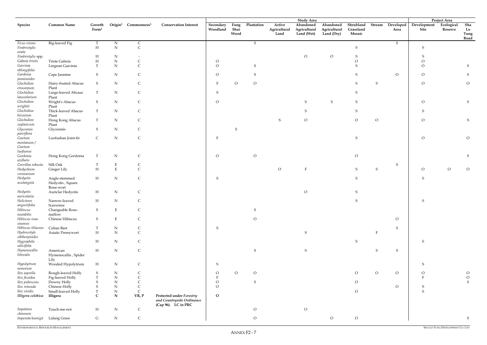ENVIRONMENTAL RESOURCES MANAGEMENT

|                                 |                                                |                             |             |                                             |                                                                                     |                       |                      |                |                                | <b>Study Area</b>                       |                                         |                                  |              |                   |                     | Project Area          |                           |
|---------------------------------|------------------------------------------------|-----------------------------|-------------|---------------------------------------------|-------------------------------------------------------------------------------------|-----------------------|----------------------|----------------|--------------------------------|-----------------------------------------|-----------------------------------------|----------------------------------|--------------|-------------------|---------------------|-----------------------|---------------------------|
| Species                         | <b>Common Name</b>                             | Growth<br>Form <sup>1</sup> |             | Origin <sup>2</sup> Commonness <sup>3</sup> | <b>Conservation Interest</b>                                                        | Secondary<br>Woodland | Fung<br>Shui<br>Wood | Plantation     | Active<br>Agricultural<br>Land | Abandoned<br>Agricultural<br>Land (Wet) | Abandoned<br>Agricultural<br>Land (Dry) | Shrubland<br>Grassland<br>Mosaic | Stream       | Developed<br>Area | Development<br>Site | Ecological<br>Reserve | Sha<br>Lo<br>Tung<br>Road |
| Ficus virens                    | Big-leaved Fig                                 | T                           | $\mathbf N$ | $\mathsf{C}$                                |                                                                                     |                       |                      | S              |                                |                                         |                                         |                                  |              | $S_{\mathcal{C}}$ |                     |                       |                           |
| Fimbristylis<br>ovata           |                                                | $\, {\rm H}$                | ${\bf N}$   | $\mathsf C$                                 |                                                                                     |                       |                      |                |                                |                                         |                                         | $\mathsf S$                      |              |                   | S                   |                       |                           |
| Fimbristylis spp.               |                                                | $H_{\rm}$                   | $\mathbf N$ |                                             |                                                                                     |                       |                      |                |                                | $\circ$                                 | $\mathcal{O}$                           |                                  |              |                   |                     |                       |                           |
| Gahnia tristis                  | Triste Gahnia                                  | $\boldsymbol{\mathrm{H}}$   | ${\bf N}$   | $\mathsf{C}$                                |                                                                                     | $\overline{O}$        |                      |                |                                |                                         |                                         |                                  |              |                   | $\Omega$            |                       |                           |
| Garcinia                        | Lingnan Garcinia                               | T                           | ${\bf N}$   | $\mathcal{C}$                               |                                                                                     | $\Omega$              |                      | S              |                                |                                         |                                         | S                                |              |                   | $\overline{O}$      |                       | S                         |
| oblongifolia                    |                                                |                             |             |                                             |                                                                                     |                       |                      |                |                                |                                         |                                         |                                  |              |                   |                     |                       |                           |
| Gardenia<br>jasminoides         | Cape Jasmine                                   | S                           | $\mathbf N$ | C                                           |                                                                                     | $\Omega$              |                      | S              |                                |                                         |                                         | S                                |              | $\circ$           | $\circ$             |                       | S                         |
| Glochidion<br>eriocarpum        | Hairy-fruited Abacus<br>Plant                  | S                           | N           | $\mathsf{C}$                                |                                                                                     | F                     | $\circ$              | $\circ$        |                                |                                         |                                         | S                                | S            |                   | $\circ$             |                       | $\circ$                   |
| Glochidion                      | Large-leaved Abcaus                            | T                           | $\mathbf N$ | $\mathsf{C}$                                |                                                                                     | S                     |                      |                |                                |                                         |                                         | ${\sf S}$                        |              |                   |                     |                       |                           |
| lanceolarium<br>Glochidion      | Plant<br>Wright's Abacus                       | S                           | N           | $\mathsf{C}$                                |                                                                                     | $\overline{O}$        |                      |                |                                | S                                       | S                                       | ${\sf S}$                        |              |                   | $\overline{O}$      |                       | S                         |
| wrightii<br>Glochidion          | Plant<br>Thick-leaved Abacus                   | T                           | N           | C                                           |                                                                                     |                       |                      |                |                                | S                                       |                                         | S                                |              |                   | S                   |                       |                           |
| hirsutum<br>Glochidion          | Plant<br>Hong Kong Abacus                      | T                           | ${\rm N}$   | C                                           |                                                                                     |                       |                      |                | S                              | $\mathcal O$                            |                                         | $\rm{O}$                         | ${\cal O}$   |                   | $\overline{O}$      |                       | S                         |
| zeylanicum                      | Plant                                          |                             |             |                                             |                                                                                     |                       |                      |                |                                |                                         |                                         |                                  |              |                   |                     |                       |                           |
| Glycosmis<br>parviflora         | Glycosmis                                      | S                           | ${\bf N}$   | C                                           |                                                                                     |                       | S                    |                |                                |                                         |                                         |                                  |              |                   |                     |                       |                           |
| Gnetum<br>momentanum/<br>Gnetum | Luofushan Joint-fir                            | $\mathsf{C}$                | ${\bf N}$   | $\mathsf C$                                 |                                                                                     | F                     |                      |                |                                |                                         |                                         | $\mathsf S$                      |              |                   | $\circ$             |                       | $\circ$                   |
| luofuense<br>Gordonia           | Hong Kong Gordonia                             | $\mathbf T$                 | $N_{\rm}$   | $\mathsf{C}$                                |                                                                                     | $\overline{O}$        |                      | $\circ$        |                                |                                         |                                         | $\mathcal{O}$                    |              |                   |                     |                       | S                         |
| axillaris                       |                                                |                             |             |                                             |                                                                                     |                       |                      |                |                                |                                         |                                         |                                  |              |                   |                     |                       |                           |
| Grevillea robusta               | Silk Oak                                       | Т                           | ${\bf E}$   | C                                           |                                                                                     |                       |                      |                |                                |                                         |                                         |                                  |              | $\mathsf S$       |                     |                       |                           |
| Hedychium<br>coronarium         | Ginger Lily                                    | $\mathbf H$                 | ${\bf E}$   |                                             |                                                                                     |                       |                      |                | $\overline{O}$                 | $\mathbf F$                             |                                         | ${\sf S}$                        | S            |                   | $\circ$             | $\overline{O}$        | $\overline{O}$            |
| Hedyotis<br>acutangula          | Angle-stemmed<br>Hedyotis, Square<br>Bone-wort | H                           | ${\rm N}$   | $\mathsf C$                                 |                                                                                     | S                     |                      |                |                                |                                         |                                         | ${\sf S}$                        |              |                   | S                   |                       |                           |
| Hedyotis<br>auricularia         | Auriclar Hedyotis                              | H                           | $\mathbf N$ | $\mathsf{C}$                                |                                                                                     |                       |                      |                |                                | $\mathcal O$                            |                                         | ${\mathsf S}$                    |              |                   |                     |                       |                           |
| Helicteres                      | Narrow-leaved                                  | $H_{\rm}$                   | N           |                                             |                                                                                     |                       |                      |                |                                |                                         |                                         |                                  |              |                   | S                   |                       |                           |
| angustifolia<br>Hibiscus        | Screwtree<br>Changeable Rose-                  | S                           | $\mathbf E$ | $\mathsf{C}$                                |                                                                                     |                       |                      | S              |                                |                                         |                                         |                                  |              |                   |                     |                       |                           |
| $mutabilis$<br>Hibiscus rosa-   | mallow<br>Chinese Hibiscus                     | $S_{\mathcal{L}}$           | $\mathbf E$ | $\mathsf C$                                 |                                                                                     |                       |                      | $\overline{O}$ |                                |                                         |                                         |                                  |              | $\overline{O}$    |                     |                       |                           |
| sinensis                        |                                                |                             |             |                                             |                                                                                     |                       |                      |                |                                |                                         |                                         |                                  |              |                   |                     |                       |                           |
| Hibiscus tiliaceus              | Cuban Bast                                     | $\mathbf T$                 | ${\bf N}$   | $\mathsf{C}$                                |                                                                                     | S                     |                      |                |                                |                                         |                                         |                                  | $\mathbf{E}$ | $S_{\mathcal{L}}$ |                     |                       |                           |
| Hydrocotyle<br>sibthorpioides   | Asiatic Pennywort                              | $\boldsymbol{\mathrm{H}}$   | ${\bf N}$   | $\mathsf C$                                 |                                                                                     |                       |                      |                |                                | ${\sf S}$                               |                                         |                                  |              |                   |                     |                       |                           |
| Hygrophila<br>salicifolia       |                                                | $\mathbf H$                 | ${\bf N}$   | $\mathsf C$                                 |                                                                                     |                       |                      |                |                                |                                         |                                         | S                                |              |                   | S                   |                       |                           |
| Hymenocallis<br>littoralis      | American<br>Hymenocallis, Spider<br>Lily       | $\mathbf H$                 | ${\rm N}$   | $\mathsf C$                                 |                                                                                     |                       |                      | ${\sf S}$      |                                | ${\sf S}$                               |                                         |                                  | S            | $S_{\mathcal{L}}$ |                     |                       |                           |
| Hypolytrum<br>nemorum           | Wooded Hypolytrum                              | H                           | $\mathbf N$ | $\mathsf{C}$                                |                                                                                     | S                     |                      |                |                                |                                         |                                         |                                  |              |                   | S                   |                       |                           |
| Ilex asprella                   | Rough-leaved Holly                             | S                           | ${\rm N}$   |                                             |                                                                                     | $\overline{O}$        | $\overline{O}$       | $\circ$        |                                |                                         |                                         | $\mathcal{O}$                    | $\mathcal O$ | $\overline{O}$    | $\mathcal{O}$       |                       | $\circ$                   |
| Ilex ficoidea                   | Fig-leaved Holly                               | T                           | ${\bf N}$   |                                             |                                                                                     |                       |                      |                |                                |                                         |                                         |                                  |              |                   | $\mathbf F$         |                       | ${\cal O}$                |
| Ilex pubescens                  | Downy Holly                                    | S                           | ${\bf N}$   | $\mathsf{C}$                                |                                                                                     | $\circ$               |                      | ${\mathsf S}$  |                                |                                         |                                         | $\overline{O}$                   |              |                   |                     |                       | ${\mathbf S}$             |
| Ilex rotunda                    | Chinese Holly                                  | S                           | ${\bf N}$   | $\mathsf C$                                 |                                                                                     | $\overline{O}$        |                      |                |                                |                                         |                                         |                                  |              | $\overline{O}$    | S                   |                       |                           |
| Ilex viridis                    | Small-leaved Holly                             | T                           | ${\rm N}$   | $\mathsf C$                                 |                                                                                     |                       |                      |                |                                |                                         |                                         | $\mathcal{O}$                    |              |                   | ${\mathsf S}$       |                       |                           |
| Illigera celebica               | Illigera                                       | $\mathsf{C}$                | ${\bf N}$   | VR, P                                       | <b>Protected under Forestry</b><br>and Countryside Ordinance<br>(Cap 96). LC in PRC | $\mathbf O$           |                      |                |                                |                                         |                                         |                                  |              |                   |                     |                       |                           |
| Impatiens<br>chinensis          | Touch-me-not                                   | $\mathbf H$                 | ${\bf N}$   | $\mathsf C$                                 |                                                                                     |                       |                      | $\mathcal{O}$  |                                | $\mathcal O$                            |                                         |                                  |              |                   |                     |                       |                           |
| Imperata koenigii               | Lalang Grass                                   | $\mathsf G$                 | ${\bf N}$   | $\mathsf{C}$                                |                                                                                     |                       |                      | $\overline{O}$ |                                |                                         | $\circ$                                 | $\mathcal{O}$                    |              |                   |                     |                       | S                         |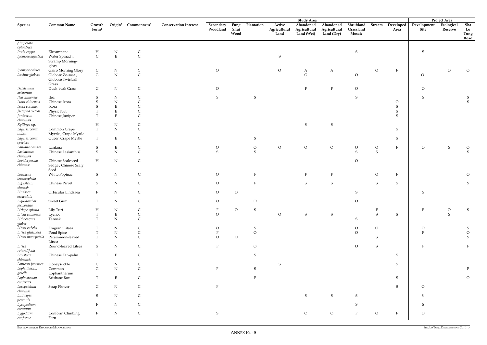|                        |                          |                             |                     |                         |                              |                       |                      |            |                                | <b>Study Area</b>                       |                                         |                                  |                |                   |                     | <b>Project Area</b>   |                           |
|------------------------|--------------------------|-----------------------------|---------------------|-------------------------|------------------------------|-----------------------|----------------------|------------|--------------------------------|-----------------------------------------|-----------------------------------------|----------------------------------|----------------|-------------------|---------------------|-----------------------|---------------------------|
| <b>Species</b>         | <b>Common Name</b>       | Growth<br>Form <sup>1</sup> | Origin <sup>2</sup> | Commonness <sup>3</sup> | <b>Conservation Interest</b> | Secondary<br>Woodland | Fung<br>Shui<br>Wood | Plantation | Active<br>Agricultural<br>Land | Abandoned<br>Agricultural<br>Land (Wet) | Abandoned<br>Agricultural<br>Land (Dry) | Shrubland<br>Grassland<br>Mosaic | Stream         | Developed<br>Area | Development<br>Site | Ecological<br>Reserve | Sha<br>Lo<br>Tung<br>Road |
| /Imperata              |                          |                             |                     |                         |                              |                       |                      |            |                                |                                         |                                         |                                  |                |                   |                     |                       |                           |
| cylindrica             |                          |                             |                     |                         |                              |                       |                      |            |                                |                                         |                                         |                                  |                |                   |                     |                       |                           |
| Inula cappa            | Elecampane               | H                           | $\mathbf N$         | $\mathsf{C}$            |                              |                       |                      |            |                                |                                         |                                         | ${\sf S}$                        |                |                   | S                   |                       |                           |
| Ipomoea aquatica       | Water Spinach,           | $\mathsf C$                 | $\mathbf E$         | $\mathsf C$             |                              |                       |                      |            | S                              |                                         |                                         |                                  |                |                   |                     |                       |                           |
|                        | Swamp Morning-           |                             |                     |                         |                              |                       |                      |            |                                |                                         |                                         |                                  |                |                   |                     |                       |                           |
|                        | glory                    |                             |                     |                         |                              |                       |                      |            |                                |                                         |                                         |                                  |                |                   |                     |                       |                           |
| Ipomoea cairica        | Gairo Morning Glory      | $\mathsf{C}$                | ${\bf N}$           | $\mathsf{C}$            |                              | $\overline{O}$        |                      |            | $\overline{O}$                 | A                                       | A                                       |                                  | $\overline{O}$ | $\mathbf{F}$      |                     | $\overline{O}$        | $\mathcal{O}$             |
| Isachne globosa        | Globose Zo-sasa,         | ${\bf G}$                   | ${\bf N}$           | $\mathsf C$             |                              |                       |                      |            |                                | $\mathcal{O}$                           |                                         | $\mathcal{O}$                    |                |                   | $\circ$             |                       |                           |
|                        | Globose Twinball         |                             |                     |                         |                              |                       |                      |            |                                |                                         |                                         |                                  |                |                   |                     |                       |                           |
|                        | Grass                    |                             |                     |                         |                              |                       |                      |            |                                |                                         |                                         |                                  |                |                   |                     |                       |                           |
| Ischaemum              | Duck-beak Grass          | G                           | ${\bf N}$           | $\mathsf C$             |                              | $\overline{O}$        |                      |            |                                |                                         | $\mathbf{F}$                            | $\rm O$                          |                |                   | $\mathcal{O}$       |                       |                           |
| aristatum              |                          |                             |                     |                         |                              |                       |                      |            |                                |                                         |                                         |                                  |                |                   |                     |                       |                           |
| Itea chinensis         | Itea                     | S                           | ${\rm N}$           | $\mathsf{C}$            |                              | S                     |                      | S          |                                |                                         |                                         | S                                |                |                   | S                   |                       | S                         |
| Ixora chinensis        | Chinese Ixora            |                             | ${\rm N}$           |                         |                              |                       |                      |            |                                |                                         |                                         |                                  |                | $\rm O$           |                     |                       | $\mathsf S$               |
| Ixora coccinea         | Ixora                    | S                           | E                   |                         |                              |                       |                      |            |                                |                                         |                                         |                                  |                | ${\mathbf S}$     |                     |                       |                           |
| Jatropha curcas        | Physic Nut               |                             | E                   |                         |                              |                       |                      |            |                                |                                         |                                         |                                  |                | ${\mathbf S}$     |                     |                       |                           |
| Juniperus              | Chinese Juniper          |                             | $\mathbf E$         | $\mathsf C$             |                              |                       |                      |            |                                |                                         |                                         |                                  |                | S                 |                     |                       |                           |
| chinensis              |                          |                             |                     |                         |                              |                       |                      |            |                                |                                         |                                         |                                  |                |                   |                     |                       |                           |
| Kyllinga sp.           |                          | H                           | ${\bf N}$           | $\mathsf{C}$            |                              |                       |                      |            |                                | ${\sf S}$                               | ${\sf S}$                               |                                  |                |                   |                     |                       |                           |
| Lagerstroemia          | Common Crape             | $\mathbf T$                 | ${\bf N}$           | $\mathsf C$             |                              |                       |                      |            |                                |                                         |                                         |                                  |                | S                 |                     |                       |                           |
| indica                 | Myrtle, Crape Myrtle     |                             |                     |                         |                              |                       |                      |            |                                |                                         |                                         |                                  |                |                   |                     |                       |                           |
| Lagerstroemia          | Queen Crape Myrtle       | T                           | $\mathbf E$         | $\mathsf{C}$            |                              |                       |                      | S          |                                |                                         |                                         |                                  |                | S                 |                     |                       |                           |
| speciosa               |                          |                             |                     |                         |                              |                       |                      |            |                                |                                         |                                         |                                  |                |                   |                     |                       |                           |
| Lantana camara         | Lantana                  | S                           | $\mathbf E$         | $\mathsf{C}$            |                              | $\circ$               |                      | $\circ$    | $\overline{O}$                 | ${\cal O}$                              | $\rm{O}$                                | $\mathcal{O}$                    | $\overline{O}$ | $\mathbf{F}$      | $\circ$             | ${\mathbf S}$         | $\overline{O}$            |
| Lasianthus             | Chinese Lasianthus       | S                           | ${\bf N}$           | $\mathsf C$             |                              | <sub>S</sub>          |                      | S          |                                |                                         |                                         | S                                | S              |                   |                     |                       | S                         |
| chinensis              |                          |                             |                     |                         |                              |                       |                      |            |                                |                                         |                                         |                                  |                |                   |                     |                       |                           |
| Lepidosperma           | Chinese Scaleseed        | H                           | ${\bf N}$           | $\mathsf{C}$            |                              |                       |                      |            |                                |                                         |                                         | $\circ$                          |                |                   |                     |                       |                           |
| chinense               | Sedge, Chinese Scaly     |                             |                     |                         |                              |                       |                      |            |                                |                                         |                                         |                                  |                |                   |                     |                       |                           |
|                        | Seed                     |                             |                     |                         |                              |                       |                      |            |                                |                                         |                                         |                                  |                |                   |                     |                       |                           |
| Leucaena               | White Popinac            | S                           | ${\bf N}$           | $\mathsf C$             |                              | $\circ$               |                      |            |                                |                                         | $\rm F$                                 |                                  | $\overline{O}$ | $\mathbf{F}$      |                     |                       | $\circ$                   |
| leucocephala           |                          |                             |                     |                         |                              |                       |                      |            |                                |                                         |                                         |                                  |                |                   |                     |                       |                           |
| Ligustrum              | <b>Chinese Privet</b>    | S                           | ${\bf N}$           | $\mathsf{C}$            |                              | $\circ$               |                      |            |                                | ${\mathsf S}$                           | ${\mathsf S}$                           |                                  | S              | S                 |                     |                       | S                         |
| sinensis               |                          |                             |                     |                         |                              |                       |                      |            |                                |                                         |                                         |                                  |                |                   |                     |                       |                           |
| Lindsaea               | Orbicular Lindsaea       | $\mathbf{F}$                | ${\bf N}$           | $\mathsf{C}$            |                              | $\overline{O}$        | $\Omega$             |            |                                |                                         |                                         | S                                |                |                   | S                   |                       |                           |
| orbiculata             |                          |                             |                     |                         |                              |                       |                      |            |                                |                                         |                                         |                                  |                |                   |                     |                       |                           |
| Liquidambar            | Sweet Gum                | $\mathbf T$                 | ${\bf N}$           |                         |                              | $\overline{O}$        |                      | $\Omega$   |                                |                                         |                                         | O                                |                |                   |                     |                       |                           |
| formosana              |                          |                             |                     |                         |                              |                       |                      |            |                                |                                         |                                         |                                  |                |                   |                     |                       |                           |
| Liriope spicata        | Lily Turf                | Η                           | ${\bf N}$           |                         |                              |                       | $\overline{O}$       | S          |                                |                                         |                                         |                                  |                |                   | F                   | $\overline{O}$        | S                         |
| Litchi chinensis       | Lychee                   |                             | ${\bf E}$           | $\mathsf{C}$            |                              | $\overline{O}$        |                      |            | $\circ$                        | ${\sf S}$                               | ${\mathsf S}$                           |                                  | S              | $S_{\text{}}$     |                     | S                     |                           |
| Lithocarpus            | Tanoak                   | T                           | ${\bf N}$           | $\mathsf C$             |                              |                       |                      |            |                                |                                         |                                         | S                                |                |                   |                     |                       |                           |
| glaber                 |                          |                             |                     |                         |                              |                       |                      |            |                                |                                         |                                         |                                  |                |                   |                     |                       |                           |
| Litsea cubeba          | Fragrant Litsea          |                             | ${\bf N}$           |                         |                              | $\circ$               |                      | S          |                                |                                         |                                         | $\rm O$                          | $\overline{O}$ |                   | $\circ$             |                       | S                         |
| Litsea glutinosa       | Pond Spice               |                             | ${\bf N}$           | $\mathsf{C}$            |                              |                       |                      | $\circ$    |                                |                                         |                                         | $\circ$                          |                |                   |                     |                       | ${\cal O}$                |
| Litsea monopetala      | Persimmon-leaved         | T                           | ${\bf N}$           | $\mathsf C$             |                              | $\overline{O}$        | $\overline{O}$       |            |                                |                                         |                                         |                                  | S              |                   |                     |                       | S                         |
|                        | Litsea                   |                             |                     |                         |                              |                       |                      |            |                                |                                         |                                         |                                  |                |                   |                     |                       |                           |
| Litsea                 | Round-leaved Litsea      | S                           | ${\bf N}$           | $\mathsf{C}$            |                              |                       |                      | $\circ$    |                                |                                         |                                         | $\overline{O}$                   | S              |                   |                     |                       |                           |
| rotundifolia           |                          |                             |                     |                         |                              |                       |                      |            |                                |                                         |                                         |                                  |                |                   |                     |                       |                           |
| Livistona              | Chinese Fan-palm         | T                           | $\mathbf E$         | $\mathsf C$             |                              |                       |                      | S          |                                |                                         |                                         |                                  |                | $S_{\text{}}$     |                     |                       |                           |
| chinensis              |                          |                             |                     |                         |                              |                       |                      |            |                                |                                         |                                         |                                  |                |                   |                     |                       |                           |
| Lonicera japonica      | Honeysuckle              | C                           | ${\bf N}$           | $\mathsf{C}$            |                              |                       |                      |            | S                              |                                         |                                         |                                  |                | $S_{\text{}}$     |                     |                       |                           |
| Lophatherum            | Common                   | ${\rm G}$                   | ${\bf N}$           | $\mathsf C$             |                              |                       |                      | S          |                                |                                         |                                         |                                  |                |                   |                     |                       |                           |
| gracile                | Lophantherum             |                             |                     |                         |                              |                       |                      |            |                                |                                         |                                         |                                  |                |                   |                     |                       |                           |
| Lophostemon            | <b>Brisbane Box</b>      | T                           | $\mathbf E$         | $\mathsf{C}$            |                              |                       |                      |            |                                |                                         |                                         |                                  |                | S                 |                     |                       | $\mathcal O$              |
| $confertus$            |                          |                             |                     |                         |                              |                       |                      |            |                                |                                         |                                         |                                  |                |                   |                     |                       |                           |
| Loropetalum            | <b>Strap Flower</b>      | $\mathsf{G}$                | ${\bf N}$           | $\mathsf{C}$            |                              | E                     |                      |            |                                |                                         |                                         |                                  |                | S                 | $\circ$             |                       |                           |
| chinense<br>Ludwigia   |                          | S                           |                     |                         |                              |                       |                      |            |                                | ${\mathbf S}$                           | ${\mathsf S}$                           | S                                |                |                   |                     |                       |                           |
|                        | $\overline{\phantom{a}}$ |                             | ${\bf N}$           | $\mathsf{C}$            |                              |                       |                      |            |                                |                                         |                                         |                                  |                |                   |                     |                       |                           |
| perennis<br>Lycopodium |                          | F                           | ${\bf N}$           | $\mathsf{C}$            |                              |                       |                      |            |                                |                                         |                                         | S                                |                |                   |                     |                       |                           |
| cernuum                |                          |                             |                     |                         |                              |                       |                      |            |                                |                                         |                                         |                                  |                |                   |                     |                       |                           |
| Lygodium               | Conform Climbing         | $\mathbf{F}$                | ${\bf N}$           | $\mathsf C$             |                              | ${\mathsf S}$         |                      |            |                                | $\rm{O}$                                | $\rm{O}$                                | $\overline{F}$                   | $\circ$        | $\mathbf{F}$      | $\mathcal{O}$       |                       |                           |
| conforme               | Fern                     |                             |                     |                         |                              |                       |                      |            |                                |                                         |                                         |                                  |                |                   |                     |                       |                           |
|                        |                          |                             |                     |                         |                              |                       |                      |            |                                |                                         |                                         |                                  |                |                   |                     |                       |                           |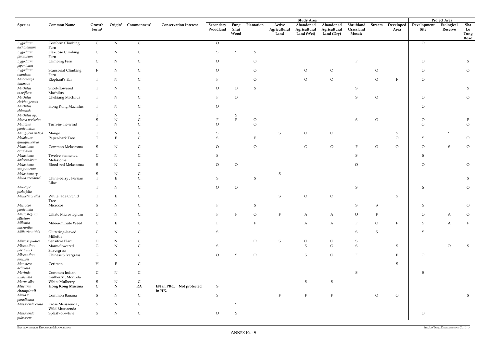|                                    |                                     |                             |                          |                         |                                    |                       |                      |                |                                | <b>Study Area</b>                       |                                         |                                  |                |                   |                                | Project Area          |                           |
|------------------------------------|-------------------------------------|-----------------------------|--------------------------|-------------------------|------------------------------------|-----------------------|----------------------|----------------|--------------------------------|-----------------------------------------|-----------------------------------------|----------------------------------|----------------|-------------------|--------------------------------|-----------------------|---------------------------|
| <b>Species</b>                     | <b>Common Name</b>                  | Growth<br>Form <sup>1</sup> | Origin <sup>2</sup>      | Commonness <sup>3</sup> | <b>Conservation Interest</b>       | Secondary<br>Woodland | Fung<br>Shui<br>Wood | Plantation     | Active<br>Agricultural<br>Land | Abandoned<br>Agricultural<br>Land (Wet) | Abandoned<br>Agricultural<br>Land (Dry) | Shrubland<br>Grassland<br>Mosaic | Stream         | Developed<br>Area | Development<br>Site            | Ecological<br>Reserve | Sha<br>Lo<br>Tung<br>Road |
| Lygodium<br>dichotomum             | Conform Climbing<br>Fern            | $\mathsf{C}$                | N                        | $\mathsf{C}$            |                                    | $\circ$               |                      |                |                                |                                         |                                         |                                  |                |                   | $\overline{O}$                 |                       |                           |
| Lygodium<br>flexuosum              | Flexuose Climbing<br>Fern           | $\mathsf{C}$                | ${\bf N}$                | $\mathsf{C}$            |                                    | S                     | S                    | S              |                                |                                         |                                         |                                  |                |                   |                                |                       |                           |
| Lygodium<br>japonicum              | Climbing Fern                       | $\mathsf{C}$                | ${\bf N}$                | $\mathsf{C}$            |                                    | O                     |                      | O              |                                |                                         |                                         | $\mathbf{F}$                     |                |                   | $\circ$                        |                       | S                         |
| Lygodium<br>scandens               | <b>Scansorial Climbing</b><br>Fern  | $\mathbf{F}$                | ${\bf N}$                | C                       |                                    | $\circ$               |                      | $\circ$        |                                | $\circ$                                 | $\rm{O}$                                |                                  | $\circ$        |                   | $\mathcal{O}$                  |                       | $\overline{O}$            |
| Macaranga<br>tanarius              | Elephant's Ear                      |                             | ${\bf N}$                |                         |                                    |                       |                      | $\Omega$       |                                | $\circ$                                 | $\circ$                                 |                                  | $\circ$        | F                 | $\circ$                        |                       |                           |
| Machilus<br>breviflora             | Short-flowered<br>Machilus          | $\mathbf T$                 | ${\bf N}$                | $\mathsf{C}$            |                                    | $\circ$               | $\overline{O}$       | S              |                                |                                         |                                         | S                                |                |                   |                                |                       | S                         |
| Machilus<br>chekiangensis          | Chekiang Machilus                   | T                           | ${\bf N}$                | $\mathsf{C}$            |                                    |                       | $\circ$              |                |                                |                                         |                                         | S                                | $\circ$        |                   | $\circ$                        |                       | $\circ$                   |
| Machilus<br>chinensis              | Hong Kong Machilus                  | $\mathbf T$                 | $\mathbf N$              | $\mathsf{C}$            |                                    | $\overline{O}$        |                      |                |                                |                                         |                                         |                                  |                |                   | $\circ$                        |                       |                           |
| Machilus sp.                       |                                     |                             | ${\bf N}$                |                         |                                    |                       |                      |                |                                |                                         |                                         |                                  |                |                   |                                |                       |                           |
| Maesa perlarius                    |                                     |                             | ${\bf N}$                | $\mathsf{C}$            |                                    |                       | $\mathbf{F}$         | $\mathcal{O}$  |                                |                                         |                                         | S                                | $\circ$        |                   | $\mathcal{O}$                  |                       |                           |
| Mallotus<br>paniculatus            | Turn-in-the-wind                    | T                           | ${\bf N}$                | $\mathsf{C}$            |                                    | $\Omega$              |                      | $\Omega$       |                                |                                         |                                         |                                  |                |                   | $\circ$                        |                       | $\overline{O}$            |
| Mangifera indica                   | Mango                               |                             | ${\bf N}$                | C                       |                                    | S                     |                      |                | <sub>S</sub>                   | $\circ$                                 | $\circ$                                 |                                  |                | S                 |                                | S                     |                           |
| Melaleuca<br>quinquenervia         | Paper-bark Tree                     | T                           | $\mathbf E$              | $\mathsf{C}$            |                                    | $\mathcal{S}$         |                      |                |                                |                                         |                                         |                                  |                | $\overline{O}$    | S                              |                       | $\circ$                   |
| Melastoma<br>candidum<br>Melastoma | Common Melastoma<br>Twelve-stamened | S<br>$\mathsf{C}$           | ${\bf N}$<br>${\bf N}$   | C                       |                                    | $\overline{O}$<br>S   |                      | $\overline{O}$ |                                | $\circ$                                 | $\overline{O}$                          | $\mathbf{F}$<br>S                | $\overline{O}$ | $\overline{O}$    | $\overline{O}$<br><sub>S</sub> | S                     | $\overline{O}$            |
| dodecandrum<br>Melastoma           | Melastoma<br>Blood-red Melastoma    | S                           | $\mathbf N$              | C<br>$\mathsf{C}$       |                                    | $\circ$               | $\circ$              |                |                                |                                         |                                         | $\mathcal{O}$                    |                |                   | $\circ$                        |                       | $\mathcal{O}$             |
| sanguineum<br>Melastoma sp.        |                                     | S                           | ${\bf N}$                | $\mathsf{C}$            |                                    |                       |                      |                | S                              |                                         |                                         |                                  |                |                   |                                |                       |                           |
|                                    |                                     |                             |                          | $\mathsf{C}$            |                                    |                       |                      |                |                                |                                         |                                         |                                  |                |                   |                                |                       |                           |
| Melia azedarach<br>Melicope        | China-berry, Persian<br>Lilac       | T                           | $\mathbf E$<br>${\bf N}$ |                         |                                    | S<br>$\overline{O}$   | $\circ$              | S              |                                |                                         |                                         | <sub>S</sub>                     |                |                   | S                              |                       | S<br>$\overline{O}$       |
|                                    |                                     |                             |                          |                         |                                    |                       |                      |                |                                |                                         |                                         |                                  |                |                   |                                |                       |                           |
| pteleifolia<br>Michelia x alba     | White Jade Orchid<br>Tree           |                             | ${\bf E}$                | $\mathsf{C}$            |                                    |                       |                      |                |                                | $\mathcal{O}$                           | $\mathcal O$                            |                                  |                | S                 |                                |                       |                           |
| Microcos<br>paniculata             | Microcos                            | S                           | ${\rm N}$                |                         |                                    |                       |                      | S              |                                |                                         |                                         |                                  | S              |                   | S                              |                       | $\overline{O}$            |
| Microstegium<br>ciliatum           | Ciliate Microstegium                | G                           | ${\bf N}$                | $\mathsf{C}$            |                                    | $\mathbf{F}$          | $\mathbf{F}$         | $\circ$        | $\mathbf{F}$                   | $\boldsymbol{A}$                        | $\boldsymbol{A}$                        | $\overline{O}$                   | $\mathbf{F}$   |                   | $\mathcal{O}$                  | $\mathbf{A}$          | $\overline{O}$            |
| Mikania<br>micrantha               | Mile-a-minute Weed                  | $\mathsf{C}$                | $\mathbf E$              | $\mathsf C$             |                                    |                       |                      | $\mathbf{F}$   |                                | $\mathbf{A}$                            | $\bf{A}$                                | $\mathbf F$                      | $\circ$        | $\mathbf F$       | ${\sf S}$                      | $\mathbf{A}$          | $\mathbf{F}$              |
| Millettia nitida                   | Glittering-leaved<br>Millettia      | $\mathsf{C}$                | ${\bf N}$                | $\mathsf{C}$            |                                    | S                     |                      |                |                                |                                         |                                         | S                                | ${\mathsf S}$  |                   | S                              |                       |                           |
| Mimosa pudica                      | Sensitive Plant                     | H                           | ${\bf N}$                | $\mathsf{C}$            |                                    |                       |                      | $\circ$        | S                              | $\overline{O}$                          | $\circ$                                 | S                                |                |                   |                                |                       |                           |
| Miscanthus<br>floridulus           | Many-flowered<br>Silvergrass        | ${\rm G}$                   | ${\bf N}$                | $\mathsf C$             |                                    | S                     |                      |                |                                | ${\sf S}$                               | $\overline{O}$                          | $\mathsf S$                      |                | $S_{\text{}}$     |                                | $\mathcal{O}$         | S                         |
| Miscanthus<br>sinensis             | Chinese Silvergrass                 | G                           | ${\bf N}$                | $\mathsf C$             |                                    | $\mathcal{O}$         | S                    | $\circ$        |                                | ${\sf S}$                               | ${\cal O}$                              | F                                |                | $\mathbf F$       | $\overline{O}$                 |                       |                           |
| Monstera<br>deliciosa              | Ceriman                             | H                           | $\mathbf E$              | $\mathsf{C}$            |                                    |                       |                      |                |                                |                                         |                                         |                                  |                | $S_{\mathcal{L}}$ |                                |                       |                           |
| Morinda<br>umbellata               | Common Indian-<br>mulberry, Morinda | $\mathsf{C}$                | ${\bf N}$                | $\mathsf{C}$            |                                    |                       |                      |                |                                |                                         |                                         | ${\sf S}$                        |                |                   | S                              |                       |                           |
| Morus alba                         | White Mulberry                      | S                           | ${\bf N}$                | $\mathsf C$             |                                    |                       |                      |                |                                | ${\sf S}$                               | ${\sf S}$                               |                                  |                |                   |                                |                       |                           |
| Mucuna<br>championii               | Hong Kong Mucuna                    | $\mathsf{C}$                | ${\bf N}$                | RA                      | EN in PRC. Not protected<br>in HK. | $\mathbf S$           |                      |                |                                |                                         |                                         |                                  |                |                   |                                |                       |                           |
| Musa x<br>paradisiaca              | Common Banana                       | S                           | ${\bf N}$                | $\mathsf C$             |                                    | S                     |                      |                | $\mathbf{F}$                   | $\, {\bf F}$                            | $\rm F$                                 |                                  | $\overline{O}$ | $\circ$           |                                |                       | S                         |
| Mussaenda erosa                    | Erose Mussaenda,<br>Wild Mussaenda  | S                           | ${\bf N}$                | $\mathsf{C}$            |                                    |                       | S                    |                |                                |                                         |                                         |                                  |                |                   |                                |                       |                           |
| Mussaenda<br>pubescens             | Splash-of-white                     | S                           | ${\bf N}$                | $\mathsf C$             |                                    | $\circ$               | S                    |                |                                |                                         |                                         |                                  |                |                   | $\circ$                        |                       |                           |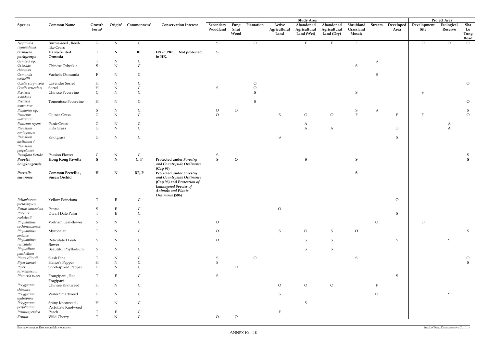| Shrubland<br>Stream<br>Development<br><b>Common Name</b><br><b>Conservation Interest</b><br>Secondary<br>Plantation<br>Active<br>Abandoned<br>Developed<br>Ecological<br>Sha<br><b>Species</b><br>Origin <sup>2</sup><br>Commonness <sup>3</sup><br>Fung<br>Abandoned<br>Growth<br>Form <sup>1</sup><br>Woodland<br>Shui<br>Grassland<br>Lo<br>Agricultural<br>Agricultural<br>Agricultural<br>Site<br>Reserve<br>Area<br>Wood<br>Land (Wet)<br>Tung<br>Land (Dry)<br>Mosaic<br>Land<br>Road<br>Burma-reed, Reed-<br>G<br>$\mathbf N$<br>$\mathsf{C}$<br>$\circ$<br>$\mathbf{F}$<br>$\mathbf{F}$<br>$\overline{O}$<br>$\circ$<br>$\overline{O}$<br>Neyraudia<br>S<br>Е<br>reynaudiana<br>like Grass<br>$\mathbf T$<br>${\bf N}$<br>RE<br>EN in PRC. Not protected<br>$\mathbf S$<br>Ormosia<br>Hairy-fruited<br>Ormosia<br>in HK.<br>pachycarpa<br>${\rm N}$<br>$\mathsf C$<br>${\sf S}$<br>Ormosia sp.<br>S<br>${\bf N}$<br>$\mathsf C$<br>Osbeckia<br>Chinese Osbeckia<br>${\mathsf S}$<br>chinensis<br>${\rm N}$<br>$\mathsf{C}$<br>${\sf S}$<br>Osmunda<br>Vachel's Osmunda<br>F<br>vachellii<br>${\rm N}$<br>$\mathsf C$<br>${\cal O}$<br>Oxalis corymbosa<br>Lavender Sorrel<br>$H_{\rm}$<br>$\mathcal O$<br>${\bf N}$<br>$\mathsf C$<br>Oxalis reticulata<br>$\boldsymbol{\mathrm{H}}$<br>${\cal O}$<br>Sorrel<br>${\sf S}$<br>${\bf N}$<br>Paederia<br>$\mathsf{C}$<br>$\mathsf C$<br>${\sf S}$<br>Chinese Fevervine<br>S<br>S<br>scandens<br>Paederia<br>H<br>${\rm N}$<br>$\mathsf{C}$<br>$\mathcal O$<br>Tomentose Fevervine<br>S<br>tomentosa<br>${\rm N}$<br>${\sf S}$<br>S<br>$\mathsf C$<br>$\mathcal{O}$<br>Pandanus sp.<br>$\circ$<br>S<br>S<br>${\bf N}$<br>$\mathsf C$<br>$\mathbf{F}$<br>$\mathcal O$<br>$\mathsf G$<br>${\mathsf S}$<br>$\rm{O}$<br>$\mathcal{O}$<br>Panicum<br>Guinea Grass<br>$\overline{O}$<br>$\rm F$<br>$\mathbf{F}$<br>maximum<br>Panic Grass<br>${\mathsf G}$<br>${\bf N}$<br>Panicum repens<br>$\mathsf{C}$<br>A<br>A<br>${\bf N}$<br>$\mathsf C$<br>$\mathsf G$<br>Paspalum<br>$\mathbf{A}$<br>$\circ$<br>$\boldsymbol{A}$<br>Hilo Grass<br>A<br>conjugatum<br>${\bf N}$<br>${\mathsf C}$<br>${\bf G}$<br>Paspalum<br>S<br>S<br>Knotgrass<br>distichum /<br>Paspalum<br>paspaloides<br>Passiflora foetida<br>Passion Flower<br>${\bf N}$<br>$\mathsf C$<br>$\mathsf{C}$<br>S<br>S<br>${\bf S}$<br>$\mathbf S$<br>$\mathbf{S}$<br>${\bf N}$<br>C, P<br>$\mathbf S$<br>${\bf S}$<br><b>Protected under Forestry</b><br>$\mathbf{O}$<br>Pavetta<br>Hong Kong Pavetta<br>and Countryside Ordinance<br>hongkongensis<br>(Cap 96)<br>${\bf N}$<br>${\bf S}$<br>Common Pecteilis,<br>$\mathbf H$<br>RE, P<br><b>Protected under Forestry</b><br>Pecteilis<br>Susan Orchid<br>and Countryside Ordinance<br>susannae<br>(Cap 96) and Protection of<br><b>Endangered Species of</b><br><b>Animals and Plants</b><br>Ordinance (586)<br>Yellow Poinciana<br>$\circ$<br>Peltophorum<br>T.<br>E<br>C<br>pterocarpum<br>Pentas lanceolata<br>$\rm O$<br>Pentas<br>S<br>E<br>$\mathsf{C}$<br>$\mathbf{E}% _{0}$<br>$\mathbf T$<br>$\mathsf C$<br>Phoenix<br>Dwarf Date Palm<br>$S_{\mathcal{L}}$<br>roebelenii<br>Phyllanthus<br>Vietnam Leaf-flower<br>${\bf N}$<br>S<br>$\mathsf C$<br>$\overline{O}$<br>$\overline{O}$<br>$\overline{O}$<br>cochinchinensis<br>Phyllanthus<br>Myrobalan<br>${\bf N}$<br>$\mathsf C$<br>$\rm{O}$<br>S<br>$\circ$<br>S<br>S<br>$\circ$<br>emblica<br>Phyllanthus<br>Reticulated Leaf-<br>${\rm N}$<br>${\mathsf S}$<br>S<br>${\mathsf S}$<br>S<br>$\mathsf C$<br>$\circ$<br>S<br>reticulata<br>flower<br>Phyllodium<br>Beautiful Phyllodium<br>N<br>S<br>S<br>S<br>$\mathsf{C}$<br>pulchellum<br>Pinus elliottii<br>Slash Pine<br>${\rm N}$<br>$\circ$<br>S<br>$\ensuremath{\mathrm{T}}$<br>$\mathsf{C}$<br>S<br>$\mathcal{O}$<br>${\mathsf S}$<br>Piper hancei<br>${\bf N}$<br>$\mathsf C$<br>Hance's Pepper<br>$H_{\rm}$<br>S<br>Piper<br>H<br>${\rm N}$<br>$\mathsf C$<br>Short-spiked Pepper<br>$\overline{O}$<br>sarmentosum<br>Plumeria rubra<br>$\mathbf E$<br>Frangipani, Red<br>T<br>$\mathsf C$<br>S<br>S<br>Fragipani<br>$\mathcal{O}$<br>$\circ$<br>Chinese Knotweed<br>${\bf N}$<br>$\mathsf C$<br>Polygonum<br>H<br>$\overline{O}$<br>chinense<br>Polygonum<br>H<br>${\bf N}$<br>Water Smartweed<br>$\mathsf C$<br>$\overline{O}$<br>S<br>S<br>hydropiper<br>Polygonum<br>${\rm N}$<br>Spiny Knotweed,<br>H<br>$\mathsf C$<br>S<br>perfoliatum<br>Perfoliate Knotweed<br>Peach<br>Prunus persica<br>E<br>$\mathsf C$<br>T<br>$\mathsf C$<br>${\bf N}$<br>$\rm{O}$<br>Prunus<br>Wild Cherry<br>$\mathbf T$<br>$\overline{O}$ |  |  |  |  |  | <b>Study Area</b> |  |  | Project Area |  |
|-----------------------------------------------------------------------------------------------------------------------------------------------------------------------------------------------------------------------------------------------------------------------------------------------------------------------------------------------------------------------------------------------------------------------------------------------------------------------------------------------------------------------------------------------------------------------------------------------------------------------------------------------------------------------------------------------------------------------------------------------------------------------------------------------------------------------------------------------------------------------------------------------------------------------------------------------------------------------------------------------------------------------------------------------------------------------------------------------------------------------------------------------------------------------------------------------------------------------------------------------------------------------------------------------------------------------------------------------------------------------------------------------------------------------------------------------------------------------------------------------------------------------------------------------------------------------------------------------------------------------------------------------------------------------------------------------------------------------------------------------------------------------------------------------------------------------------------------------------------------------------------------------------------------------------------------------------------------------------------------------------------------------------------------------------------------------------------------------------------------------------------------------------------------------------------------------------------------------------------------------------------------------------------------------------------------------------------------------------------------------------------------------------------------------------------------------------------------------------------------------------------------------------------------------------------------------------------------------------------------------------------------------------------------------------------------------------------------------------------------------------------------------------------------------------------------------------------------------------------------------------------------------------------------------------------------------------------------------------------------------------------------------------------------------------------------------------------------------------------------------------------------------------------------------------------------------------------------------------------------------------------------------------------------------------------------------------------------------------------------------------------------------------------------------------------------------------------------------------------------------------------------------------------------------------------------------------------------------------------------------------------------------------------------------------------------------------------------------------------------------------------------------------------------------------------------------------------------------------------------------------------------------------------------------------------------------------------------------------------------------------------------------------------------------------------------------------------------------------------------------------------------------------------------------------------------------------------------------------------------------------------------------------------------------------------------------------------------------------------------------------------------------------------------------------------------------------------------------------------------------------------------------------------------------------------------------------------------------------------|--|--|--|--|--|-------------------|--|--|--------------|--|
|                                                                                                                                                                                                                                                                                                                                                                                                                                                                                                                                                                                                                                                                                                                                                                                                                                                                                                                                                                                                                                                                                                                                                                                                                                                                                                                                                                                                                                                                                                                                                                                                                                                                                                                                                                                                                                                                                                                                                                                                                                                                                                                                                                                                                                                                                                                                                                                                                                                                                                                                                                                                                                                                                                                                                                                                                                                                                                                                                                                                                                                                                                                                                                                                                                                                                                                                                                                                                                                                                                                                                                                                                                                                                                                                                                                                                                                                                                                                                                                                                                                                                                                                                                                                                                                                                                                                                                                                                                                                                                                                                                                                           |  |  |  |  |  |                   |  |  |              |  |
|                                                                                                                                                                                                                                                                                                                                                                                                                                                                                                                                                                                                                                                                                                                                                                                                                                                                                                                                                                                                                                                                                                                                                                                                                                                                                                                                                                                                                                                                                                                                                                                                                                                                                                                                                                                                                                                                                                                                                                                                                                                                                                                                                                                                                                                                                                                                                                                                                                                                                                                                                                                                                                                                                                                                                                                                                                                                                                                                                                                                                                                                                                                                                                                                                                                                                                                                                                                                                                                                                                                                                                                                                                                                                                                                                                                                                                                                                                                                                                                                                                                                                                                                                                                                                                                                                                                                                                                                                                                                                                                                                                                                           |  |  |  |  |  |                   |  |  |              |  |
|                                                                                                                                                                                                                                                                                                                                                                                                                                                                                                                                                                                                                                                                                                                                                                                                                                                                                                                                                                                                                                                                                                                                                                                                                                                                                                                                                                                                                                                                                                                                                                                                                                                                                                                                                                                                                                                                                                                                                                                                                                                                                                                                                                                                                                                                                                                                                                                                                                                                                                                                                                                                                                                                                                                                                                                                                                                                                                                                                                                                                                                                                                                                                                                                                                                                                                                                                                                                                                                                                                                                                                                                                                                                                                                                                                                                                                                                                                                                                                                                                                                                                                                                                                                                                                                                                                                                                                                                                                                                                                                                                                                                           |  |  |  |  |  |                   |  |  |              |  |
|                                                                                                                                                                                                                                                                                                                                                                                                                                                                                                                                                                                                                                                                                                                                                                                                                                                                                                                                                                                                                                                                                                                                                                                                                                                                                                                                                                                                                                                                                                                                                                                                                                                                                                                                                                                                                                                                                                                                                                                                                                                                                                                                                                                                                                                                                                                                                                                                                                                                                                                                                                                                                                                                                                                                                                                                                                                                                                                                                                                                                                                                                                                                                                                                                                                                                                                                                                                                                                                                                                                                                                                                                                                                                                                                                                                                                                                                                                                                                                                                                                                                                                                                                                                                                                                                                                                                                                                                                                                                                                                                                                                                           |  |  |  |  |  |                   |  |  |              |  |
|                                                                                                                                                                                                                                                                                                                                                                                                                                                                                                                                                                                                                                                                                                                                                                                                                                                                                                                                                                                                                                                                                                                                                                                                                                                                                                                                                                                                                                                                                                                                                                                                                                                                                                                                                                                                                                                                                                                                                                                                                                                                                                                                                                                                                                                                                                                                                                                                                                                                                                                                                                                                                                                                                                                                                                                                                                                                                                                                                                                                                                                                                                                                                                                                                                                                                                                                                                                                                                                                                                                                                                                                                                                                                                                                                                                                                                                                                                                                                                                                                                                                                                                                                                                                                                                                                                                                                                                                                                                                                                                                                                                                           |  |  |  |  |  |                   |  |  |              |  |
|                                                                                                                                                                                                                                                                                                                                                                                                                                                                                                                                                                                                                                                                                                                                                                                                                                                                                                                                                                                                                                                                                                                                                                                                                                                                                                                                                                                                                                                                                                                                                                                                                                                                                                                                                                                                                                                                                                                                                                                                                                                                                                                                                                                                                                                                                                                                                                                                                                                                                                                                                                                                                                                                                                                                                                                                                                                                                                                                                                                                                                                                                                                                                                                                                                                                                                                                                                                                                                                                                                                                                                                                                                                                                                                                                                                                                                                                                                                                                                                                                                                                                                                                                                                                                                                                                                                                                                                                                                                                                                                                                                                                           |  |  |  |  |  |                   |  |  |              |  |
|                                                                                                                                                                                                                                                                                                                                                                                                                                                                                                                                                                                                                                                                                                                                                                                                                                                                                                                                                                                                                                                                                                                                                                                                                                                                                                                                                                                                                                                                                                                                                                                                                                                                                                                                                                                                                                                                                                                                                                                                                                                                                                                                                                                                                                                                                                                                                                                                                                                                                                                                                                                                                                                                                                                                                                                                                                                                                                                                                                                                                                                                                                                                                                                                                                                                                                                                                                                                                                                                                                                                                                                                                                                                                                                                                                                                                                                                                                                                                                                                                                                                                                                                                                                                                                                                                                                                                                                                                                                                                                                                                                                                           |  |  |  |  |  |                   |  |  |              |  |
|                                                                                                                                                                                                                                                                                                                                                                                                                                                                                                                                                                                                                                                                                                                                                                                                                                                                                                                                                                                                                                                                                                                                                                                                                                                                                                                                                                                                                                                                                                                                                                                                                                                                                                                                                                                                                                                                                                                                                                                                                                                                                                                                                                                                                                                                                                                                                                                                                                                                                                                                                                                                                                                                                                                                                                                                                                                                                                                                                                                                                                                                                                                                                                                                                                                                                                                                                                                                                                                                                                                                                                                                                                                                                                                                                                                                                                                                                                                                                                                                                                                                                                                                                                                                                                                                                                                                                                                                                                                                                                                                                                                                           |  |  |  |  |  |                   |  |  |              |  |
|                                                                                                                                                                                                                                                                                                                                                                                                                                                                                                                                                                                                                                                                                                                                                                                                                                                                                                                                                                                                                                                                                                                                                                                                                                                                                                                                                                                                                                                                                                                                                                                                                                                                                                                                                                                                                                                                                                                                                                                                                                                                                                                                                                                                                                                                                                                                                                                                                                                                                                                                                                                                                                                                                                                                                                                                                                                                                                                                                                                                                                                                                                                                                                                                                                                                                                                                                                                                                                                                                                                                                                                                                                                                                                                                                                                                                                                                                                                                                                                                                                                                                                                                                                                                                                                                                                                                                                                                                                                                                                                                                                                                           |  |  |  |  |  |                   |  |  |              |  |
|                                                                                                                                                                                                                                                                                                                                                                                                                                                                                                                                                                                                                                                                                                                                                                                                                                                                                                                                                                                                                                                                                                                                                                                                                                                                                                                                                                                                                                                                                                                                                                                                                                                                                                                                                                                                                                                                                                                                                                                                                                                                                                                                                                                                                                                                                                                                                                                                                                                                                                                                                                                                                                                                                                                                                                                                                                                                                                                                                                                                                                                                                                                                                                                                                                                                                                                                                                                                                                                                                                                                                                                                                                                                                                                                                                                                                                                                                                                                                                                                                                                                                                                                                                                                                                                                                                                                                                                                                                                                                                                                                                                                           |  |  |  |  |  |                   |  |  |              |  |
|                                                                                                                                                                                                                                                                                                                                                                                                                                                                                                                                                                                                                                                                                                                                                                                                                                                                                                                                                                                                                                                                                                                                                                                                                                                                                                                                                                                                                                                                                                                                                                                                                                                                                                                                                                                                                                                                                                                                                                                                                                                                                                                                                                                                                                                                                                                                                                                                                                                                                                                                                                                                                                                                                                                                                                                                                                                                                                                                                                                                                                                                                                                                                                                                                                                                                                                                                                                                                                                                                                                                                                                                                                                                                                                                                                                                                                                                                                                                                                                                                                                                                                                                                                                                                                                                                                                                                                                                                                                                                                                                                                                                           |  |  |  |  |  |                   |  |  |              |  |
|                                                                                                                                                                                                                                                                                                                                                                                                                                                                                                                                                                                                                                                                                                                                                                                                                                                                                                                                                                                                                                                                                                                                                                                                                                                                                                                                                                                                                                                                                                                                                                                                                                                                                                                                                                                                                                                                                                                                                                                                                                                                                                                                                                                                                                                                                                                                                                                                                                                                                                                                                                                                                                                                                                                                                                                                                                                                                                                                                                                                                                                                                                                                                                                                                                                                                                                                                                                                                                                                                                                                                                                                                                                                                                                                                                                                                                                                                                                                                                                                                                                                                                                                                                                                                                                                                                                                                                                                                                                                                                                                                                                                           |  |  |  |  |  |                   |  |  |              |  |
|                                                                                                                                                                                                                                                                                                                                                                                                                                                                                                                                                                                                                                                                                                                                                                                                                                                                                                                                                                                                                                                                                                                                                                                                                                                                                                                                                                                                                                                                                                                                                                                                                                                                                                                                                                                                                                                                                                                                                                                                                                                                                                                                                                                                                                                                                                                                                                                                                                                                                                                                                                                                                                                                                                                                                                                                                                                                                                                                                                                                                                                                                                                                                                                                                                                                                                                                                                                                                                                                                                                                                                                                                                                                                                                                                                                                                                                                                                                                                                                                                                                                                                                                                                                                                                                                                                                                                                                                                                                                                                                                                                                                           |  |  |  |  |  |                   |  |  |              |  |
|                                                                                                                                                                                                                                                                                                                                                                                                                                                                                                                                                                                                                                                                                                                                                                                                                                                                                                                                                                                                                                                                                                                                                                                                                                                                                                                                                                                                                                                                                                                                                                                                                                                                                                                                                                                                                                                                                                                                                                                                                                                                                                                                                                                                                                                                                                                                                                                                                                                                                                                                                                                                                                                                                                                                                                                                                                                                                                                                                                                                                                                                                                                                                                                                                                                                                                                                                                                                                                                                                                                                                                                                                                                                                                                                                                                                                                                                                                                                                                                                                                                                                                                                                                                                                                                                                                                                                                                                                                                                                                                                                                                                           |  |  |  |  |  |                   |  |  |              |  |
|                                                                                                                                                                                                                                                                                                                                                                                                                                                                                                                                                                                                                                                                                                                                                                                                                                                                                                                                                                                                                                                                                                                                                                                                                                                                                                                                                                                                                                                                                                                                                                                                                                                                                                                                                                                                                                                                                                                                                                                                                                                                                                                                                                                                                                                                                                                                                                                                                                                                                                                                                                                                                                                                                                                                                                                                                                                                                                                                                                                                                                                                                                                                                                                                                                                                                                                                                                                                                                                                                                                                                                                                                                                                                                                                                                                                                                                                                                                                                                                                                                                                                                                                                                                                                                                                                                                                                                                                                                                                                                                                                                                                           |  |  |  |  |  |                   |  |  |              |  |
|                                                                                                                                                                                                                                                                                                                                                                                                                                                                                                                                                                                                                                                                                                                                                                                                                                                                                                                                                                                                                                                                                                                                                                                                                                                                                                                                                                                                                                                                                                                                                                                                                                                                                                                                                                                                                                                                                                                                                                                                                                                                                                                                                                                                                                                                                                                                                                                                                                                                                                                                                                                                                                                                                                                                                                                                                                                                                                                                                                                                                                                                                                                                                                                                                                                                                                                                                                                                                                                                                                                                                                                                                                                                                                                                                                                                                                                                                                                                                                                                                                                                                                                                                                                                                                                                                                                                                                                                                                                                                                                                                                                                           |  |  |  |  |  |                   |  |  |              |  |
|                                                                                                                                                                                                                                                                                                                                                                                                                                                                                                                                                                                                                                                                                                                                                                                                                                                                                                                                                                                                                                                                                                                                                                                                                                                                                                                                                                                                                                                                                                                                                                                                                                                                                                                                                                                                                                                                                                                                                                                                                                                                                                                                                                                                                                                                                                                                                                                                                                                                                                                                                                                                                                                                                                                                                                                                                                                                                                                                                                                                                                                                                                                                                                                                                                                                                                                                                                                                                                                                                                                                                                                                                                                                                                                                                                                                                                                                                                                                                                                                                                                                                                                                                                                                                                                                                                                                                                                                                                                                                                                                                                                                           |  |  |  |  |  |                   |  |  |              |  |
|                                                                                                                                                                                                                                                                                                                                                                                                                                                                                                                                                                                                                                                                                                                                                                                                                                                                                                                                                                                                                                                                                                                                                                                                                                                                                                                                                                                                                                                                                                                                                                                                                                                                                                                                                                                                                                                                                                                                                                                                                                                                                                                                                                                                                                                                                                                                                                                                                                                                                                                                                                                                                                                                                                                                                                                                                                                                                                                                                                                                                                                                                                                                                                                                                                                                                                                                                                                                                                                                                                                                                                                                                                                                                                                                                                                                                                                                                                                                                                                                                                                                                                                                                                                                                                                                                                                                                                                                                                                                                                                                                                                                           |  |  |  |  |  |                   |  |  |              |  |
|                                                                                                                                                                                                                                                                                                                                                                                                                                                                                                                                                                                                                                                                                                                                                                                                                                                                                                                                                                                                                                                                                                                                                                                                                                                                                                                                                                                                                                                                                                                                                                                                                                                                                                                                                                                                                                                                                                                                                                                                                                                                                                                                                                                                                                                                                                                                                                                                                                                                                                                                                                                                                                                                                                                                                                                                                                                                                                                                                                                                                                                                                                                                                                                                                                                                                                                                                                                                                                                                                                                                                                                                                                                                                                                                                                                                                                                                                                                                                                                                                                                                                                                                                                                                                                                                                                                                                                                                                                                                                                                                                                                                           |  |  |  |  |  |                   |  |  |              |  |
|                                                                                                                                                                                                                                                                                                                                                                                                                                                                                                                                                                                                                                                                                                                                                                                                                                                                                                                                                                                                                                                                                                                                                                                                                                                                                                                                                                                                                                                                                                                                                                                                                                                                                                                                                                                                                                                                                                                                                                                                                                                                                                                                                                                                                                                                                                                                                                                                                                                                                                                                                                                                                                                                                                                                                                                                                                                                                                                                                                                                                                                                                                                                                                                                                                                                                                                                                                                                                                                                                                                                                                                                                                                                                                                                                                                                                                                                                                                                                                                                                                                                                                                                                                                                                                                                                                                                                                                                                                                                                                                                                                                                           |  |  |  |  |  |                   |  |  |              |  |
|                                                                                                                                                                                                                                                                                                                                                                                                                                                                                                                                                                                                                                                                                                                                                                                                                                                                                                                                                                                                                                                                                                                                                                                                                                                                                                                                                                                                                                                                                                                                                                                                                                                                                                                                                                                                                                                                                                                                                                                                                                                                                                                                                                                                                                                                                                                                                                                                                                                                                                                                                                                                                                                                                                                                                                                                                                                                                                                                                                                                                                                                                                                                                                                                                                                                                                                                                                                                                                                                                                                                                                                                                                                                                                                                                                                                                                                                                                                                                                                                                                                                                                                                                                                                                                                                                                                                                                                                                                                                                                                                                                                                           |  |  |  |  |  |                   |  |  |              |  |
|                                                                                                                                                                                                                                                                                                                                                                                                                                                                                                                                                                                                                                                                                                                                                                                                                                                                                                                                                                                                                                                                                                                                                                                                                                                                                                                                                                                                                                                                                                                                                                                                                                                                                                                                                                                                                                                                                                                                                                                                                                                                                                                                                                                                                                                                                                                                                                                                                                                                                                                                                                                                                                                                                                                                                                                                                                                                                                                                                                                                                                                                                                                                                                                                                                                                                                                                                                                                                                                                                                                                                                                                                                                                                                                                                                                                                                                                                                                                                                                                                                                                                                                                                                                                                                                                                                                                                                                                                                                                                                                                                                                                           |  |  |  |  |  |                   |  |  |              |  |
|                                                                                                                                                                                                                                                                                                                                                                                                                                                                                                                                                                                                                                                                                                                                                                                                                                                                                                                                                                                                                                                                                                                                                                                                                                                                                                                                                                                                                                                                                                                                                                                                                                                                                                                                                                                                                                                                                                                                                                                                                                                                                                                                                                                                                                                                                                                                                                                                                                                                                                                                                                                                                                                                                                                                                                                                                                                                                                                                                                                                                                                                                                                                                                                                                                                                                                                                                                                                                                                                                                                                                                                                                                                                                                                                                                                                                                                                                                                                                                                                                                                                                                                                                                                                                                                                                                                                                                                                                                                                                                                                                                                                           |  |  |  |  |  |                   |  |  |              |  |
|                                                                                                                                                                                                                                                                                                                                                                                                                                                                                                                                                                                                                                                                                                                                                                                                                                                                                                                                                                                                                                                                                                                                                                                                                                                                                                                                                                                                                                                                                                                                                                                                                                                                                                                                                                                                                                                                                                                                                                                                                                                                                                                                                                                                                                                                                                                                                                                                                                                                                                                                                                                                                                                                                                                                                                                                                                                                                                                                                                                                                                                                                                                                                                                                                                                                                                                                                                                                                                                                                                                                                                                                                                                                                                                                                                                                                                                                                                                                                                                                                                                                                                                                                                                                                                                                                                                                                                                                                                                                                                                                                                                                           |  |  |  |  |  |                   |  |  |              |  |
|                                                                                                                                                                                                                                                                                                                                                                                                                                                                                                                                                                                                                                                                                                                                                                                                                                                                                                                                                                                                                                                                                                                                                                                                                                                                                                                                                                                                                                                                                                                                                                                                                                                                                                                                                                                                                                                                                                                                                                                                                                                                                                                                                                                                                                                                                                                                                                                                                                                                                                                                                                                                                                                                                                                                                                                                                                                                                                                                                                                                                                                                                                                                                                                                                                                                                                                                                                                                                                                                                                                                                                                                                                                                                                                                                                                                                                                                                                                                                                                                                                                                                                                                                                                                                                                                                                                                                                                                                                                                                                                                                                                                           |  |  |  |  |  |                   |  |  |              |  |
|                                                                                                                                                                                                                                                                                                                                                                                                                                                                                                                                                                                                                                                                                                                                                                                                                                                                                                                                                                                                                                                                                                                                                                                                                                                                                                                                                                                                                                                                                                                                                                                                                                                                                                                                                                                                                                                                                                                                                                                                                                                                                                                                                                                                                                                                                                                                                                                                                                                                                                                                                                                                                                                                                                                                                                                                                                                                                                                                                                                                                                                                                                                                                                                                                                                                                                                                                                                                                                                                                                                                                                                                                                                                                                                                                                                                                                                                                                                                                                                                                                                                                                                                                                                                                                                                                                                                                                                                                                                                                                                                                                                                           |  |  |  |  |  |                   |  |  |              |  |
|                                                                                                                                                                                                                                                                                                                                                                                                                                                                                                                                                                                                                                                                                                                                                                                                                                                                                                                                                                                                                                                                                                                                                                                                                                                                                                                                                                                                                                                                                                                                                                                                                                                                                                                                                                                                                                                                                                                                                                                                                                                                                                                                                                                                                                                                                                                                                                                                                                                                                                                                                                                                                                                                                                                                                                                                                                                                                                                                                                                                                                                                                                                                                                                                                                                                                                                                                                                                                                                                                                                                                                                                                                                                                                                                                                                                                                                                                                                                                                                                                                                                                                                                                                                                                                                                                                                                                                                                                                                                                                                                                                                                           |  |  |  |  |  |                   |  |  |              |  |
|                                                                                                                                                                                                                                                                                                                                                                                                                                                                                                                                                                                                                                                                                                                                                                                                                                                                                                                                                                                                                                                                                                                                                                                                                                                                                                                                                                                                                                                                                                                                                                                                                                                                                                                                                                                                                                                                                                                                                                                                                                                                                                                                                                                                                                                                                                                                                                                                                                                                                                                                                                                                                                                                                                                                                                                                                                                                                                                                                                                                                                                                                                                                                                                                                                                                                                                                                                                                                                                                                                                                                                                                                                                                                                                                                                                                                                                                                                                                                                                                                                                                                                                                                                                                                                                                                                                                                                                                                                                                                                                                                                                                           |  |  |  |  |  |                   |  |  |              |  |
|                                                                                                                                                                                                                                                                                                                                                                                                                                                                                                                                                                                                                                                                                                                                                                                                                                                                                                                                                                                                                                                                                                                                                                                                                                                                                                                                                                                                                                                                                                                                                                                                                                                                                                                                                                                                                                                                                                                                                                                                                                                                                                                                                                                                                                                                                                                                                                                                                                                                                                                                                                                                                                                                                                                                                                                                                                                                                                                                                                                                                                                                                                                                                                                                                                                                                                                                                                                                                                                                                                                                                                                                                                                                                                                                                                                                                                                                                                                                                                                                                                                                                                                                                                                                                                                                                                                                                                                                                                                                                                                                                                                                           |  |  |  |  |  |                   |  |  |              |  |
|                                                                                                                                                                                                                                                                                                                                                                                                                                                                                                                                                                                                                                                                                                                                                                                                                                                                                                                                                                                                                                                                                                                                                                                                                                                                                                                                                                                                                                                                                                                                                                                                                                                                                                                                                                                                                                                                                                                                                                                                                                                                                                                                                                                                                                                                                                                                                                                                                                                                                                                                                                                                                                                                                                                                                                                                                                                                                                                                                                                                                                                                                                                                                                                                                                                                                                                                                                                                                                                                                                                                                                                                                                                                                                                                                                                                                                                                                                                                                                                                                                                                                                                                                                                                                                                                                                                                                                                                                                                                                                                                                                                                           |  |  |  |  |  |                   |  |  |              |  |
|                                                                                                                                                                                                                                                                                                                                                                                                                                                                                                                                                                                                                                                                                                                                                                                                                                                                                                                                                                                                                                                                                                                                                                                                                                                                                                                                                                                                                                                                                                                                                                                                                                                                                                                                                                                                                                                                                                                                                                                                                                                                                                                                                                                                                                                                                                                                                                                                                                                                                                                                                                                                                                                                                                                                                                                                                                                                                                                                                                                                                                                                                                                                                                                                                                                                                                                                                                                                                                                                                                                                                                                                                                                                                                                                                                                                                                                                                                                                                                                                                                                                                                                                                                                                                                                                                                                                                                                                                                                                                                                                                                                                           |  |  |  |  |  |                   |  |  |              |  |
|                                                                                                                                                                                                                                                                                                                                                                                                                                                                                                                                                                                                                                                                                                                                                                                                                                                                                                                                                                                                                                                                                                                                                                                                                                                                                                                                                                                                                                                                                                                                                                                                                                                                                                                                                                                                                                                                                                                                                                                                                                                                                                                                                                                                                                                                                                                                                                                                                                                                                                                                                                                                                                                                                                                                                                                                                                                                                                                                                                                                                                                                                                                                                                                                                                                                                                                                                                                                                                                                                                                                                                                                                                                                                                                                                                                                                                                                                                                                                                                                                                                                                                                                                                                                                                                                                                                                                                                                                                                                                                                                                                                                           |  |  |  |  |  |                   |  |  |              |  |
|                                                                                                                                                                                                                                                                                                                                                                                                                                                                                                                                                                                                                                                                                                                                                                                                                                                                                                                                                                                                                                                                                                                                                                                                                                                                                                                                                                                                                                                                                                                                                                                                                                                                                                                                                                                                                                                                                                                                                                                                                                                                                                                                                                                                                                                                                                                                                                                                                                                                                                                                                                                                                                                                                                                                                                                                                                                                                                                                                                                                                                                                                                                                                                                                                                                                                                                                                                                                                                                                                                                                                                                                                                                                                                                                                                                                                                                                                                                                                                                                                                                                                                                                                                                                                                                                                                                                                                                                                                                                                                                                                                                                           |  |  |  |  |  |                   |  |  |              |  |
|                                                                                                                                                                                                                                                                                                                                                                                                                                                                                                                                                                                                                                                                                                                                                                                                                                                                                                                                                                                                                                                                                                                                                                                                                                                                                                                                                                                                                                                                                                                                                                                                                                                                                                                                                                                                                                                                                                                                                                                                                                                                                                                                                                                                                                                                                                                                                                                                                                                                                                                                                                                                                                                                                                                                                                                                                                                                                                                                                                                                                                                                                                                                                                                                                                                                                                                                                                                                                                                                                                                                                                                                                                                                                                                                                                                                                                                                                                                                                                                                                                                                                                                                                                                                                                                                                                                                                                                                                                                                                                                                                                                                           |  |  |  |  |  |                   |  |  |              |  |
|                                                                                                                                                                                                                                                                                                                                                                                                                                                                                                                                                                                                                                                                                                                                                                                                                                                                                                                                                                                                                                                                                                                                                                                                                                                                                                                                                                                                                                                                                                                                                                                                                                                                                                                                                                                                                                                                                                                                                                                                                                                                                                                                                                                                                                                                                                                                                                                                                                                                                                                                                                                                                                                                                                                                                                                                                                                                                                                                                                                                                                                                                                                                                                                                                                                                                                                                                                                                                                                                                                                                                                                                                                                                                                                                                                                                                                                                                                                                                                                                                                                                                                                                                                                                                                                                                                                                                                                                                                                                                                                                                                                                           |  |  |  |  |  |                   |  |  |              |  |
|                                                                                                                                                                                                                                                                                                                                                                                                                                                                                                                                                                                                                                                                                                                                                                                                                                                                                                                                                                                                                                                                                                                                                                                                                                                                                                                                                                                                                                                                                                                                                                                                                                                                                                                                                                                                                                                                                                                                                                                                                                                                                                                                                                                                                                                                                                                                                                                                                                                                                                                                                                                                                                                                                                                                                                                                                                                                                                                                                                                                                                                                                                                                                                                                                                                                                                                                                                                                                                                                                                                                                                                                                                                                                                                                                                                                                                                                                                                                                                                                                                                                                                                                                                                                                                                                                                                                                                                                                                                                                                                                                                                                           |  |  |  |  |  |                   |  |  |              |  |
|                                                                                                                                                                                                                                                                                                                                                                                                                                                                                                                                                                                                                                                                                                                                                                                                                                                                                                                                                                                                                                                                                                                                                                                                                                                                                                                                                                                                                                                                                                                                                                                                                                                                                                                                                                                                                                                                                                                                                                                                                                                                                                                                                                                                                                                                                                                                                                                                                                                                                                                                                                                                                                                                                                                                                                                                                                                                                                                                                                                                                                                                                                                                                                                                                                                                                                                                                                                                                                                                                                                                                                                                                                                                                                                                                                                                                                                                                                                                                                                                                                                                                                                                                                                                                                                                                                                                                                                                                                                                                                                                                                                                           |  |  |  |  |  |                   |  |  |              |  |
|                                                                                                                                                                                                                                                                                                                                                                                                                                                                                                                                                                                                                                                                                                                                                                                                                                                                                                                                                                                                                                                                                                                                                                                                                                                                                                                                                                                                                                                                                                                                                                                                                                                                                                                                                                                                                                                                                                                                                                                                                                                                                                                                                                                                                                                                                                                                                                                                                                                                                                                                                                                                                                                                                                                                                                                                                                                                                                                                                                                                                                                                                                                                                                                                                                                                                                                                                                                                                                                                                                                                                                                                                                                                                                                                                                                                                                                                                                                                                                                                                                                                                                                                                                                                                                                                                                                                                                                                                                                                                                                                                                                                           |  |  |  |  |  |                   |  |  |              |  |
|                                                                                                                                                                                                                                                                                                                                                                                                                                                                                                                                                                                                                                                                                                                                                                                                                                                                                                                                                                                                                                                                                                                                                                                                                                                                                                                                                                                                                                                                                                                                                                                                                                                                                                                                                                                                                                                                                                                                                                                                                                                                                                                                                                                                                                                                                                                                                                                                                                                                                                                                                                                                                                                                                                                                                                                                                                                                                                                                                                                                                                                                                                                                                                                                                                                                                                                                                                                                                                                                                                                                                                                                                                                                                                                                                                                                                                                                                                                                                                                                                                                                                                                                                                                                                                                                                                                                                                                                                                                                                                                                                                                                           |  |  |  |  |  |                   |  |  |              |  |
|                                                                                                                                                                                                                                                                                                                                                                                                                                                                                                                                                                                                                                                                                                                                                                                                                                                                                                                                                                                                                                                                                                                                                                                                                                                                                                                                                                                                                                                                                                                                                                                                                                                                                                                                                                                                                                                                                                                                                                                                                                                                                                                                                                                                                                                                                                                                                                                                                                                                                                                                                                                                                                                                                                                                                                                                                                                                                                                                                                                                                                                                                                                                                                                                                                                                                                                                                                                                                                                                                                                                                                                                                                                                                                                                                                                                                                                                                                                                                                                                                                                                                                                                                                                                                                                                                                                                                                                                                                                                                                                                                                                                           |  |  |  |  |  |                   |  |  |              |  |
|                                                                                                                                                                                                                                                                                                                                                                                                                                                                                                                                                                                                                                                                                                                                                                                                                                                                                                                                                                                                                                                                                                                                                                                                                                                                                                                                                                                                                                                                                                                                                                                                                                                                                                                                                                                                                                                                                                                                                                                                                                                                                                                                                                                                                                                                                                                                                                                                                                                                                                                                                                                                                                                                                                                                                                                                                                                                                                                                                                                                                                                                                                                                                                                                                                                                                                                                                                                                                                                                                                                                                                                                                                                                                                                                                                                                                                                                                                                                                                                                                                                                                                                                                                                                                                                                                                                                                                                                                                                                                                                                                                                                           |  |  |  |  |  |                   |  |  |              |  |
|                                                                                                                                                                                                                                                                                                                                                                                                                                                                                                                                                                                                                                                                                                                                                                                                                                                                                                                                                                                                                                                                                                                                                                                                                                                                                                                                                                                                                                                                                                                                                                                                                                                                                                                                                                                                                                                                                                                                                                                                                                                                                                                                                                                                                                                                                                                                                                                                                                                                                                                                                                                                                                                                                                                                                                                                                                                                                                                                                                                                                                                                                                                                                                                                                                                                                                                                                                                                                                                                                                                                                                                                                                                                                                                                                                                                                                                                                                                                                                                                                                                                                                                                                                                                                                                                                                                                                                                                                                                                                                                                                                                                           |  |  |  |  |  |                   |  |  |              |  |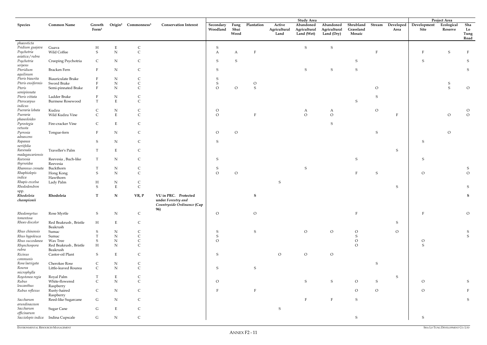|                                   |                                  |                             |                        |                                             |                                                                                 |                       |                      |               |                                | <b>Study Area</b>                       |                                         |                                  |                |                   |                               | <b>Project Area</b>   |                           |
|-----------------------------------|----------------------------------|-----------------------------|------------------------|---------------------------------------------|---------------------------------------------------------------------------------|-----------------------|----------------------|---------------|--------------------------------|-----------------------------------------|-----------------------------------------|----------------------------------|----------------|-------------------|-------------------------------|-----------------------|---------------------------|
| <b>Species</b>                    | <b>Common Name</b>               | Growth<br>Form <sup>1</sup> |                        | Origin <sup>2</sup> Commonness <sup>3</sup> | <b>Conservation Interest</b>                                                    | Secondary<br>Woodland | Fung<br>Shui<br>Wood | Plantation    | Active<br>Agricultural<br>Land | Abandoned<br>Agricultural<br>Land (Wet) | Abandoned<br>Agricultural<br>Land (Dry) | Shrubland<br>Grassland<br>Mosaic | Stream         | Developed<br>Area | Development<br>Site           | Ecological<br>Reserve | Sha<br>Lo<br>Tung<br>Road |
| phaeosticta                       |                                  |                             |                        |                                             |                                                                                 |                       |                      |               |                                |                                         |                                         |                                  |                |                   |                               |                       |                           |
| Psidium guajava                   | Guava                            | Н                           | Ε                      | $\mathsf{C}$                                |                                                                                 | S                     |                      |               |                                | ${\sf S}$                               | ${\sf S}$                               |                                  |                |                   |                               |                       |                           |
| Psychotria                        | Wild Coffee                      | S                           | ${\bf N}$              | $\mathsf{C}$                                |                                                                                 | A                     | A                    |               |                                |                                         |                                         |                                  |                |                   |                               | S                     | $\mathbf{F}$              |
| asiatica / rubra                  |                                  |                             |                        |                                             |                                                                                 |                       |                      |               |                                |                                         |                                         |                                  |                |                   |                               |                       |                           |
| Psychotria                        | Creeping Psychotria              | $\mathsf{C}$                | ${\bf N}$              | $\mathsf{C}$                                |                                                                                 | S                     | S                    |               |                                |                                         |                                         | S                                |                |                   | S                             |                       | S                         |
| serpens<br>Pteridium              |                                  | F                           | ${\bf N}$              |                                             |                                                                                 | S                     |                      |               |                                | S                                       | ${\mathsf S}$                           | S                                |                |                   |                               |                       |                           |
| aquilinum                         | Bracken Fern                     |                             |                        | $\mathsf{C}$                                |                                                                                 |                       |                      |               |                                |                                         |                                         |                                  |                |                   |                               |                       | S                         |
| Pteris biaurita                   | Biauriculate Brake               |                             | ${\bf N}$              |                                             |                                                                                 |                       |                      |               |                                |                                         |                                         |                                  |                |                   |                               |                       |                           |
| Pteris ensiformis                 | Sword Brake                      |                             | ${\bf N}$              |                                             |                                                                                 |                       |                      | $\circ$       |                                |                                         |                                         |                                  |                |                   |                               |                       |                           |
| Pteris                            | Semi-pinnated Brake              | F                           | ${\bf N}$              | $\mathsf C$                                 |                                                                                 | $\overline{O}$        | $\overline{O}$       | S             |                                |                                         |                                         |                                  | $\circ$        |                   |                               | S                     | $\circ$                   |
| semipinnata                       |                                  |                             |                        |                                             |                                                                                 |                       |                      |               |                                |                                         |                                         |                                  |                |                   |                               |                       |                           |
| Pteris vittata                    | Ladder Brake                     |                             | ${\rm N}$              |                                             |                                                                                 |                       |                      |               |                                |                                         |                                         |                                  | S              |                   |                               |                       |                           |
| Pterocarpus                       | <b>Burmese Rosewood</b>          | T                           | $\mathbf E$            | $\mathsf C$                                 |                                                                                 |                       |                      |               |                                |                                         |                                         | S                                |                |                   |                               |                       |                           |
| indicus                           |                                  |                             |                        |                                             |                                                                                 |                       |                      |               |                                |                                         |                                         |                                  |                |                   |                               |                       |                           |
| Pueraria lobata                   | Kudzu                            |                             | ${\bf N}$              | $\mathsf{C}$                                |                                                                                 | $\circ$               |                      |               |                                | A                                       | $\mathbf{A}$                            |                                  | $\mathcal{O}$  |                   |                               |                       | $\circ$                   |
| Pueraria<br>phaseoloides          | Wild Kudzu Vine                  | $\mathsf{C}$                | $\mathbf E$            | $\mathsf{C}$                                |                                                                                 | $\Omega$              |                      |               |                                | $\overline{O}$                          | $\circ$                                 |                                  |                | F                 |                               | $\circ$               | $\circ$                   |
| Pyrostegia                        | Fire-cracker Vine                | C                           | $\mathbf E$            | C                                           |                                                                                 |                       |                      |               |                                |                                         | S                                       |                                  |                |                   |                               |                       |                           |
| vetusta                           |                                  |                             |                        |                                             |                                                                                 |                       |                      |               |                                |                                         |                                         |                                  |                |                   |                               |                       |                           |
| Pyrrosia                          | Tongue-fern                      | $\mathbf{F}$                | ${\bf N}$              | $\mathsf{C}$                                |                                                                                 | $\circ$               | $\circ$              |               |                                |                                         |                                         |                                  | <sub>S</sub>   |                   |                               | $\overline{O}$        |                           |
| adnascens                         |                                  |                             |                        |                                             |                                                                                 |                       |                      |               |                                |                                         |                                         |                                  |                |                   |                               |                       |                           |
| Rapanea                           |                                  | S                           | ${\bf N}$              | $\mathsf{C}$                                |                                                                                 | S                     |                      |               |                                |                                         |                                         |                                  |                |                   | S                             |                       |                           |
| neriifolia                        |                                  |                             |                        |                                             |                                                                                 |                       |                      |               |                                |                                         |                                         |                                  |                |                   |                               |                       |                           |
| Ravenala                          | Traveller's Palm                 |                             | $\mathbf E$            | $\mathsf{C}$                                |                                                                                 |                       |                      |               |                                |                                         |                                         |                                  |                | $\mathsf S$       |                               |                       |                           |
| madagascariensis                  |                                  |                             |                        |                                             |                                                                                 |                       |                      |               |                                |                                         |                                         |                                  |                |                   |                               |                       |                           |
| Reevesia<br>thyrsoidea            | Reevesia, Buch-like<br>Reevesia  | $\mathbf T$                 | ${\bf N}$              | $\mathsf C$                                 |                                                                                 | S                     |                      |               |                                |                                         |                                         | ${\mathsf S}$                    |                |                   | S                             |                       |                           |
| Rhamnus crenata                   | Buckthorn                        | T                           | ${\rm N}$              | $\mathsf{C}$                                |                                                                                 | S                     |                      |               |                                | S                                       |                                         |                                  |                |                   |                               |                       | S                         |
| Rhaphiolepis                      | Hong Kong                        | S                           | ${\bf N}$              | $\mathsf C$                                 |                                                                                 | $\overline{O}$        | $\overline{O}$       |               |                                |                                         |                                         | F                                | S              |                   | $\overline{O}$                |                       | $\circ$                   |
| indica                            | Hawthorn                         |                             |                        |                                             |                                                                                 |                       |                      |               |                                |                                         |                                         |                                  |                |                   |                               |                       |                           |
| Rhapis excelsa                    | Lady Palm                        | H                           | ${\bf N}$              | C                                           |                                                                                 |                       |                      |               | S                              |                                         |                                         |                                  |                |                   |                               |                       |                           |
| Rhododendron                      |                                  | S                           | $\mathbf E$            | $\mathsf C$                                 |                                                                                 |                       |                      |               |                                |                                         |                                         |                                  |                | S                 |                               |                       | S                         |
| spp.                              |                                  |                             |                        |                                             |                                                                                 |                       |                      |               |                                |                                         |                                         |                                  |                |                   |                               |                       |                           |
| Rhodoleia<br>championii           | Rhodoleia                        | $\mathbf T$                 | ${\bf N}$              | VR, P                                       | VU in PRC. Protected<br>under Forestry and<br>Countryside Ordinance (Cap<br>96) |                       |                      | S             |                                |                                         |                                         |                                  |                |                   |                               |                       | S                         |
| Rhodomyrtus                       | Rose Myrtle                      | S                           | ${\bf N}$              | $\mathsf C$                                 |                                                                                 | $\overline{O}$        |                      | $\rm{O}$      |                                |                                         |                                         | $\mathbf F$                      |                |                   | $\mathbf{F}$                  |                       | $\mathcal{O}$             |
| tomentosa                         |                                  |                             |                        |                                             |                                                                                 |                       |                      |               |                                |                                         |                                         |                                  |                |                   |                               |                       |                           |
| Rhoeo discolor                    | Red Beakrush, Bristle            | H                           | $\mathbf E$            | $\mathsf C$                                 |                                                                                 |                       |                      |               |                                |                                         |                                         |                                  |                | S                 |                               |                       |                           |
|                                   | Beakrush                         |                             |                        |                                             |                                                                                 |                       |                      |               |                                |                                         |                                         |                                  |                |                   |                               |                       |                           |
| Rhus chinensis                    | Sumac                            | S                           | ${\bf N}$              | $\mathsf{C}$                                |                                                                                 | S                     |                      | S             |                                | $\circ$                                 | $\overline{O}$                          | $\circ$                          |                | $\overline{O}$    |                               |                       | S                         |
| Rhus hypoleuca<br>Rhus succedanea | Sumac<br>Wax Tree                |                             | ${\bf N}$<br>${\bf N}$ | ${\bf C}$<br>$\mathsf C$                    |                                                                                 | ${\sf S}$<br>$\circ$  |                      |               |                                |                                         |                                         | S                                |                |                   |                               |                       | ${\mathsf S}$             |
| Rhynchospora                      | Red Beakrush, Bristle            | S<br>$H_{\rm}$              | ${\bf N}$              | $\mathsf C$                                 |                                                                                 |                       |                      |               |                                |                                         |                                         | ${\cal O}$<br>$\overline{O}$     |                |                   | $\mathcal O$<br>${\mathsf S}$ |                       |                           |
| rubra                             | Beakrush                         |                             |                        |                                             |                                                                                 |                       |                      |               |                                |                                         |                                         |                                  |                |                   |                               |                       |                           |
| Ricinus                           | Castor-oil Plant                 | S                           | ${\bf E}$              | $\mathsf{C}$                                |                                                                                 | ${\sf S}$             |                      |               | $\overline{O}$                 | ${\cal O}$                              | $\circ$                                 |                                  |                |                   |                               |                       |                           |
| communis                          |                                  |                             |                        |                                             |                                                                                 |                       |                      |               |                                |                                         |                                         |                                  |                |                   |                               |                       |                           |
| Rosa laevigata                    | Cherokee Rose                    | $\mathsf{C}$                | ${\bf N}$              | $\mathsf{C}$                                |                                                                                 |                       |                      |               |                                |                                         |                                         |                                  | ${\sf S}$      |                   |                               |                       |                           |
| Rourea                            | Little-leaved Rourea             | $\mathsf C$                 | ${\bf N}$              | $\mathsf C$                                 |                                                                                 | S                     |                      | ${\mathsf S}$ |                                |                                         |                                         |                                  |                |                   |                               |                       |                           |
| microphylla                       |                                  |                             |                        |                                             |                                                                                 |                       |                      |               |                                |                                         |                                         |                                  |                |                   |                               |                       |                           |
| Roystonea regia                   | Royal Palm                       | T                           | $\mathbf E$            | $\mathsf{C}$                                |                                                                                 |                       |                      |               |                                |                                         |                                         |                                  |                | $S_{\mathcal{C}}$ |                               |                       |                           |
| Rubus                             | White-flowered                   | $\mathsf{C}$                | ${\bf N}$              | $\mathsf C$                                 |                                                                                 | $\overline{O}$        |                      |               |                                | ${\sf S}$                               | ${\mathbf S}$                           | $\mathcal{O}$                    | ${\sf S}$      |                   | $\circ$                       |                       | S                         |
| leucanthus                        | Raspberry                        |                             |                        |                                             |                                                                                 |                       |                      |               |                                |                                         |                                         |                                  |                |                   |                               |                       |                           |
| Rubus reflexus                    | Rusty-haired                     | $\mathsf{C}$                | ${\bf N}$              | $\mathsf C$                                 |                                                                                 |                       |                      |               |                                |                                         |                                         | $\circ$                          | $\overline{O}$ |                   | $\circ$                       |                       | F                         |
| Saccharum                         | Raspberry<br>Reed-like Sugarcane | G                           | ${\bf N}$              | $\mathsf{C}$                                |                                                                                 |                       |                      |               |                                | $\mathbf F$                             | $\rm F$                                 | ${\sf S}$                        |                |                   |                               |                       | S                         |
| arundinaceum                      |                                  |                             |                        |                                             |                                                                                 |                       |                      |               |                                |                                         |                                         |                                  |                |                   |                               |                       |                           |
| Saccharum                         | <b>Sugar Cane</b>                | G                           | $\mathbf E$            | $\mathsf{C}$                                |                                                                                 |                       |                      |               | S                              |                                         |                                         |                                  |                |                   |                               |                       |                           |
| officinarum                       |                                  |                             |                        |                                             |                                                                                 |                       |                      |               |                                |                                         |                                         |                                  |                |                   |                               |                       |                           |
| Sacciolepis indica                | Indina Cupscale                  | G                           | ${\bf N}$              | $\mathsf{C}$                                |                                                                                 |                       |                      |               |                                |                                         |                                         | ${\sf S}$                        |                |                   | S                             |                       |                           |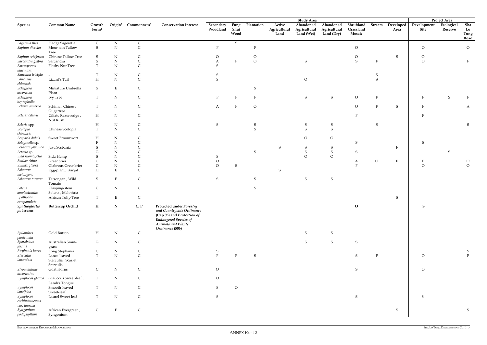|                                                 |                                 |                             |             |                                             |                                                                                                                                                                            |                       |                      |               |                                | <b>Study Area</b>                       |                                         |                                  |              |                           |                     | <b>Project Area</b>   |                           |
|-------------------------------------------------|---------------------------------|-----------------------------|-------------|---------------------------------------------|----------------------------------------------------------------------------------------------------------------------------------------------------------------------------|-----------------------|----------------------|---------------|--------------------------------|-----------------------------------------|-----------------------------------------|----------------------------------|--------------|---------------------------|---------------------|-----------------------|---------------------------|
| <b>Species</b>                                  | <b>Common Name</b>              | Growth<br>Form <sup>1</sup> |             | Origin <sup>2</sup> Commonness <sup>3</sup> | <b>Conservation Interest</b>                                                                                                                                               | Secondary<br>Woodland | Fung<br>Shui<br>Wood | Plantation    | Active<br>Agricultural<br>Land | Abandoned<br>Agricultural<br>Land (Wet) | Abandoned<br>Agricultural<br>Land (Dry) | Shrubland<br>Grassland<br>Mosaic | Stream       | Developed<br>Area         | Development<br>Site | Ecological<br>Reserve | Sha<br>Lo<br>Tung<br>Road |
| Sageretia thea                                  | Hedge Sageretia                 | $\mathsf{C}$                | ${\rm N}$   | $\mathsf{C}$                                |                                                                                                                                                                            |                       | S                    |               |                                |                                         |                                         |                                  |              |                           |                     |                       |                           |
| Sapium discolor                                 | Mountain Tallow                 | S                           | ${\rm N}$   | $\mathsf C$                                 |                                                                                                                                                                            | F                     |                      | F             |                                |                                         |                                         | $\mathcal O$                     |              |                           | $\mathcal{O}$       |                       | $\overline{O}$            |
|                                                 | Tree                            |                             |             |                                             |                                                                                                                                                                            |                       |                      |               |                                |                                         |                                         |                                  |              |                           |                     |                       |                           |
| Sapium sebiferum                                | Chinese Tallow Tree             | S                           | $\mathbf N$ | C                                           |                                                                                                                                                                            | $\circ$               |                      | $\circ$       |                                |                                         |                                         | $\circ$                          |              | $S_{\mathcal{S}}$         | $\circ$             |                       |                           |
| Sarcandra glabra                                | Sarcandra                       | S                           | ${\bf N}$   | $\mathsf{C}$                                |                                                                                                                                                                            | A                     |                      | $\mathcal O$  |                                | S                                       |                                         | ${\mathsf S}$                    | $\mathbf F$  |                           | $\mathcal O$        |                       | F                         |
| Sarcosperma                                     | Fleshy Nut Tree                 | $\mathbf T$                 | ${\bf N}$   | $\mathsf{C}$                                |                                                                                                                                                                            | S                     |                      |               |                                |                                         |                                         |                                  |              |                           |                     |                       |                           |
| laurinum                                        |                                 |                             |             |                                             |                                                                                                                                                                            |                       |                      |               |                                |                                         |                                         |                                  |              |                           |                     |                       |                           |
| Saurauia tristyla                               |                                 | Т                           | ${\rm N}$   | C                                           |                                                                                                                                                                            | S                     |                      |               |                                |                                         |                                         |                                  | -S           |                           |                     |                       |                           |
| Saururus                                        | Lizard's Tail                   | H                           | ${\bf N}$   | $\mathsf C$                                 |                                                                                                                                                                            | S                     |                      |               |                                | $\circ$                                 |                                         |                                  | <sub>S</sub> |                           |                     |                       |                           |
| chinensis                                       |                                 |                             |             |                                             |                                                                                                                                                                            |                       |                      |               |                                |                                         |                                         |                                  |              |                           |                     |                       |                           |
| Schefflera                                      | Miniature Umbrella              | S                           | $\mathbf E$ | $\mathsf{C}$                                |                                                                                                                                                                            |                       |                      | S             |                                |                                         |                                         |                                  |              |                           |                     |                       |                           |
| arboricola                                      | Plant                           |                             |             |                                             |                                                                                                                                                                            |                       |                      |               |                                |                                         |                                         |                                  |              |                           |                     |                       |                           |
| Schefflera                                      | <b>Ivy Tree</b>                 | T                           | ${\rm N}$   | $\mathsf{C}$                                |                                                                                                                                                                            |                       |                      | $\mathbf{F}$  |                                | S                                       | ${\mathsf S}$                           | $\overline{O}$                   | $\mathbf{F}$ |                           |                     | S                     |                           |
| heptaphylla                                     |                                 |                             |             |                                             |                                                                                                                                                                            |                       |                      |               |                                |                                         |                                         |                                  |              |                           |                     |                       |                           |
| Schima superba                                  | Schima, Chinese                 | T                           | ${\rm N}$   | C                                           |                                                                                                                                                                            | A                     |                      | $\circ$       |                                |                                         |                                         | $\circ$                          | $\rm F$      | ${\mathsf S}$             |                     |                       | A                         |
|                                                 | Gugertree                       |                             |             |                                             |                                                                                                                                                                            |                       |                      |               |                                |                                         |                                         |                                  |              |                           |                     |                       |                           |
| Scleria ciliaris                                | Ciliate Razorsedge,             | H                           | ${\rm N}$   | C                                           |                                                                                                                                                                            |                       |                      |               |                                |                                         |                                         |                                  |              |                           |                     |                       |                           |
|                                                 | Nut Rush                        |                             |             |                                             |                                                                                                                                                                            |                       |                      |               |                                |                                         |                                         |                                  |              |                           |                     |                       |                           |
| Scleria spp.                                    |                                 | H                           | ${\rm N}$   | C                                           |                                                                                                                                                                            | S                     |                      | S             |                                | S                                       | S                                       |                                  | S            |                           |                     |                       | S                         |
| Scolopia                                        | Chinese Scolopia                | T                           | ${\bf N}$   | $\mathsf{C}$                                |                                                                                                                                                                            |                       |                      | S             |                                | $\mathcal{S}$                           | S                                       |                                  |              |                           |                     |                       |                           |
| chinensis                                       |                                 |                             |             |                                             |                                                                                                                                                                            |                       |                      |               |                                |                                         |                                         |                                  |              |                           |                     |                       |                           |
| Scoparia dulcis                                 | Sweet Broomwort                 | H                           | ${\rm N}$   |                                             |                                                                                                                                                                            |                       |                      |               |                                | $\circ$                                 | $\circ$                                 |                                  |              |                           |                     |                       |                           |
| Selaginella sp.                                 |                                 |                             | ${\rm N}$   |                                             |                                                                                                                                                                            |                       |                      |               |                                |                                         |                                         | S                                |              |                           | -S                  |                       |                           |
| Sesbania javanica                               | Java Sesbania                   | S                           | ${\rm N}$   |                                             |                                                                                                                                                                            |                       |                      |               | S                              | S                                       | S                                       |                                  |              | $\boldsymbol{\mathrm{F}}$ |                     |                       |                           |
| Setaria sp.                                     |                                 |                             | ${\rm N}$   |                                             |                                                                                                                                                                            |                       |                      | S             |                                | ${\mathsf S}$                           | S                                       | S                                |              |                           |                     | S                     |                           |
| Sida rhombifolia                                | Sida Hemp                       |                             | ${\bf N}$   |                                             |                                                                                                                                                                            | S                     |                      |               |                                | $\Omega$                                | $\Omega$                                |                                  |              |                           |                     |                       |                           |
| Smilax china                                    | Greenbrier                      |                             | ${\rm N}$   |                                             |                                                                                                                                                                            | $\circ$               |                      |               |                                |                                         |                                         | A                                | $\mathcal O$ | F                         |                     |                       | $\circ$                   |
| Smilax glabra                                   | Glabrous Greenbrier             |                             | ${\rm N}$   |                                             |                                                                                                                                                                            | $\overline{O}$        | S                    |               |                                |                                         |                                         |                                  |              |                           | $\mathcal{O}$       |                       | $\overline{O}$            |
| Solanum                                         | Egg-plant, Brinjal              | H                           | $\mathbf E$ | $\subset$                                   |                                                                                                                                                                            |                       |                      |               |                                |                                         |                                         |                                  |              |                           |                     |                       |                           |
| melongena                                       |                                 |                             |             |                                             |                                                                                                                                                                            |                       |                      |               |                                |                                         |                                         |                                  |              |                           |                     |                       |                           |
| Solanum torvum                                  | Tetrongan, Wild                 | S                           | $\mathbf E$ |                                             |                                                                                                                                                                            | S                     |                      |               |                                | S                                       | ${\mathsf S}$                           |                                  |              |                           |                     |                       |                           |
|                                                 | Tomato                          |                             |             |                                             |                                                                                                                                                                            |                       |                      |               |                                |                                         |                                         |                                  |              |                           |                     |                       |                           |
| Solena                                          | Clasping-stem                   | $\mathsf{C}$                | ${\rm N}$   | C                                           |                                                                                                                                                                            |                       |                      | S             |                                |                                         |                                         |                                  |              |                           |                     |                       |                           |
| amplexicaulis                                   | Solena, Melothria               |                             |             |                                             |                                                                                                                                                                            |                       |                      |               |                                |                                         |                                         |                                  |              |                           |                     |                       |                           |
| Spathodea                                       | African Tulip Tree              | T                           | Ε           | $\mathsf C$                                 |                                                                                                                                                                            |                       |                      |               |                                |                                         |                                         |                                  |              | $S_{\parallel}$           |                     |                       |                           |
| campanulata<br>Spathoglottis<br>pubescens       | <b>Buttercup Orchid</b>         | H                           | ${\bf N}$   | C, P                                        | <b>Protected under Forestry</b><br>and Countryside Ordinance<br>(Cap 96) and Protection of<br><b>Endangered Species of</b><br><b>Animals and Plants</b><br>Ordinance (586) |                       |                      |               |                                |                                         |                                         | ${\bf O}$                        |              |                           | ${\bf S}$           |                       |                           |
| <b>Spilanthes</b>                               | Gold Button                     | $\mathbf H$                 | ${\bf N}$   | $\mathsf C$                                 |                                                                                                                                                                            |                       |                      |               |                                | ${\mathsf S}$                           | ${\mathsf S}$                           |                                  |              |                           |                     |                       |                           |
| paniculata                                      |                                 |                             |             |                                             |                                                                                                                                                                            |                       |                      |               |                                |                                         |                                         |                                  |              |                           |                     |                       |                           |
| Sporobolus                                      | Australian Smut-                | G                           | N           | $\mathsf C$                                 |                                                                                                                                                                            |                       |                      |               |                                | ${\sf S}$                               | ${\mathsf S}$                           | ${\sf S}$                        |              |                           |                     |                       |                           |
| fertilis                                        | grass                           |                             |             |                                             |                                                                                                                                                                            |                       |                      |               |                                |                                         |                                         |                                  |              |                           |                     |                       |                           |
| Stephania longa                                 | Long Stephania                  | $\mathsf{C}$                | ${\rm N}$   | $\mathsf C$                                 |                                                                                                                                                                            | S                     |                      |               |                                |                                         |                                         |                                  |              |                           |                     |                       | S                         |
| Sterculia                                       | Lance-leaved                    | T                           | ${\bf N}$   | $\mathsf C$                                 |                                                                                                                                                                            | $\rm F$               |                      | ${\mathsf S}$ |                                |                                         |                                         | ${\sf S}$                        | $\rm F$      |                           | $\mathcal O$        |                       | $\overline{F}$            |
| lanceolata                                      | Sterculia, Scarlet              |                             |             |                                             |                                                                                                                                                                            |                       |                      |               |                                |                                         |                                         |                                  |              |                           |                     |                       |                           |
|                                                 | Sterculia                       |                             |             |                                             |                                                                                                                                                                            |                       |                      |               |                                |                                         |                                         |                                  |              |                           |                     |                       |                           |
| Strophanthus                                    | Goat Horns                      | $\mathsf{C}$                | ${\bf N}$   | $\mathsf C$                                 |                                                                                                                                                                            | $\overline{O}$        |                      |               |                                |                                         |                                         | ${\sf S}$                        |              |                           | $\overline{O}$      |                       |                           |
| divaricatus                                     |                                 |                             |             |                                             |                                                                                                                                                                            |                       |                      |               |                                |                                         |                                         |                                  |              |                           |                     |                       |                           |
| Symplocos glauca                                | Glaucous Sweet-leaf,            | T                           | ${\bf N}$   | $\mathsf{C}$                                |                                                                                                                                                                            | $\overline{O}$        |                      |               |                                |                                         |                                         |                                  |              |                           |                     |                       |                           |
|                                                 | Lamb's Tongue                   |                             |             |                                             |                                                                                                                                                                            |                       |                      |               |                                |                                         |                                         |                                  |              |                           |                     |                       |                           |
| Symplocos                                       | Smooth-leaved                   | T                           | ${\bf N}$   | $\mathsf C$                                 |                                                                                                                                                                            | S                     | $\overline{O}$       |               |                                |                                         |                                         |                                  |              |                           |                     |                       |                           |
| lancifolia                                      | Sweet-leaf                      |                             |             |                                             |                                                                                                                                                                            |                       |                      |               |                                |                                         |                                         |                                  |              |                           |                     |                       |                           |
| $\label{prop:sum} Symplocos$<br>cochinchinensis | Laurel Sweet-leaf               | T                           | ${\bf N}$   | $\mathsf C$                                 |                                                                                                                                                                            | S                     |                      |               |                                |                                         |                                         | ${\mathsf S}$                    |              |                           | S                   |                       |                           |
| var. laurina                                    |                                 |                             |             |                                             |                                                                                                                                                                            |                       |                      |               |                                |                                         |                                         |                                  |              |                           |                     |                       |                           |
| Syngonium<br>podophyllum                        | African Evergreen,<br>Syngonium | $\mathsf{C}$                | $\mathbf E$ | $\mathsf{C}$                                |                                                                                                                                                                            |                       |                      |               |                                |                                         |                                         |                                  |              | S                         |                     |                       | ${\bf S}$                 |
|                                                 |                                 |                             |             |                                             |                                                                                                                                                                            |                       |                      |               |                                |                                         |                                         |                                  |              |                           |                     |                       |                           |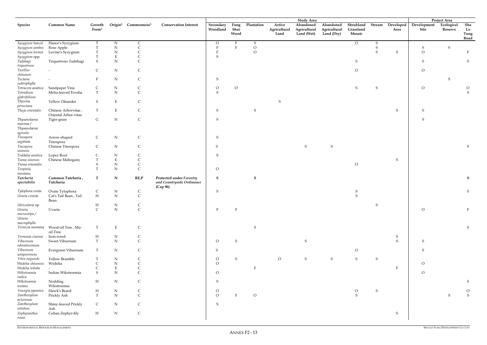|                                      |                          |                             |             |                                             |                                       |                       |                      |                |                                | <b>Study Area</b>                       |                                         |                                  |               |                   |                     | Project Area          |                           |
|--------------------------------------|--------------------------|-----------------------------|-------------|---------------------------------------------|---------------------------------------|-----------------------|----------------------|----------------|--------------------------------|-----------------------------------------|-----------------------------------------|----------------------------------|---------------|-------------------|---------------------|-----------------------|---------------------------|
| Species                              | <b>Common Name</b>       | Growth<br>Form <sup>1</sup> |             | Origin <sup>2</sup> Commonness <sup>3</sup> | <b>Conservation Interest</b>          | Secondary<br>Woodland | Fung<br>Shui<br>Wood | Plantation     | Active<br>Agricultural<br>Land | Abandoned<br>Agricultural<br>Land (Wet) | Abandoned<br>Agricultural<br>Land (Dry) | Shrubland<br>Grassland<br>Mosaic | <b>Stream</b> | Developed<br>Area | Development<br>Site | Ecological<br>Reserve | Sha<br>Lo<br>Tung<br>Road |
| Syzygium hancei                      | Hance's Syzygium         | T                           | $\mathbf N$ | C                                           |                                       | $\overline{O}$        |                      | S              |                                |                                         |                                         | $\overline{O}$                   | S             |                   |                     |                       |                           |
| Syzygium jambos                      | Rose Apple               |                             | ${\bf N}$   | $\mathsf{C}$                                |                                       |                       |                      | $\mathcal{O}$  |                                |                                         |                                         |                                  | S             |                   | S                   | $S_{\mathcal{L}}$     |                           |
| Syzygium levinei                     | Levine's Syzygium        |                             | ${\bf N}$   |                                             |                                       |                       |                      | $\overline{O}$ |                                |                                         |                                         |                                  | S             | S                 | $\circ$             |                       | F                         |
|                                      |                          |                             | $\mathbf E$ |                                             |                                       | S                     |                      |                |                                |                                         |                                         |                                  |               |                   |                     |                       |                           |
| Syzygium spp.<br>Tadehagi            | Triquetrous Tadehagi     | S                           | ${\bf N}$   | $\overline{C}$                              |                                       |                       |                      |                |                                |                                         |                                         | ${\sf S}$                        |               |                   | $\mathsf S$         |                       | $\mathsf S$               |
| triquetrum                           |                          |                             |             |                                             |                                       |                       |                      |                |                                |                                         |                                         |                                  |               |                   |                     |                       |                           |
| Taxillus                             |                          | $\mathsf{C}$                | $\mathbf N$ | C                                           |                                       |                       |                      |                |                                |                                         |                                         | $\mathcal{O}$                    |               |                   | $\overline{O}$      |                       |                           |
| chinensis                            |                          |                             |             |                                             |                                       |                       |                      |                |                                |                                         |                                         |                                  |               |                   |                     |                       |                           |
| Tectaria                             | $\overline{\phantom{a}}$ | $\mathbf{F}$                | $\mathbf N$ | $\mathsf{C}$                                |                                       | S                     |                      |                |                                |                                         |                                         |                                  |               |                   |                     | S                     |                           |
| subtriphylla                         |                          |                             |             |                                             |                                       |                       |                      |                |                                |                                         |                                         |                                  |               |                   |                     |                       |                           |
| Tetracera asiatica                   | Sandpaper Vine           | $\mathsf{C}$                | ${\bf N}$   | C                                           |                                       | $\circ$               | $\mathcal{O}$        |                |                                |                                         |                                         | S                                | S             |                   | $\circ$             |                       | $\mathcal O$              |
| Tetradium                            | Melia-leaved Evodia      | T                           | N           | $\mathsf C$                                 |                                       | S                     |                      |                |                                |                                         |                                         |                                  |               |                   |                     |                       | S                         |
| glabrifolium                         |                          |                             |             |                                             |                                       |                       |                      |                |                                |                                         |                                         |                                  |               |                   |                     |                       |                           |
| Thevetia                             | Yellow Oleander          | S                           | $\mathbf E$ | C                                           |                                       |                       |                      |                | S                              |                                         |                                         |                                  |               |                   |                     |                       |                           |
| peruviana                            |                          |                             |             |                                             |                                       |                       |                      |                |                                |                                         |                                         |                                  |               |                   |                     |                       |                           |
| Thuja orientalis                     | Chinese Arborvitae       | T                           | ${\bf E}$   | C                                           |                                       | ${\sf S}$             |                      | S              |                                |                                         |                                         |                                  |               | S                 | ${\mathsf S}$       |                       |                           |
|                                      | Oriental Arbor-vitae     |                             |             |                                             |                                       |                       |                      |                |                                |                                         |                                         |                                  |               |                   |                     |                       |                           |
| Thysanolaena                         | Tiger-grass              | G                           | ${\bf N}$   | $\mathsf{C}$                                |                                       | S                     |                      |                |                                |                                         |                                         |                                  |               |                   | S                   |                       |                           |
| maxima/                              |                          |                             |             |                                             |                                       |                       |                      |                |                                |                                         |                                         |                                  |               |                   |                     |                       |                           |
| Thysanolaena                         |                          |                             |             |                                             |                                       |                       |                      |                |                                |                                         |                                         |                                  |               |                   |                     |                       |                           |
| agrostis                             |                          |                             |             |                                             |                                       |                       |                      |                |                                |                                         |                                         |                                  |               |                   |                     |                       |                           |
| Tinospora                            | Arrow-shaped             | $\mathsf{C}$                | ${\bf N}$   | $\mathsf C$                                 |                                       | S                     |                      |                |                                |                                         |                                         |                                  |               |                   |                     |                       |                           |
| sagittata                            | Tinospora                |                             |             |                                             |                                       |                       |                      |                |                                |                                         |                                         |                                  |               |                   |                     |                       |                           |
| Tinospora                            | Chinese Tinospora        | $\mathsf{C}$                | ${\bf N}$   | $\mathsf{C}$                                |                                       | S                     |                      |                |                                | ${\mathsf S}$                           | S                                       |                                  |               |                   |                     |                       | S                         |
| sinensis                             |                          |                             |             |                                             |                                       |                       |                      |                |                                |                                         |                                         |                                  |               |                   |                     |                       |                           |
| Toddalia asiatica                    | Lopez Root               | C                           | N           | C                                           |                                       | S                     |                      |                |                                |                                         |                                         |                                  |               |                   |                     |                       |                           |
| Toona sinensis                       | Chinese Mahogany         | T                           | $\mathbf E$ | $\mathsf{C}$                                |                                       |                       |                      |                |                                |                                         |                                         |                                  |               | S                 |                     |                       |                           |
| Trema orientalis                     |                          | S                           | ${\bf N}$   | $\mathsf{C}$                                |                                       |                       |                      |                |                                |                                         |                                         | $\rm{O}$                         |               |                   |                     |                       |                           |
| Turpinia                             |                          | T                           | ${\bf N}$   | $\mathsf C$                                 |                                       | $\overline{O}$        |                      |                |                                |                                         |                                         |                                  |               |                   |                     |                       |                           |
| montana<br>Tutcheria                 | Common Tutcheria,        | $\mathbf T$                 | $\mathbf N$ | RE, P                                       | <b>Protected under Forestry</b>       | S                     |                      | S              |                                |                                         |                                         |                                  |               |                   |                     |                       | S                         |
| spectabilis                          | Tutcheria                |                             |             |                                             | and Countryside Ordinance<br>(Cap 96) |                       |                      |                |                                |                                         |                                         |                                  |               |                   |                     |                       |                           |
| Tylophora ovata                      | Ovate Tylophora          | $\mathsf{C}$                | ${\bf N}$   | $\mathsf{C}$                                |                                       | S                     |                      |                |                                |                                         |                                         | S                                |               |                   |                     |                       | ${\mathsf S}$             |
| Uraria crinita                       | Cat's Tail Bean, Tail    | H                           | ${\bf N}$   | $\mathsf{C}$                                |                                       |                       |                      |                |                                |                                         |                                         | S                                |               |                   |                     |                       |                           |
|                                      | Bean                     |                             |             |                                             |                                       |                       |                      |                |                                |                                         |                                         |                                  |               |                   |                     |                       |                           |
| Utricularia sp.                      |                          | Η                           | $\mathbf N$ |                                             |                                       |                       |                      |                |                                |                                         |                                         |                                  | S             |                   |                     |                       |                           |
| Uvaria                               | Uvaria                   | $\mathsf{C}$                | ${\bf N}$   | $\mathsf C$                                 |                                       | $\mathbf{F}$          |                      |                |                                |                                         |                                         |                                  |               |                   | $\overline{O}$      |                       |                           |
| microcarpa/<br>Uvaria<br>macrophylla |                          |                             |             |                                             |                                       |                       |                      |                |                                |                                         |                                         |                                  |               |                   |                     |                       |                           |
| Vernicia montana                     | Wood-oil Tree, Mu-       | T                           | $E_{\rm}$   | C                                           |                                       |                       |                      | S              |                                |                                         |                                         |                                  |               |                   |                     |                       | ${\mathbf S}$             |
|                                      | oil Tree                 |                             |             |                                             |                                       |                       |                      |                |                                |                                         |                                         |                                  |               |                   |                     |                       |                           |
| Vernonia cinerea                     | Iron-weed                | $\rm H$                     | $\mathbf N$ | C                                           |                                       |                       |                      |                |                                |                                         |                                         |                                  |               | S                 |                     |                       |                           |
| Viburnum                             | Sweet Viburnum           | T                           | ${\rm N}$   | $\mathsf C$                                 |                                       | $\overline{O}$        | S                    |                |                                | ${\sf S}$                               |                                         |                                  |               | ${\mathbf S}$     | S                   |                       |                           |
| odoratissimum                        |                          |                             |             |                                             |                                       |                       |                      |                |                                |                                         |                                         |                                  |               |                   |                     |                       |                           |
| Viburnum                             | Evergreen Viburnum       | T                           | ${\bf N}$   | C                                           |                                       | S                     |                      |                |                                |                                         |                                         | $\circ$                          |               |                   | S                   |                       |                           |
| sempervirens                         |                          |                             |             |                                             |                                       |                       |                      |                |                                |                                         |                                         |                                  |               |                   |                     |                       |                           |
| Vitex negundo                        | Yellow Bramble           |                             | ${\rm N}$   |                                             |                                       | $\circ$               | S                    |                | $\circ$                        | ${\mathsf S}$                           | S                                       | ${\mathsf S}$                    | S             |                   |                     |                       |                           |
| Wedelia chinensis                    | Wedelia                  |                             | ${\bf N}$   |                                             |                                       | $\overline{O}$        |                      |                |                                |                                         |                                         |                                  |               |                   | $\overline{O}$      |                       |                           |
| Wedelia triloba                      |                          |                             | $\mathbf E$ | $\mathsf{C}$                                |                                       |                       |                      | F              |                                |                                         |                                         |                                  |               |                   |                     |                       |                           |
| Wikstroemia                          | Indian Wikstroemia       | S                           | ${\bf N}$   |                                             |                                       | $\circ$               |                      |                |                                |                                         |                                         |                                  |               |                   | $\circ$             |                       |                           |
| indica                               |                          |                             |             |                                             |                                       |                       |                      |                |                                |                                         |                                         |                                  |               |                   |                     |                       |                           |
| Wikstroemia                          | Nodding                  | H                           | $\mathbf N$ | $\mathsf{C}$                                |                                       | S                     |                      |                |                                |                                         |                                         |                                  |               |                   |                     |                       | S                         |
| nutans                               | Wikstroemia              |                             |             |                                             |                                       |                       |                      |                |                                |                                         |                                         |                                  |               |                   |                     |                       |                           |
| Youngia japonica                     | Hawk's Beard             | H                           | $\mathbf N$ | C                                           |                                       | $\circ$               |                      |                |                                |                                         |                                         | $\circ$                          | S             |                   |                     |                       | O                         |
| Zanthoxylum<br>avicennae             | Prickly Ash              | T                           | ${\bf N}$   | $\mathsf{C}$                                |                                       | $\overline{O}$        |                      | $\overline{O}$ |                                |                                         |                                         | S                                |               |                   |                     | S                     | ${\mathbf S}$             |
| Zanthoxylum                          | Shiny-leaved Prickly     | $\mathsf{C}$                | ${\bf N}$   | C                                           |                                       | ${\sf S}$             |                      |                |                                |                                         |                                         |                                  |               |                   |                     |                       |                           |
| nitidum                              | Ash                      |                             |             |                                             |                                       |                       |                      |                |                                |                                         |                                         |                                  |               |                   |                     |                       |                           |
| Zephyranthes                         | Cuban Zephyr-lily        | H                           | $\mathbf N$ | $\mathsf{C}$                                |                                       |                       |                      |                |                                |                                         |                                         |                                  |               | $S_{\text{}}$     |                     |                       |                           |
| rosea                                |                          |                             |             |                                             |                                       |                       |                      |                |                                |                                         |                                         |                                  |               |                   |                     |                       |                           |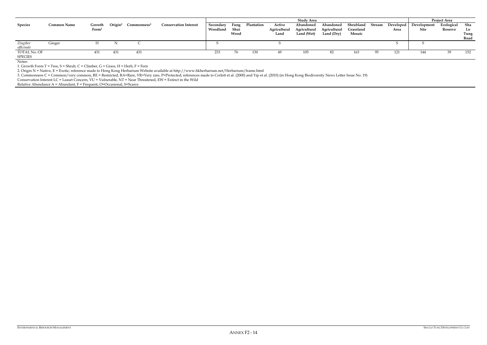|                |                    |                   |                     |                         |                              |           |      |            |              | Study Area   |              |           |        |           |             | <b>Project Area</b> |      |
|----------------|--------------------|-------------------|---------------------|-------------------------|------------------------------|-----------|------|------------|--------------|--------------|--------------|-----------|--------|-----------|-------------|---------------------|------|
| <b>Species</b> | <b>Common Name</b> | Growth            | Origin <sup>2</sup> | Commonness <sup>3</sup> | <b>Conservation Interest</b> | Secondary | Fung | Plantation | Active       | Abandoned    | Abandoned    | Shrubland | Stream | Developed | Development | Ecological          | Sha  |
|                |                    | Form <sup>1</sup> |                     |                         |                              | Woodland  | Shui |            | Agricultural | Agricultural | Agricultural | Grassland |        | Area      | Site        | Reserve             | Lo   |
|                |                    |                   |                     |                         |                              |           | Wood |            | Land         | Land (Wet)   | Land (Dry)   | Mosaic    |        |           |             |                     | Tung |
|                |                    |                   |                     |                         |                              |           |      |            |              |              |              |           |        |           |             |                     | Road |
| Zingiber       | Ginger             |                   |                     |                         |                              |           |      |            |              |              |              |           |        |           |             |                     |      |
| officinale     |                    |                   |                     |                         |                              |           |      |            |              |              |              |           |        |           |             |                     |      |
| TOTAL No. OF   |                    | 431               | 431                 | 431                     |                              | 233       | 76   |            |              | 105          | 82           | 163       |        | 121       | 144         |                     | 152  |
| <b>SPECIES</b> |                    |                   |                     |                         |                              |           |      |            |              |              |              |           |        |           |             |                     |      |
| $\mathbf{X}$   |                    |                   |                     |                         |                              |           |      |            |              |              |              |           |        |           |             |                     |      |

3. Commonness C = Common/very common, RE = Restricted, RA=Rare, VR=Very rare, P=Protected; references made to Corlett et al. (2000) and Yip et al. (2010) (in Hong Kong Biodiversity News Letter Issue No. 19) Conservation Interest LC = Leaset Concern, VU = Vulnerable, NT = Near Threatened, EW = Extinct in the Wild

Relative Abundance  $A =$  Abundant,  $F =$  Frequent, O=Occasional, S=Scarce

Notes:

1. Growth Form  $T = Tree$ ,  $S = Shrub$ ,  $C = Climber$ ,  $G = Grass$ ,  $H = Herb$ ,  $F = Fern$ 

2. Origin N = Native, E = Exotic; reference made to Hong Kong Herbarium Website available at http://www.hkherbarium.net/Herbarium/frame.html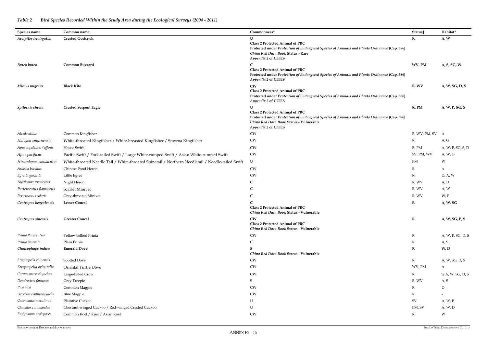| Species name              | Common name                                                                                       | Commonness*                                                                                                                                                                                             | Status†         | Habitat^          |
|---------------------------|---------------------------------------------------------------------------------------------------|---------------------------------------------------------------------------------------------------------------------------------------------------------------------------------------------------------|-----------------|-------------------|
| Accipiter trivirgatus     | <b>Crested Goshawk</b>                                                                            | $\mathbf{I}$                                                                                                                                                                                            | R               | A, W              |
|                           |                                                                                                   | Class 2 Protected Animal of PRC<br>Protected under Protection of Endangered Species of Animals and Plants Ordinance (Cap. 586)<br>China Red Data Book Status - Rare<br>Appendix 2 of CITES              |                 |                   |
| Buteo buteo               | Common Buzzard                                                                                    | <b>Class 2 Protected Animal of PRC</b><br>Protected under Protection of Endangered Species of Animals and Plants Ordinance (Cap. 586)<br>Appendix 2 of CITES                                            | WV. PM          | A, S, SG, W       |
| Milvus migrans            | <b>Black Kite</b>                                                                                 | <b>CW</b><br><b>Class 2 Protected Animal of PRC</b><br>Protected under Protection of Endangered Species of Animals and Plants Ordinance (Cap. 586)<br>Appendix 2 of CITES                               | R, WV           | A, W, SG, D, S    |
| Spilornis cheela          | <b>Crested Serpent Eagle</b>                                                                      | <b>Class 2 Protected Animal of PRC</b><br>Protected under Protection of Endangered Species of Animals and Plants Ordinance (Cap. 586)<br>China Red Data Book Status - Vulnerable<br>Appendix 2 of CITES | R. PM           | A, W, P, SG, S    |
| Alcedo atthis             | Common Kingfisher                                                                                 | <b>CW</b>                                                                                                                                                                                               | R, WV, PM, SV A |                   |
| Halcyon smyrnensis        | White-throated Kingfisher / White-breasted Kingfisher / Smyrna Kingfisher                         | <b>CW</b>                                                                                                                                                                                               | $\mathbb{R}$    | A, G              |
| Apus nipalensis / affinis | House Swift                                                                                       | <b>CW</b>                                                                                                                                                                                               | $R$ , PM        | A, W, P, SG, S, D |
| Apus pacificus            | Pacific Swift / Fork-tailed Swift / Large White-rumped Swift / Asian White-rumped Swift           | <b>CW</b>                                                                                                                                                                                               | SV, PM, WV      | A, W, G           |
| Hirundapus caudacutus     | White-throated Needle Tail / White-throated Spinetail / Northern Needletail / Needle-tailed Swift | U                                                                                                                                                                                                       | PM              | W                 |
| Ardeola bacchus           | Chinese Pond Heron                                                                                | <b>CW</b>                                                                                                                                                                                               | $\mathbb{R}$    | A                 |
| Egretta garzetta          | Little Egret                                                                                      | <b>CW</b>                                                                                                                                                                                               | $\mathbb{R}$    | D, A, W           |
| Nycticorax nycticorax     | Night Heron                                                                                       | $\mathsf{C}$                                                                                                                                                                                            | R, WV           | A, D              |
| Pericrocotus flammeus     | <b>Scarlet Minivet</b>                                                                            | C                                                                                                                                                                                                       | R, WV           | A, W              |
| Pericrocotus solaris      | Grey-throated Minivet                                                                             | C                                                                                                                                                                                                       | R, WV           | W, P              |
| Centropus bengalensis     | <b>Lesser Coucal</b>                                                                              | <b>Class 2 Protected Animal of PRC</b><br>China Red Data Book Status - Vulnerable                                                                                                                       | $\mathbf R$     | A, W, SG          |
| Centropus sinensis        | <b>Greater Coucal</b>                                                                             | <b>CW</b><br><b>Class 2 Protected Animal of PRC</b><br>China Red Data Book Status - Vulnerable                                                                                                          | $\mathbf R$     | A, W, SG, P, S    |
| Prinia flaviventris       | Yellow-bellied Prinia                                                                             | <b>CW</b>                                                                                                                                                                                               | $\mathbb{R}$    | A, W, P, SG, D, S |
| Prinia inornata           | Plain Prinia                                                                                      | $\mathsf{C}$                                                                                                                                                                                            | $\mathbb{R}$    | A, S              |
| Chalcophaps indica        | <b>Emerald Dove</b>                                                                               | China Red Data Book Status - Vulnerable                                                                                                                                                                 | $\mathbf R$     | W, D              |
| Streptopelia chinensis    | Spotted Dove                                                                                      | <b>CW</b>                                                                                                                                                                                               | $\mathbb{R}$    | A, W, SG, D, S    |
| Streptopelia orientalis   | Oriental Turtle Dove                                                                              | <b>CW</b>                                                                                                                                                                                               | WV, PM          | A                 |
| Corvus macrorhynchus      | Large-billed Crow                                                                                 | <b>CW</b>                                                                                                                                                                                               | $\mathbb{R}$    | S, A, W, SG, D, S |
| Dendrocitta formosae      | Grey Treepie                                                                                      | S                                                                                                                                                                                                       | R, WV           | A, S              |
| Pica pica                 | Common Magpie                                                                                     | <b>CW</b>                                                                                                                                                                                               | R               | ${\rm D}$         |
| Urocissa erythrorhyncha   | <b>Blue Magpie</b>                                                                                | <b>CW</b>                                                                                                                                                                                               | R               | $-$               |
| Cacomantis merulinus      | Plaintive Cuckoo                                                                                  | U                                                                                                                                                                                                       | SV              | A, W, P           |
| Clamator coromandus       | Chestnut-winged Cuckoo / Red-winged Crested Cuckoo                                                | ${\bf U}$                                                                                                                                                                                               | PM, SV          | A, W, D           |
| Eudynamys scolopacea      | Common Koel / Koel / Asian Koel                                                                   | <b>CW</b>                                                                                                                                                                                               | $\mathbb{R}$    | W                 |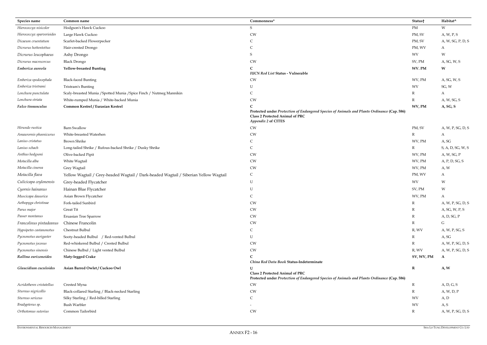| Species name              | Common name                                                                          | Commonness*                                                                                                                                                  | Status†      | Habitat^          |
|---------------------------|--------------------------------------------------------------------------------------|--------------------------------------------------------------------------------------------------------------------------------------------------------------|--------------|-------------------|
| Hierococcyx nisicolor     | Hodgson's Hawk Cuckoo                                                                | S                                                                                                                                                            | PM           | W                 |
| Hierococcyx sparverioides | Large Hawk Cuckoo                                                                    | <b>CW</b>                                                                                                                                                    | PM, SV       | A, W, P, S        |
| Dicaeum cruentatum        | Scarlet-backed Flowerpecker                                                          | $\mathsf{C}$                                                                                                                                                 | PM, SV       | A, W, SG, P, D, S |
| Dicrurus hottentottus     | Hair-crested Drongo                                                                  | $\mathsf{C}$                                                                                                                                                 | PM, WV       | A                 |
| Dicrurus leucophaeus      | Ashy Drongo                                                                          | S                                                                                                                                                            | <b>WV</b>    | W                 |
| Dicrurus macrocercus      | <b>Black Drongo</b>                                                                  | <b>CW</b>                                                                                                                                                    | SV, PM       | A, SG, W, S       |
| Emberiza aureola          | <b>Yellow-breasted Bunting</b>                                                       | <b>IUCN Red List Status - Vulnerable</b>                                                                                                                     | WV. PM       | W                 |
| Emberiza spodocephala     | <b>Black-faced Bunting</b>                                                           | CW                                                                                                                                                           | WV, PM       | A, SG, W, S       |
| Emberiza tristrami        | Tristram's Bunting                                                                   | U                                                                                                                                                            | <b>WV</b>    | SG, W             |
| Lonchura punctulata       | Scaly-breasted Munia / Spotted Munia / Spice Finch / Nutmeg Mannikin                 | C                                                                                                                                                            | R            | A                 |
| Lonchura striata          | White-rumped Munia / White-backed Munia                                              | CW                                                                                                                                                           | R            | A, W, SG, S       |
| Falco tinnunculus         | Common Kestrel / Eurasian Kestrel                                                    | Protected under Protection of Endangered Species of Animals and Plants Ordinance (Cap. 586)<br><b>Class 2 Protected Animal of PRC</b><br>Appendix 2 of CITES | WV, PM       | A, SG, S          |
| Hirundo rustica           | <b>Barn Swallow</b>                                                                  | CW                                                                                                                                                           | PM, SV       | A, W, P, SG, D, S |
| Amaurornis phoenicurus    | White-breasted Waterhen                                                              | CW                                                                                                                                                           | $\mathbb{R}$ | A                 |
| Lanius cristatus          | <b>Brown Shrike</b>                                                                  | C                                                                                                                                                            | WV, PM       | A, SG             |
| Lanius schach             | Long-tailed Shrike / Rufous-backed Shrike / Dusky Shrike                             | C                                                                                                                                                            | R            | S, A, D, SG, W, S |
| Anthus hodgsoni           | Olive-backed Pipit                                                                   | CW                                                                                                                                                           | WV, PM       | A, W, SG, P       |
| Motacilla alba            | White Wagtail                                                                        | <b>CW</b>                                                                                                                                                    | WV, PM       | A, P, D, SG, S    |
| Motacilla cinerea         | Grey Wagtail                                                                         | <b>CW</b>                                                                                                                                                    | WV, PM       | A, W              |
| Motacilla flava           | Yellow Wagtail / Grey-headed Wagtail / Dark-headed Wagtail / Siberian Yellow Wagtail | $\mathsf{C}$                                                                                                                                                 | PM, WV       | A                 |
| Culicicapa ceylonensis    | Grey-headed Flycatcher                                                               | $\mathbf U$                                                                                                                                                  | <b>WV</b>    | W                 |
| Cyornis hainanus          | Hainan Blue Flycatcher                                                               | U                                                                                                                                                            | SV, PM       | W                 |
| Muscicapa dauurica        | Asian Brown Flycatcher                                                               | $\mathsf{C}$                                                                                                                                                 | WV, PM       | A                 |
| Aethopyga christinae      | Fork-tailed Sunbird                                                                  | CW                                                                                                                                                           | $\mathbb R$  | A, W, P, SG, D, S |
| Parus major               | Great Tit                                                                            | CW                                                                                                                                                           | R            | A, SG, W, P, S    |
| Passer montanus           | Eruasian Tree Sparrow                                                                | CW                                                                                                                                                           | R            | A, D, SG, P       |
| Francolinus pintadeanus   | Chinese Francolin                                                                    | CW                                                                                                                                                           | R            | G                 |
| Hypsipetes castanonotus   | Chestnut Bulbul                                                                      | $\mathsf{C}$                                                                                                                                                 | R, WV        | A, W, P, SG, S    |
| Pycnonotus aurigaster     | Sooty-headed Bulbul / Red-vented Bulbul                                              | U                                                                                                                                                            | R            | A, SG             |
| Pycnonotus jocosus        | Red-whiskered Bulbul / Crested Bulbul                                                | <b>CW</b>                                                                                                                                                    | R            | A, W, P, SG, D, S |
| Pycnonotus sinensis       | Chinese Bulbul / Light vented Bulbul                                                 | ${\rm\bf CW}$                                                                                                                                                | R, WV        | A, W, P, SG, D, S |
| Rallina eurizonoides      | <b>Slaty-legged Crake</b>                                                            | C<br>China Red Data Book Status-Indeterminate                                                                                                                | SV, WV, PM   | $\mathbf{A}$      |
| Glaucidium cuculoides     | Asian Barred Owlet / Cuckoo Owl                                                      | <b>Class 2 Protected Animal of PRC</b><br>Protected under Protection of Endangered Species of Animals and Plants Ordinance (Cap. 586)                        | $\bf R$      | A, W              |
| Acridotheres cristatellus | Crested Myna                                                                         | <b>CW</b>                                                                                                                                                    | $\mathbb R$  | A, D, G, S        |
| Sturnus nigricollis       | Black-collared Starling / Black-necked Starling                                      | ${\rm\bf CW}$                                                                                                                                                | R            | A, W, D, P        |
| Sturnus sericeus          | Silky Starling / Red-billed Starling                                                 | $\mathsf{C}$                                                                                                                                                 | WV           | A, D              |
| Bradypterus sp.           | <b>Bush Warbler</b>                                                                  | $\overline{\phantom{a}}$                                                                                                                                     | <b>WV</b>    | A, S              |
| Orthotomus sutorius       | Common Tailorbird                                                                    | <b>CW</b>                                                                                                                                                    | $\mathbb{R}$ | A, W, P, SG, D, S |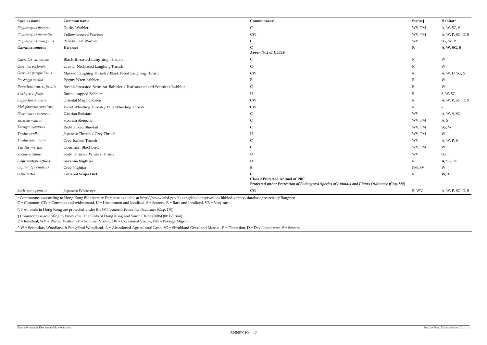| Species name            | Common name                                                                                                                                                                                                                                                                                | Commonness*                                                                                                                           | Status†                 | Habitat^                 |
|-------------------------|--------------------------------------------------------------------------------------------------------------------------------------------------------------------------------------------------------------------------------------------------------------------------------------------|---------------------------------------------------------------------------------------------------------------------------------------|-------------------------|--------------------------|
| Phylloscopus fuscatus   | Dusky Warbler                                                                                                                                                                                                                                                                              | $\mathsf{C}$                                                                                                                          | WV, PM                  | A, W, SG, S              |
| Phylloscopus inornatus  | Yellow-browed Warbler                                                                                                                                                                                                                                                                      | <b>CW</b>                                                                                                                             | WV, PM                  | A, W, P, SG, D, S        |
| Phylloscopus proregulus | Pallas's Leaf Warbler                                                                                                                                                                                                                                                                      | $\mathcal{C}$                                                                                                                         | <b>WV</b>               | SG, W, P                 |
| Garrulax canorus        | Hwamei                                                                                                                                                                                                                                                                                     |                                                                                                                                       | $\mathbf R$             | A, W, SG, S              |
|                         |                                                                                                                                                                                                                                                                                            | Appendix 2 of CITES                                                                                                                   |                         |                          |
| Garrulax chinensis      | Black-throated Laughing Thrush                                                                                                                                                                                                                                                             | C                                                                                                                                     | $\mathbb R$             | W                        |
| Garrulax pectoralis     | Greater Necklaced Laughing Thrush                                                                                                                                                                                                                                                          | $\mathsf C$                                                                                                                           | $\overline{\mathrm{R}}$ | W                        |
| Garrulax perspicillatus | Masked Laughing Thrush / Black Faced Laughing Thrush                                                                                                                                                                                                                                       | <b>CW</b>                                                                                                                             | $\mathbb{R}$            | A, W, D, SG, S           |
| Pnoepyga pusilla        | Pygmy Wren-babbler                                                                                                                                                                                                                                                                         | R                                                                                                                                     | $\mathbb{R}$            | W                        |
| Pomatorhinus ruficollis | Streak-breasted Scimitar Babbler / Rufous-necked Scimitar Babbler                                                                                                                                                                                                                          | C                                                                                                                                     | $\mathbb{R}$            | W                        |
| Stachyris ruficeps      | Rufous-capped Babbler                                                                                                                                                                                                                                                                      | U                                                                                                                                     | $\mathbb{R}$            | S, W, SG                 |
| Copsychus saularis      | Oriental Magpie Robin                                                                                                                                                                                                                                                                      | <b>CW</b>                                                                                                                             | $\mathbb{R}$            | A, W, P, SG, D, S        |
| Myiophoneus caeruleus   | Violet Whistling Thrush / Blue Whistling Thrush                                                                                                                                                                                                                                            | <b>CW</b>                                                                                                                             | $\mathbb{R}$            | $\overline{\phantom{0}}$ |
| Phoenicurus auroreus    | Daurian Redstart                                                                                                                                                                                                                                                                           | C                                                                                                                                     | <b>WV</b>               | A, W, S, SG              |
| Saxicola maurus         | Siberian Stonechat                                                                                                                                                                                                                                                                         | C                                                                                                                                     | WV, PM                  | A, S                     |
| Tarsiger cyanurus       | Red-flanked Blue-tail                                                                                                                                                                                                                                                                      | $\mathcal{C}$                                                                                                                         | WV, PM                  | SG, W                    |
| Turdus cardis           | Japanese Thrush / Grey Thrush                                                                                                                                                                                                                                                              | $\overline{1}$                                                                                                                        | WV, PM                  | W                        |
| Turdus hortulorum       | Grey-backed Thrush                                                                                                                                                                                                                                                                         | $\mathcal{C}$                                                                                                                         | <b>WV</b>               | A, W, P, S               |
| Turdus merula           | Common Blackbird                                                                                                                                                                                                                                                                           | $\mathcal{C}$                                                                                                                         | WV, PM                  | W                        |
| Zoothera dauma          | Scaly Thrush / White's Thrush                                                                                                                                                                                                                                                              | $\overline{1}$                                                                                                                        | <b>WV</b>               | SG                       |
| Caprimulgus affinis     | Savanna Nightjar                                                                                                                                                                                                                                                                           |                                                                                                                                       | $\mathbf R$             | A, SG, D                 |
| Caprimulgus indicus     | Grey Nightjar                                                                                                                                                                                                                                                                              |                                                                                                                                       | PM, SV                  | W                        |
| Otus lettia             | <b>Collared Scops Owl</b>                                                                                                                                                                                                                                                                  |                                                                                                                                       | $\mathbf R$             | W, A                     |
|                         |                                                                                                                                                                                                                                                                                            | <b>Class 2 Protected Animal of PRC</b><br>Protected under Protection of Endangered Species of Animals and Plants Ordinance (Cap. 586) |                         |                          |
| Zosterops japonicus     | Japanese White-eye                                                                                                                                                                                                                                                                         | <b>CW</b>                                                                                                                             | R, WV                   | A, W, P, SG, D, S        |
|                         | * Commonness according to Hong Kong Biodiversity Database available at http://www.afcd.gov.hk/english/conservation/hkbiodiversity/database/search.asp?lang=en<br>$C =$ Common, CW = Common and widespread, U = Uncommon and localised, S = Scarece, R = Rare and localized, VR = Very rare |                                                                                                                                       |                         |                          |
|                         | NB All birds in Hong Kong are protected under the Wild Animals Protection Ordinance (Cap. 170)                                                                                                                                                                                             |                                                                                                                                       |                         |                          |

† Commonness according to Viney *et al*. The Birds of Hong Kong and South China (2006) (8th Edition).

R = Resident, WV = Winter Visitor, SV = Summer Visitor, OV = Occasional Visitor, PM = Passage Migrant

^ W = Secondary Woodland & Fung Shui Woodland, A = Abandoned Agricultural Land, SG = Shrubland Grassland Mosaic , P = Plantation, D = Developed Area, S = Stream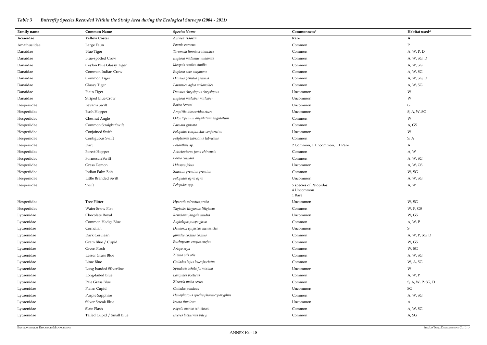# *Table 3 Butterfly Species Recorded Within the Study Area during the Ecological Surveys (2004 - 2011)*

| Family name  | <b>Common Name</b>        | <b>Species Name</b>                   | Commonness*                                     | Habitat used^       |
|--------------|---------------------------|---------------------------------------|-------------------------------------------------|---------------------|
| Acraeidae    | <b>Yellow Coster</b>      | Acraea issoria                        | Rare                                            | A                   |
| Amathusiidae | Large Faun                | Faunis eumeus                         | Common                                          | $\mathbf{P}$        |
| Danaidae     | <b>Blue Tiger</b>         | Tirumala limniace limniace            | Common                                          | A, W, P, D          |
| Danaidae     | <b>Blue-spotted Crow</b>  | Euploea midamus midamus               | Common                                          | A, W, SG, D         |
| Danaidae     | Ceylon Blue Glassy Tiger  | Ideopsis similis similis              | Common                                          | A, W, SG            |
| Danaidae     | Common Indian Crow        | Euploea core amymone                  | Common                                          | A, W, SG            |
| Danaidae     | Common Tiger              | Danaus genutia genutia                | Common                                          | A, W, SG, D         |
| Danaidae     | <b>Glassy Tiger</b>       | Parantica aglea melanoides            | Common                                          | A, W, SG            |
| Danaidae     | Plain Tiger               | Danaus chrysippus chrysippus          | Uncommon                                        | W                   |
| Danaidae     | <b>Striped Blue Crow</b>  | Euploea mulciber mulciber             | Uncommon                                        | W                   |
| Hesperiidae  | Bevan's Swift             | Borbo bevani                          | Uncommon                                        | G                   |
| Hesperiidae  | <b>Bush Hopper</b>        | Ampittia dioscorides etura            | Uncommon                                        | S, A, W, SG         |
| Hesperiidae  | Chesnut Angle             | Odontoptilum angulatum angulatum      | Common                                          | W                   |
| Hesperiidae  | Common Straight Swift     | Parnara guttata                       | Common                                          | A, GS               |
| Hesperiidae  | Conjoined Swift           | Pelopidas conjunctus conjunctus       | Uncommon                                        | W                   |
| Hesperiidae  | Contiguous Swift          | Polytremis lubricans lubricans        | Common                                          | S, A                |
| Hesperiidae  | Dart                      | Potanthus sp.                         | 2 Common, 1 Uncommon, 1 Rare                    | A                   |
| Hesperiidae  | Forest Hopper             | Astictopterus jama chinensis          | Common                                          | A, W                |
| Hesperiidae  | Formosan Swift            | Borbo cinnara                         | Common                                          | A, W, SG            |
| Hesperiidae  | Grass Demon               | Udaspes folus                         | Uncommon                                        | A, W, GS            |
| Hesperiidae  | Indian Palm Bob           | Suastus gremius gremius               | Common                                          | W, SG               |
| Hesperiidae  | Little Branded Swift      | Pelopidas agna agna                   | Uncommon                                        | A, W, SG            |
| Hesperiidae  | Swift                     | Pelopidas spp.                        | 5 species of Pelopidas:<br>4 Uncommon<br>1 Rare | A, W                |
| Hesperiidae  | <b>Tree Flitter</b>       | Hyarotis adrastus praba               | Uncommon                                        | W, SG               |
| Hesperiidae  | Water Snow Flat           | Tagiades litigiosus litigiosus        | Common                                          | W, P, GS            |
| Lycaenidae   | Chocolate Royal           | Remelana jangala mudra                | Uncommon                                        | W, GS               |
| Lycaenidae   | Common Hedge Blue         | Acytolepis puspa gisca                | Common                                          | A, W, P             |
| Lycaenidae   | Cornelian                 | Deudorix epijarbas menesicles         | Uncommon                                        | $S_{\mathcal{S}}$   |
| Lycaenidae   | Dark Cerulean             | Jamides bochus bochus                 | Common                                          | A, W, P, SG, D      |
| Lycaenidae   | Gram Blue / Cupid         | Euchrysops cnejus cnejus              | Common                                          | W, GS               |
| Lycaenidae   | Green Flash               | Artipe eryx                           | Common                                          | W, SG               |
| Lycaenidae   | Lesser Grass Blue         | Zizina otis otis                      | Common                                          | A, W, SG            |
| Lycaenidae   | Lime Blue                 | Chilades lajus leucofasciatus         | Common                                          | W, A, SG            |
| Lycaenidae   | Long-banded Silverline    | Spindasis lohita formosana            | Uncommon                                        | W                   |
| Lycaenidae   | Long-tailed Blue          | Lampides boeticus                     | Common                                          | A, W, P             |
| Lycaenidae   | Pale Grass Blue           | Zizeeria maha serica                  | Common                                          | S, A, W, P, SG, D   |
| Lycaenidae   | Plains Cupid              | Chilades pandava                      | Uncommon                                        | $\operatorname{SG}$ |
| Lycaenidae   | Purple Sapphire           | Heliophorous epicles phoenicoparyphus | Common                                          | A, W, SG            |
| Lycaenidae   | Silver Streak Blue        | Iraota timoleon                       | Uncommon                                        | A                   |
| Lycaenidae   | Slate Flash               | Rapala manea schistacea               | Common                                          | A, W, SG            |
| Lycaenidae   | Tailed Cupid / Small Blue | Everes lacturnus vileyi               | Common                                          | A, SG               |

| Habitat used^            |
|--------------------------|
| $\mathbf A$              |
| ${\bf P}$                |
| A, W, P, D               |
| A, W, SG, D              |
| A, W, SG                 |
| A, W, SG                 |
| A, W, SG, D              |
| A, W, SG                 |
| W                        |
| W                        |
| ${\bf G}$                |
| S, A, W, SG              |
| W                        |
| A, GS                    |
| ${\mathsf W}$            |
| S, A                     |
| A                        |
| A, W                     |
| A, W, SG                 |
| A, W, GS                 |
| W, SG                    |
| A, W, SG                 |
| A, W                     |
|                          |
| W, SG                    |
| W, P, GS                 |
| $\mathsf{W}$ , GS        |
| A, $W, P$                |
| $\mathbf S$              |
| A, W, P, SG, D           |
| W, GS                    |
| W, SG                    |
| A, W, SG                 |
| W, A, SG                 |
| W                        |
| A, W, P                  |
| S, A, W, P, SG, D        |
| $\mathcal{S}\mathcal{G}$ |
| A, W, SG                 |
| A                        |
| A, W, SG                 |
| A, SG                    |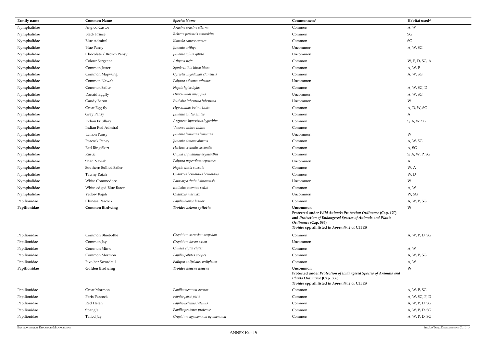| Family name  | <b>Common Name</b>      | <b>Species Name</b>           | Commonness*                                                                                                                                                                                                     | Habitat used^            |
|--------------|-------------------------|-------------------------------|-----------------------------------------------------------------------------------------------------------------------------------------------------------------------------------------------------------------|--------------------------|
| Nymphalidae  | Angled Castor           | Ariadne ariadne alterna       | Common                                                                                                                                                                                                          | A, W                     |
| Nymphalidae  | <b>Black Prince</b>     | Rohana parisatis staurakius   | Common                                                                                                                                                                                                          | $\mathcal{S}\mathcal{G}$ |
| Nymphalidae  | <b>Blue Admiral</b>     | Kaniska canace canace         | Common                                                                                                                                                                                                          | $\mathcal{S}\mathcal{G}$ |
| Nymphalidae  | <b>Blue Pansy</b>       | Junonia orithya               | Uncommon                                                                                                                                                                                                        | A, W, SG                 |
| Nymphalidae  | Chocolate / Brown Pansy | Junonia iphita iphita         | Uncommon                                                                                                                                                                                                        |                          |
| Nymphalidae  | Colour Sergeant         | Athyma nefte                  | Common                                                                                                                                                                                                          | W, P, D, SG, A           |
| Nymphalidae  | Common Jester           | Symbrenthia lilaea lilaea     | Common                                                                                                                                                                                                          | A, W, P                  |
| Nymphalidae  | Common Mapwing          | Cyrestis thyodamas chinensis  | Common                                                                                                                                                                                                          | A, W, SG                 |
| Nymphalidae  | Common Nawab            | Polyura athamas athamas       | Uncommon                                                                                                                                                                                                        |                          |
| Nymphalidae  | Common Sailer           | Neptis hylas hylas            | Common                                                                                                                                                                                                          | A, W, SG, D              |
| Nymphalidae  | Danaid Eggfly           | Hypolimnas misippus           | Uncommon                                                                                                                                                                                                        | A, W, SG                 |
| Nymphalidae  | Gaudy Baron             | Euthalia lubentina lubentina  | Uncommon                                                                                                                                                                                                        | W                        |
| Nymphalidae  | Great Egg-fly           | Hypolimnas bolina kezia       | Common                                                                                                                                                                                                          | A, D, W, SG              |
| Nymphalidae  | <b>Grey Pansy</b>       | Junonia atlites atlites       | Common                                                                                                                                                                                                          | $\mathbf{A}$             |
| Nymphalidae  | Indian Fritillary       | Argyreus hyperbius hyperbius  | Common                                                                                                                                                                                                          | S, A, W, SG              |
| Nymphalidae  | Indian Red Admiral      | Vanessa indica indica         | Common                                                                                                                                                                                                          |                          |
| Nymphalidae  | Lemon Pansy             | Junonia lemonias lemonias     | Uncommon                                                                                                                                                                                                        | W                        |
| Nymphalidae  | Peacock Pansy           | Junonia almana almana         | Common                                                                                                                                                                                                          | A, W, SG                 |
| Nymphalidae  | Red Ring Skirt          | Hestina assimilis assimilis   | Common                                                                                                                                                                                                          | A, SG                    |
| Nymphalidae  | Rustic                  | Cupha erymanthis erymanthis   | Common                                                                                                                                                                                                          | S, A, W, P, SG           |
| Nymphalidae  | Shan Nawab              | Polyura nepenthes nepenthes   | Uncommon                                                                                                                                                                                                        | A                        |
| Nymphalidae  | Southern Sullied Sailer | Neptis clinia susruta         | Common                                                                                                                                                                                                          | W, A                     |
| Nymphalidae  | Tawny Rajah             | Charaxes bernardus bernardus  | Common                                                                                                                                                                                                          | W, D                     |
| Nymphalidae  | <b>White Commodore</b>  | Parasarpa dudu hainanensis    | Uncommon                                                                                                                                                                                                        | W                        |
| Nymphalidae  | White-edged Blue Baron  | Euthalia phemius seitzi       | Common                                                                                                                                                                                                          | A, W                     |
| Nymphalidae  | Yellow Rajah            | Charaxes marmax               | Uncommon                                                                                                                                                                                                        | W, SG                    |
| Papilionidae | Chinese Peacock         | Papilio bianor bianor         | Common                                                                                                                                                                                                          | A, W, P, SG              |
| Papilionidae | <b>Common Birdwing</b>  | Troides helena spilotia       | Uncommon<br>Protected under Wild Animals Protection Ordinance (Cap. 170)<br>and Protection of Endangered Species of Animals and Plants<br>Ordinance (Cap. 586)<br>Troides spp all listed in Appendix 2 of CITES | W                        |
| Papilionidae | Common Bluebottle       | Graphium sarpedon sarpedon    | Common                                                                                                                                                                                                          | A, W, P, D, SG           |
| Papilionidae | Common Jay              | Graphium doson axion          | Uncommon                                                                                                                                                                                                        |                          |
| Papilionidae | Common Mime             | Chilasa clytia clytia         | Common                                                                                                                                                                                                          | A, W                     |
| Papilionidae | Common Mormon           | Papilio polytes polytes       | Common                                                                                                                                                                                                          | A, W, P, SG              |
| Papilionidae | Five-bar Swordtail      | Pathysa antiphates antiphates | Common                                                                                                                                                                                                          | A, W                     |
| Papilionidae | <b>Golden Birdwing</b>  | Troides aeacus aeacus         | Uncommon<br>Protected under Protection of Endangered Species of Animals and<br>Plants Ordinance (Cap. 586)<br>Troides spp all listed in Appendix 2 of CITES                                                     | W                        |
| Papilionidae | Great Mormon            | Papilio memnon agenor         | Common                                                                                                                                                                                                          | A, W, P, SG              |
| Papilionidae | Paris Peacock           | Papilio paris paris           | Common                                                                                                                                                                                                          | A, W, SG, P, D           |
| Papilionidae | Red Helen               | Papilio helenus helenus       | Common                                                                                                                                                                                                          | A, W, P, D, SG           |
| Papilionidae | Spangle                 | Papilio protenor protenor     | Common                                                                                                                                                                                                          | A, W, P, D, SG           |
| Papilionidae | Tailed Jay              | Graphium agamemnon agamemnon  | Common                                                                                                                                                                                                          | A, W, P, D, SG           |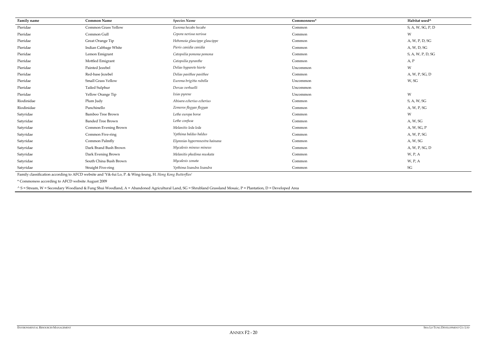| Family name | <b>Common Name</b>        | <b>Species Name</b>           | Commonness* | Habitat used^                                  |
|-------------|---------------------------|-------------------------------|-------------|------------------------------------------------|
| Pieridae    | Common Grass Yellow       | Eurema hecabe hecabe          | Common      | S, A, W, SG, P, D                              |
| Pieridae    | Common Gull               | Cepora nerissa nerissa        | Common      | W                                              |
| Pieridae    | Great Orange Tip          | Hebomoia glaucippe glaucippe  | Common      | A, W, P, D, SG                                 |
| Pieridae    | Indian Cabbage White      | Pieris canidia canidia        | Common      | A, W, D, SG                                    |
| Pieridae    | Lemon Emigrant            | Catopsilia pomona pomona      | Common      | S, A, W, P, D, SG                              |
| Pieridae    | Mottled Emigrant          | Catopsilia pyranthe           | Common      | A, P                                           |
| Pieridae    | Painted Jezebel           | Delias hyparete hierte        | Uncommon    | W                                              |
| Pieridae    | Red-base Jezebel          | Delias pasithoe pasithoe      | Common      | A, W, P, SG, D                                 |
| Pieridae    | Small Grass Yellow        | Eurema brigitta rubella       | Uncommon    | W, SG                                          |
| Pieridae    | Tailed Sulphur            | Dercas verhuelli              | Uncommon    |                                                |
| Pieridae    | Yellow Orange Tip         | Ixias pyrene                  | Uncommon    | W                                              |
| Riodinidae  | Plum Judy                 | Abisara echerius echerius     | Common      | $\mathsf{S},\mathsf{A},\mathsf{W},\mathsf{SG}$ |
| Riodinidae  | Punchinello               | Zemeros flegyas flegyas       | Common      | A, W, P, SG                                    |
| Satyridae   | Bamboo Tree Brown         | Lethe europa boroe            | Common      | W                                              |
| Satyridae   | <b>Banded Tree Brown</b>  | Lethe confusa                 | Common      | A, W, SG                                       |
| Satyridae   | Common Evening Brown      | Melanitis leda leda           | Common      | A, W, SG, P                                    |
| Satyridae   | Common Five-ring          | Ypthima baldus baldus         | Common      | A, W, P, SG                                    |
| Satyridae   | Common Palmfly            | Elymnias hypermnestra hainana | Common      | A, W, SG                                       |
| Satyridae   | Dark Brand Bush Brown     | Mycalesis mineus mineus       | Common      | A, W, P, SG, D                                 |
| Satyridae   | Dark Evening Brown        | Melanitis phedima muskata     | Common      | W, P, A                                        |
| Satyridae   | South China Bush Brown    | Mycalesis zonata              | Common      | W, P, A                                        |
| Satyridae   | <b>Straight Five-ring</b> | Ypthima lisandra lisandra     | Common      | $\mathcal{S}\mathcal{G}$                       |

Family classification according to AFCD website and 'Yik-fui Lo, P. & Wing-leung, H. *Hong Kong Butterflies*'

\* Commoness according to AFCD website August 2009

^ S = Stream, W = Secondary Woodland & Fung Shui Woodland, A = Abandoned Agricultural Land, SG = Shrubland Grassland Mosaic, P = Plantation, D = Developed Area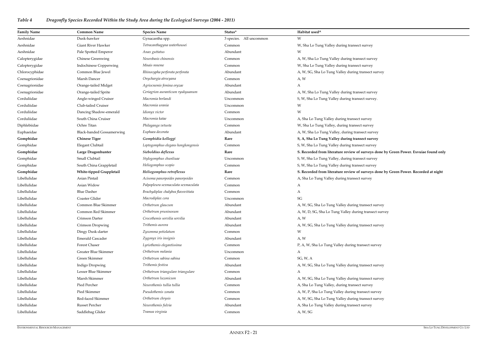# *Table 4 Dragonfly Species Recorded Within the Study Area during the Ecological Surveys (2004 - 2011)*

#### **Gomphidae Large Dragonhunter** *Sieboldius deflexus* **Rare S. Recorded from literature review of surveys done by Green Power. Exvuiae found only**

| W<br>Aeshnidae<br>Dusk-hawker<br>3 species. All uncommon<br>Gynacantha spp.<br>Tetracanthagyna waterhousei<br>Aeshnidae<br>Giant River Hawker<br>W, Sha Lo Tung Valley during transect survey<br>Common<br>Aeshnidae<br>Pale Spotted Emperor<br>Anax guttatus<br>Abundant<br>W<br>Neurobasis chinensis<br>Chinese Greenwing<br>A, W, Sha Lo Tung Valley during transect survey<br>Calopterygidae<br>Common<br><b>Indochinese Copperwing</b><br>Mnais mneme<br>W, Sha Lo Tung Valley during transect survey<br>Calopterygidae<br>Common<br>Common Blue Jewel<br>Chlorocyphidae<br>Rhinocypha perforata perforata<br>Abundant<br>A, W, SG, Sha Lo Tung Valley during transect survey<br>Marsh Dancer<br>Coenagrionidae<br>Onychargia atrocyana<br>A, W<br>Common<br>Orange-tailed Midget<br>Agriocnemis femina oryzae<br>Coenagrionidae<br>Abundant<br>A<br>Ceriagrion auranticum ryukyuanum<br>Abundant<br>A, W, Sha Lo Tung Valley during transect survey<br>Coenagrionidae<br>Orange-tailed Sprite<br>Corduliidae<br>Macromia berlandi<br>S, W, Sha Lo Tung Valley during transect survey.<br>Angle-winged Cruiser<br>Uncommon<br>Corduliidae<br>Macromia urania<br>Club-tailed Cruiser<br>Uncommon<br>W<br>W<br>Corduliidae<br>Dancing Shadow-emerald<br>Idionyx victor<br>Common<br>Corduliidae<br>South China Cruiser<br>Macromia katae<br>A, Sha Lo Tung Valley during transect survey<br>Uncommon<br>Ochre Titan<br>Diphlebiidae<br>Philaganga vetusta<br>W, Sha Lo Tung Valley, during transect survey<br>Common<br><b>Black-banded Gossamerwing</b><br>Euphaea decorata<br>Abundant<br>A, W, Sha Lo Tung Valley, during transect survey<br>Euphaeidae |  |
|---------------------------------------------------------------------------------------------------------------------------------------------------------------------------------------------------------------------------------------------------------------------------------------------------------------------------------------------------------------------------------------------------------------------------------------------------------------------------------------------------------------------------------------------------------------------------------------------------------------------------------------------------------------------------------------------------------------------------------------------------------------------------------------------------------------------------------------------------------------------------------------------------------------------------------------------------------------------------------------------------------------------------------------------------------------------------------------------------------------------------------------------------------------------------------------------------------------------------------------------------------------------------------------------------------------------------------------------------------------------------------------------------------------------------------------------------------------------------------------------------------------------------------------------------------------------------------------------------------------------------------------------------------------|--|
|                                                                                                                                                                                                                                                                                                                                                                                                                                                                                                                                                                                                                                                                                                                                                                                                                                                                                                                                                                                                                                                                                                                                                                                                                                                                                                                                                                                                                                                                                                                                                                                                                                                               |  |
|                                                                                                                                                                                                                                                                                                                                                                                                                                                                                                                                                                                                                                                                                                                                                                                                                                                                                                                                                                                                                                                                                                                                                                                                                                                                                                                                                                                                                                                                                                                                                                                                                                                               |  |
|                                                                                                                                                                                                                                                                                                                                                                                                                                                                                                                                                                                                                                                                                                                                                                                                                                                                                                                                                                                                                                                                                                                                                                                                                                                                                                                                                                                                                                                                                                                                                                                                                                                               |  |
|                                                                                                                                                                                                                                                                                                                                                                                                                                                                                                                                                                                                                                                                                                                                                                                                                                                                                                                                                                                                                                                                                                                                                                                                                                                                                                                                                                                                                                                                                                                                                                                                                                                               |  |
|                                                                                                                                                                                                                                                                                                                                                                                                                                                                                                                                                                                                                                                                                                                                                                                                                                                                                                                                                                                                                                                                                                                                                                                                                                                                                                                                                                                                                                                                                                                                                                                                                                                               |  |
|                                                                                                                                                                                                                                                                                                                                                                                                                                                                                                                                                                                                                                                                                                                                                                                                                                                                                                                                                                                                                                                                                                                                                                                                                                                                                                                                                                                                                                                                                                                                                                                                                                                               |  |
|                                                                                                                                                                                                                                                                                                                                                                                                                                                                                                                                                                                                                                                                                                                                                                                                                                                                                                                                                                                                                                                                                                                                                                                                                                                                                                                                                                                                                                                                                                                                                                                                                                                               |  |
|                                                                                                                                                                                                                                                                                                                                                                                                                                                                                                                                                                                                                                                                                                                                                                                                                                                                                                                                                                                                                                                                                                                                                                                                                                                                                                                                                                                                                                                                                                                                                                                                                                                               |  |
|                                                                                                                                                                                                                                                                                                                                                                                                                                                                                                                                                                                                                                                                                                                                                                                                                                                                                                                                                                                                                                                                                                                                                                                                                                                                                                                                                                                                                                                                                                                                                                                                                                                               |  |
|                                                                                                                                                                                                                                                                                                                                                                                                                                                                                                                                                                                                                                                                                                                                                                                                                                                                                                                                                                                                                                                                                                                                                                                                                                                                                                                                                                                                                                                                                                                                                                                                                                                               |  |
|                                                                                                                                                                                                                                                                                                                                                                                                                                                                                                                                                                                                                                                                                                                                                                                                                                                                                                                                                                                                                                                                                                                                                                                                                                                                                                                                                                                                                                                                                                                                                                                                                                                               |  |
|                                                                                                                                                                                                                                                                                                                                                                                                                                                                                                                                                                                                                                                                                                                                                                                                                                                                                                                                                                                                                                                                                                                                                                                                                                                                                                                                                                                                                                                                                                                                                                                                                                                               |  |
|                                                                                                                                                                                                                                                                                                                                                                                                                                                                                                                                                                                                                                                                                                                                                                                                                                                                                                                                                                                                                                                                                                                                                                                                                                                                                                                                                                                                                                                                                                                                                                                                                                                               |  |
|                                                                                                                                                                                                                                                                                                                                                                                                                                                                                                                                                                                                                                                                                                                                                                                                                                                                                                                                                                                                                                                                                                                                                                                                                                                                                                                                                                                                                                                                                                                                                                                                                                                               |  |
|                                                                                                                                                                                                                                                                                                                                                                                                                                                                                                                                                                                                                                                                                                                                                                                                                                                                                                                                                                                                                                                                                                                                                                                                                                                                                                                                                                                                                                                                                                                                                                                                                                                               |  |
| Gomphidae<br><b>Chinese Tiger</b><br>Gomphidia kelloggi<br>S, A, Sha Lo Tung Valley during transect survey<br>Rare                                                                                                                                                                                                                                                                                                                                                                                                                                                                                                                                                                                                                                                                                                                                                                                                                                                                                                                                                                                                                                                                                                                                                                                                                                                                                                                                                                                                                                                                                                                                            |  |
| Gomphidae<br>S, W, Sha Lo Tung Valley during transect survey<br>Elegant Clubtail<br>Leptogomphus elegans hongkongensis<br>Common                                                                                                                                                                                                                                                                                                                                                                                                                                                                                                                                                                                                                                                                                                                                                                                                                                                                                                                                                                                                                                                                                                                                                                                                                                                                                                                                                                                                                                                                                                                              |  |
| Gomphidae<br>Large Dragonhunter<br>Sieboldius deflexus<br>S. Recorded from literature review of surveys done by<br>Rare                                                                                                                                                                                                                                                                                                                                                                                                                                                                                                                                                                                                                                                                                                                                                                                                                                                                                                                                                                                                                                                                                                                                                                                                                                                                                                                                                                                                                                                                                                                                       |  |
| Small Clubtail<br>Gomphidae<br>Stylogomphus chunliuae<br>S, W, Sha Lo Tung Valley, during transect survey<br>Uncommon                                                                                                                                                                                                                                                                                                                                                                                                                                                                                                                                                                                                                                                                                                                                                                                                                                                                                                                                                                                                                                                                                                                                                                                                                                                                                                                                                                                                                                                                                                                                         |  |
| Gomphidae<br>South China Grappletail<br>Heliogomphus scopio<br>S, W, Sha Lo Tung Valley during transect survey<br>Common                                                                                                                                                                                                                                                                                                                                                                                                                                                                                                                                                                                                                                                                                                                                                                                                                                                                                                                                                                                                                                                                                                                                                                                                                                                                                                                                                                                                                                                                                                                                      |  |
| Gomphidae<br>White-tipped Grappletail<br>Heliogomphus retroflexus<br>S. Recorded from literature review of surveys done by<br>Rare                                                                                                                                                                                                                                                                                                                                                                                                                                                                                                                                                                                                                                                                                                                                                                                                                                                                                                                                                                                                                                                                                                                                                                                                                                                                                                                                                                                                                                                                                                                            |  |
| Libellulidae<br>Asian Pintail<br>Acisoma panorpoides panorpoides<br>A, Sha Lo Tung Valley during transect survey<br>Common                                                                                                                                                                                                                                                                                                                                                                                                                                                                                                                                                                                                                                                                                                                                                                                                                                                                                                                                                                                                                                                                                                                                                                                                                                                                                                                                                                                                                                                                                                                                    |  |
| Libellulidae<br>Asian Widow<br>Palpopleura sexmaculata sexmaculata<br>Common<br>A                                                                                                                                                                                                                                                                                                                                                                                                                                                                                                                                                                                                                                                                                                                                                                                                                                                                                                                                                                                                                                                                                                                                                                                                                                                                                                                                                                                                                                                                                                                                                                             |  |
| Libellulidae<br><b>Blue Dasher</b><br>Brachydiplax chalybea flavovittata<br>Common<br>A                                                                                                                                                                                                                                                                                                                                                                                                                                                                                                                                                                                                                                                                                                                                                                                                                                                                                                                                                                                                                                                                                                                                                                                                                                                                                                                                                                                                                                                                                                                                                                       |  |
| Libellulidae<br>Coaster Glider<br>SG<br>Macrodiplax cora<br>Uncommon                                                                                                                                                                                                                                                                                                                                                                                                                                                                                                                                                                                                                                                                                                                                                                                                                                                                                                                                                                                                                                                                                                                                                                                                                                                                                                                                                                                                                                                                                                                                                                                          |  |
| Common Blue Skimmer<br>Orthetrum glaucum<br>Libellulidae<br>Abundant<br>A, W, SG, Sha Lo Tung Valley during transect survey                                                                                                                                                                                                                                                                                                                                                                                                                                                                                                                                                                                                                                                                                                                                                                                                                                                                                                                                                                                                                                                                                                                                                                                                                                                                                                                                                                                                                                                                                                                                   |  |
| Libellulidae<br>Common Red Skimmer<br>Orthetrum pruninosum<br>Abundant<br>A, W, D, SG, Sha Lo Tung Valley during transect survey                                                                                                                                                                                                                                                                                                                                                                                                                                                                                                                                                                                                                                                                                                                                                                                                                                                                                                                                                                                                                                                                                                                                                                                                                                                                                                                                                                                                                                                                                                                              |  |
| Crimson Darter<br>Crocothemis servilia servilia<br>Libellulidae<br>Abundant<br>A, W                                                                                                                                                                                                                                                                                                                                                                                                                                                                                                                                                                                                                                                                                                                                                                                                                                                                                                                                                                                                                                                                                                                                                                                                                                                                                                                                                                                                                                                                                                                                                                           |  |
| Libellulidae<br>Trithemis aurora<br>Crimson Dropwing<br>Abundant<br>A, W, SG, Sha Lo Tung Valley during transect survey                                                                                                                                                                                                                                                                                                                                                                                                                                                                                                                                                                                                                                                                                                                                                                                                                                                                                                                                                                                                                                                                                                                                                                                                                                                                                                                                                                                                                                                                                                                                       |  |
| Libellulidae<br>Dingy Dusk-darter<br>Zyxomma petiolatum<br>W<br>Common                                                                                                                                                                                                                                                                                                                                                                                                                                                                                                                                                                                                                                                                                                                                                                                                                                                                                                                                                                                                                                                                                                                                                                                                                                                                                                                                                                                                                                                                                                                                                                                        |  |
| Libellulidae<br><b>Emerald Cascader</b><br>Zygonyx iris insignis<br>A, W<br>Abundant                                                                                                                                                                                                                                                                                                                                                                                                                                                                                                                                                                                                                                                                                                                                                                                                                                                                                                                                                                                                                                                                                                                                                                                                                                                                                                                                                                                                                                                                                                                                                                          |  |
| Libellulidae<br>Forest Chaser<br>Lyriothemis elegantissima<br>P, A, W, Sha Lo Tung Valley during transect survey<br>Common                                                                                                                                                                                                                                                                                                                                                                                                                                                                                                                                                                                                                                                                                                                                                                                                                                                                                                                                                                                                                                                                                                                                                                                                                                                                                                                                                                                                                                                                                                                                    |  |
| Greater Blue Skimmer<br>Libellulidae<br>Orthetrum melania<br>A<br>Uncommon                                                                                                                                                                                                                                                                                                                                                                                                                                                                                                                                                                                                                                                                                                                                                                                                                                                                                                                                                                                                                                                                                                                                                                                                                                                                                                                                                                                                                                                                                                                                                                                    |  |
| Orthetrum sabina sabina<br>Libellulidae<br>Green Skimmer<br>SG, W, A<br>Common                                                                                                                                                                                                                                                                                                                                                                                                                                                                                                                                                                                                                                                                                                                                                                                                                                                                                                                                                                                                                                                                                                                                                                                                                                                                                                                                                                                                                                                                                                                                                                                |  |
| Libellulidae<br>Indigo Dropwing<br>Trithemis festiva<br>Abundant<br>A, W, SG, Sha Lo Tung Valley during transect survey                                                                                                                                                                                                                                                                                                                                                                                                                                                                                                                                                                                                                                                                                                                                                                                                                                                                                                                                                                                                                                                                                                                                                                                                                                                                                                                                                                                                                                                                                                                                       |  |
| Libellulidae<br>Lesser Blue Skimmer<br>Orthetrum triangulare triangulare<br>Common<br>A                                                                                                                                                                                                                                                                                                                                                                                                                                                                                                                                                                                                                                                                                                                                                                                                                                                                                                                                                                                                                                                                                                                                                                                                                                                                                                                                                                                                                                                                                                                                                                       |  |
| Marsh Skimmer<br>Orthetrum luzonicum<br>Libellulidae<br>Abundant<br>A, W, SG, Sha Lo Tung Valley during transect survey                                                                                                                                                                                                                                                                                                                                                                                                                                                                                                                                                                                                                                                                                                                                                                                                                                                                                                                                                                                                                                                                                                                                                                                                                                                                                                                                                                                                                                                                                                                                       |  |
| Libellulidae<br>Pied Percher<br>Neurothemis tullia tullia<br>A, Sha Lo Tung Valley, during transect survey<br>Common                                                                                                                                                                                                                                                                                                                                                                                                                                                                                                                                                                                                                                                                                                                                                                                                                                                                                                                                                                                                                                                                                                                                                                                                                                                                                                                                                                                                                                                                                                                                          |  |
| Pied Skimmer<br>Pseudothemis zonata<br>Libellulidae<br>A, W, P, Sha Lo Tung Valley during transect survey<br>Common                                                                                                                                                                                                                                                                                                                                                                                                                                                                                                                                                                                                                                                                                                                                                                                                                                                                                                                                                                                                                                                                                                                                                                                                                                                                                                                                                                                                                                                                                                                                           |  |
| Libellulidae<br>Red-faced Skimmer<br>Orthetrum chrysis<br>Common<br>A, W, SG, Sha Lo Tung Valley during transect survey                                                                                                                                                                                                                                                                                                                                                                                                                                                                                                                                                                                                                                                                                                                                                                                                                                                                                                                                                                                                                                                                                                                                                                                                                                                                                                                                                                                                                                                                                                                                       |  |
| Libellulidae<br>Russet Percher<br>Neurothemis fulvia<br>Abundant<br>A, Sha Lo Tung Valley during transect survey                                                                                                                                                                                                                                                                                                                                                                                                                                                                                                                                                                                                                                                                                                                                                                                                                                                                                                                                                                                                                                                                                                                                                                                                                                                                                                                                                                                                                                                                                                                                              |  |
| Libellulidae<br>Tramea virginia<br>Saddlebag Glider<br>A, W, SG<br>Common                                                                                                                                                                                                                                                                                                                                                                                                                                                                                                                                                                                                                                                                                                                                                                                                                                                                                                                                                                                                                                                                                                                                                                                                                                                                                                                                                                                                                                                                                                                                                                                     |  |

# **Gomphidae White-tipped Grappletail** *Heliogomphus retroflexus* **Rare S. Recorded from literature review of surveys done by Green Power. Recorded at night**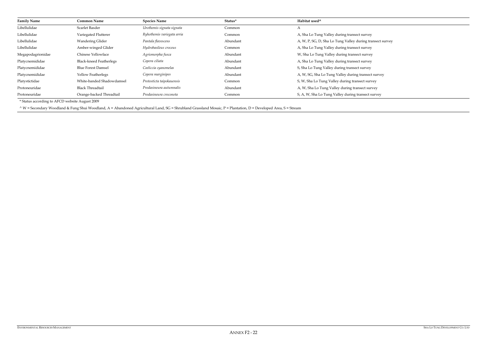| <b>Family Name</b> | <b>Common Name</b>             | <b>Species Name</b>        | Status*  | Habitat used <sup>^</sup>                                 |
|--------------------|--------------------------------|----------------------------|----------|-----------------------------------------------------------|
| Libellulidae       | Scarlet Basder                 | Urothemis signata signata  | Common   | A                                                         |
| Libellulidae       | Variegated Flutterer           | Ryhothemis variegata arria | Common   | A, Sha Lo Tung Valley during transect survey              |
| Libellulidae       | Wandering Glider               | Pantala flavescens         | Abundant | A, W, P, SG, D, Sha Lo Tung Valley during transect survey |
| Libellulidae       | Amber-winged Glider            | Hydrobasileus croceus      | Common   | A, Sha Lo Tung Valley during transect survey              |
| Megapodagrionidae  | Chinese Yellowface             | Agriomorpha fusca          | Abundant | W, Sha Lo Tung Valley during transect survey              |
| Platycnemididae    | <b>Black-kneed Featherlegs</b> | Copera ciliata             | Abundant | A, Sha Lo Tung Valley during transect survey              |
| Platycnemididae    | <b>Blue Forest Damsel</b>      | Coeliccia cyanomelas       | Abundant | S, Sha Lo Tung Valley during transect survey              |
| Platycnemididae    | Yellow Featherlegs             | Copera marginipes          | Abundant | A, W, SG, Sha Lo Tung Valley during transect survey       |
| Platystictidae     | White-banded Shadowdamsel      | Protosticta taipokauensis  | Common   | S, W, Sha Lo Tung Valley during transect survey           |
| Protoneuridae      | <b>Black Threadtail</b>        | Prodasineura autumnalis    | Abundant | A, W, Sha Lo Tung Valley during transect survey           |
| Protoneuridae      | Orange-backed Threadtail       | Prodasineura croconota     | Common   | S, A, W, Sha Lo Tung Valley during transect survey        |

\* Status according to AFCD website August 2009

^ W = Secondary Woodland & Fung Shui Woodland, A = Abandoned Agricultural Land, SG = Shrubland Grassland Mosaic, P = Plantation, D = Developed Area, S = Stream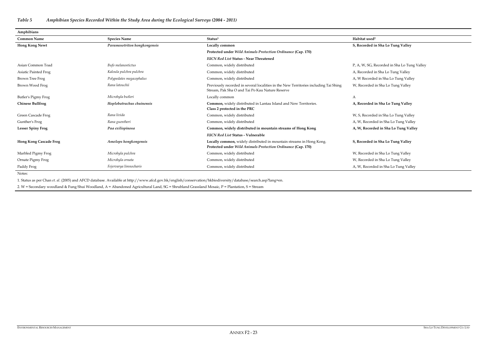*Table 5 Amphibian Species Recorded Within the Study Area during the Ecological Surveys (2004 - 2011)* 

Asian Common Toad *Bufo melanostictus* Common, widely distributed P, A, W, SG, Recorded in Sha Lo Tung Valley ded in Sha Lo Tung Valley Brown Tree Frog *Polypedates megacephalus* Common, widely distributed A, W Recorded in Sha Lo Tung Valley rded in Sha Lo Tung Valley

### **S, Recorded in Sha Lo Tung Valley**

corded in Sha Lo Tung Valley ecorded in Sha Lo Tung Valley **A, W, Recorded in Sha Lo Tung Valley** 

| Amphibians                    |                              |                                                                                                                                         |                           |
|-------------------------------|------------------------------|-----------------------------------------------------------------------------------------------------------------------------------------|---------------------------|
| <b>Common Name</b>            | <b>Species Name</b>          | Status <sup>1</sup>                                                                                                                     | Habitat used <sup>2</sup> |
| <b>Hong Kong Newt</b>         | Paramesotriton hongkongensis | Locally common                                                                                                                          | S, Recorded i             |
|                               |                              | Protected under Wild Animals Protection Ordinance (Cap. 170)                                                                            |                           |
|                               |                              | <b>IUCN Red List Status - Near Threatened</b>                                                                                           |                           |
| Asian Common Toad             | Bufo melanostictus           | Common, widely distributed                                                                                                              | P, A, W, SG, F            |
| Asiatic Painted Frog          | Kaloula pulchra pulchra      | Common, widely distributed                                                                                                              | A, Recorded i             |
| <b>Brown Tree Frog</b>        | Polypedates megacephalus     | Common, widely distributed                                                                                                              | A, W Recorde              |
| Brown Wood Frog               | Rana latouchii               | Previously recorded in several localities in the New Territories including Tai Shing<br>Stream, Pak Sha O and Tai Po Kau Nature Reserve | W, Recorded i             |
| Butler's Pigmy Frog           | Microhyla butleri            | Locally common                                                                                                                          | A                         |
| <b>Chinese Bullfrog</b>       | Hoplobatrachus chuinensis    | Common, widely distributed in Lantau Island and New Territories.<br>Class 2 protected in the PRC                                        | A, Recorded i             |
| Green Cascade Frog            | Rana livida                  | Common, widely distributed                                                                                                              | W, S, Recorde             |
| Gunther's Frog                | Rana guentheri               | Common, widely distributed                                                                                                              | A, W, Recorde             |
| <b>Lesser Spiny Frog</b>      | Paa exilispinosa             | Common, widely distributed in mountain streams of Hong Kong                                                                             | A, W, Record              |
|                               |                              | <b>IUCN Red List Status - Vulnerable</b>                                                                                                |                           |
| <b>Hong Kong Cascade Frog</b> | Amolops hongkongensis        | Locally common, widely distributed in mountain streams in Hong Kong.<br>Protected under Wild Animals Protection Ordinance (Cap. 170)    | S, Recorded i             |
| Marbled Pigmy Frog            | Microhyla pulchra            | Common, widely distributed                                                                                                              | W, Recorded               |
| Ornate Pigmy Frog             | Microhyla ornata             | Common, widely distributed                                                                                                              | W, Recorded i             |
| Paddy Frog                    | Fejervarya limnocharis       | Common, widely distributed                                                                                                              | A, W, Recorde             |

rded in Sha Lo Tung Valley rded in Sha Lo Tung Valley Paddy Frog *Fejervarya limnocharis* Common, widely distributed A, W, Recorded in Sha Lo Tung Valley

## **A, Recorded in Sha Lo Tung Valley**

## **S, Recorded in Sha Lo Tung Valley**

Notes:

1. Status as per Chan *et. al*. (2005) and AFCD database. Available at http://www.afcd.gov.hk/english/conservation/hkbiodiversity/database/search.asp?lang=en.

2. W = Secondary woodland & Fung Shui Woodland, A = Abandoned Agricultural Land, SG = Shrubland Grassland Mosaic, P = Plantation, S = Stream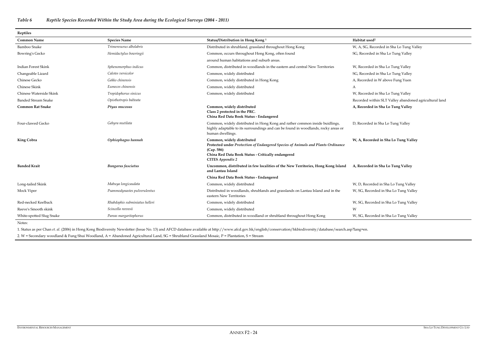Recorded in Sha Lo Tung Valley rded in Sha Lo Tung Valley

rded in Sha Lo Tung Valley rded in Sha Lo Tung Valley ded in W above Fung Yuen<sup>,</sup>

## *Table 6 Reptile Species Recorded Within the Study Area during the Ecological Surveys (2004 - 2011)*

**Reptiles** 

rded in Sha Lo Tung Valley Banded Stream Snake *Opisthotropis balteata* Recorded within SLT Valley abandoned agricultural land **A, Recorded in Sha Lo Tung Valley** 

ded in Sha Lo Tung Valley

Long-tailed Skink *Mabuya longicaudata* Common, widely distributed W, D, Recorded in Sha Lo Tung Valley ecorded in Sha Lo Tung Valley

ecorded in Sha Lo Tung Valley

ecorded in Sha Lo Tung Valley

| repures                    |                                |                                                                                                                                                                                                               |                           |  |
|----------------------------|--------------------------------|---------------------------------------------------------------------------------------------------------------------------------------------------------------------------------------------------------------|---------------------------|--|
| <b>Common Name</b>         | <b>Species Name</b>            | Status/Distribution in Hong Kong <sup>1</sup>                                                                                                                                                                 | Habitat used <sup>2</sup> |  |
| Bamboo Snake               | Trimeresurus albolabris        | Distributed in shrubland, grassland throughout Hong Kong                                                                                                                                                      | W, A, SG, Rec             |  |
| Bowring's Gecko            | Hemidactylus bowringii         | Common, occurs throughout Hong Kong, often found                                                                                                                                                              | SG, Recorded              |  |
|                            |                                | around human habitations and suburb areas.                                                                                                                                                                    |                           |  |
| Indian Forest Skink        | Sphenomorphus indicus          | Common, distributed in woodlands in the eastern and central New Territories                                                                                                                                   | W, Recorded               |  |
| Changeable Lizard          | Calotes versicolor             | Common, widely distributed                                                                                                                                                                                    | SG, Recorded              |  |
| Chinese Gecko              | Gekko chinensis                | Common, widely distributed in Hong Kong                                                                                                                                                                       | A, Recorded i             |  |
| Chinese Skink              | Eumeces chinensis              | Common, widely distributed                                                                                                                                                                                    | A                         |  |
| Chinese Waterside Skink    | Tropidophorus sinicus          | Common, widely distributed                                                                                                                                                                                    | W, Recorded               |  |
| <b>Banded Stream Snake</b> | Opisthotropis balteata         |                                                                                                                                                                                                               | Recorded witl             |  |
| <b>Common Rat Snake</b>    | Ptyas mucosus                  | Common, widely distributed<br>Class 2 protected in the PRC.<br>China Red Data Book Status - Endangered                                                                                                        | A, Recorded i             |  |
| Four-clawed Gecko          | Gehyra mutilata                | Common, widely distributed in Hong Kong and rather common inside buidlings,<br>highly adaptable to its surroundings and can be found in woodlands, rocky areas or<br>human dwellings.                         | D, Recorded i             |  |
| <b>King Cobra</b>          | Ophiophagus hannah             | Common, widely distributed<br>Protected under Protection of Endangered Species of Animals and Plants Ordinance<br>(Cap. 586)<br>China Red Data Book Status - Critically endangered<br><b>CITES Appendix 2</b> | W, A, Record              |  |
| <b>Banded Krait</b>        | <b>Bungarus</b> fasciatus      | Uncommon, distributed in few localities of the New Territories, Hong Kong Island<br>and Lantau Island                                                                                                         | A, Recorded i             |  |
|                            |                                | China Red Data Book Status - Endangered                                                                                                                                                                       |                           |  |
| Long-tailed Skink          | Mabuya longicaudata            | Common, widely distributed                                                                                                                                                                                    | W, D, Recorde             |  |
| Mock Viper                 | Psammodynastes pulverulentus   | Distributed in woodlands, shrublands and grasslands on Lantau Island and in the<br>eastern New Territories                                                                                                    | W, SG, Record             |  |
| Red-necked Keelback        | Rhabdophis subminiatus helleri | Common, widely distributed                                                                                                                                                                                    | W, SG, Record             |  |
| Reeve's Smooth skink       | Scincella reevesii             | Common, widely distributed                                                                                                                                                                                    | W                         |  |
| White-spotted Slug Snake   | Pareas margaritophorus         | Common, distributed in woodland or shrubland throughout Hong Kong                                                                                                                                             | W, SG, Record             |  |
|                            |                                |                                                                                                                                                                                                               |                           |  |

#### **W, A, Recorded in Sha Lo Tung Valley**

### **A, Recorded in Sha Lo Tung Valley**

Notes:

1. Status as per Chan *et. al*. (2006) in Hong Kong Biodiversity Newsletter (Issue No. 13) and AFCD database available at http://www.afcd.gov.hk/english/conservation/hkbiodiversity/database/search.asp?lang=en. 2. W = Secondary woodland & Fung Shui Woodland, A = Abandoned Agricultural Land, SG = Shrubland Grassland Mosaic, P = Plantation, S = Stream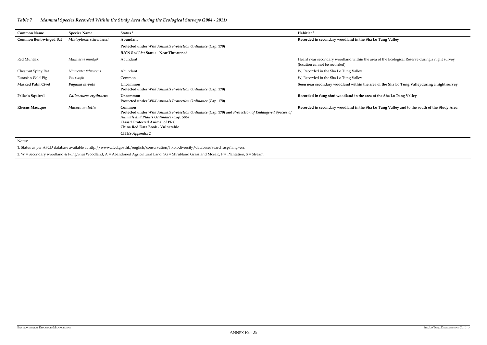## **Recorded in secondary woodland in the Sha Lo Tung Valley**

e area of the Ecological Reserve during a night survey

**Per area of the Sha Lo Tung Valleyduring a night survey** 

rea of the Sha Lo Tung Valley

**Requise in a Kecola in secondary Sha Lo Tung Valley and to the south of the Study Area** 

| <b>Common Name</b>            | <b>Species Name</b>      | Status <sup>1</sup>                                                                                                                                                                                                                                         | Habitiat <sup>2</sup>                                                     |
|-------------------------------|--------------------------|-------------------------------------------------------------------------------------------------------------------------------------------------------------------------------------------------------------------------------------------------------------|---------------------------------------------------------------------------|
| <b>Common Bent-winged Bat</b> | Miniopterus schreibersii | Abundant                                                                                                                                                                                                                                                    | Recorded in secondary woodland in the S.                                  |
|                               |                          | Protected under Wild Animals Protection Ordinance (Cap. 170)                                                                                                                                                                                                |                                                                           |
|                               |                          | <b>IUCN Red List Status - Near Threatened</b>                                                                                                                                                                                                               |                                                                           |
| Red Muntjak                   | Muntiacus muntjak        | Abundant                                                                                                                                                                                                                                                    | Heard near secondary woodland within the<br>(location cannot be recorded) |
| Chestnut Spiny Rat            | Niviventer fulvescens    | Abundant                                                                                                                                                                                                                                                    | W, Recorded in the Sha Lo Tung Valley                                     |
| Eurasian Wild Pig             | Sus scrofa               | Common                                                                                                                                                                                                                                                      | W, Recorded in the Sha Lo Tung Valley                                     |
| <b>Masked Palm Civet</b>      | Paguma larvata           | Uncommon<br>Protected under Wild Animals Protection Ordinance (Cap. 170)                                                                                                                                                                                    | Seen near secondary woodland within the                                   |
| Pallas's Squirrel             | Callosciurus erythraeus  | Uncommon<br>Protected under Wild Animals Protection Ordinance (Cap. 170)                                                                                                                                                                                    | Recorded in fung shui woodland in the ar                                  |
| <b>Rhesus Macaque</b>         | Macaca mulatta           | Common<br>Protected under Wild Animals Protection Ordinance (Cap. 170) and Protection of Endangered Species of<br>Animals and Plants Ordinance (Cap. 586)<br>Class 2 Protected Animal of PRC<br>China Red Data Book - Vulnerable<br><b>CITES Appendix 2</b> | Recorded in secondary woodland in the S.                                  |

Notes:

1. Status as per AFCD database available at http://www.afcd.gov.hk/english/conservation/hkbiodiversity/database/search.asp?lang=en.

2. W = Secondary woodland & Fung Shui Woodland, A = Abandoned Agricultural Land, SG = Shrubland Grassland Mosaic, P = Plantation, S = Stream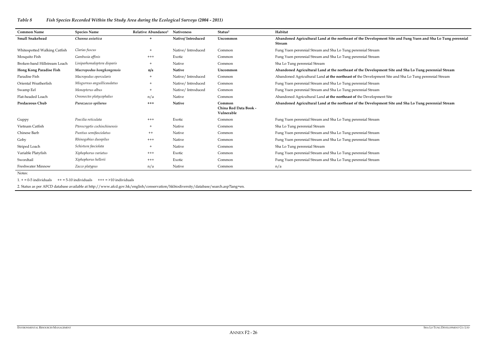## **Suare Somall Snake Interpretate** <br> **Suare Interpretate Interpretate Agricultural Agricultural at the Interpretate Agricultural Agricultural Agricultural Development Site and Fung Perennial**  $\overline{\phantom{a}}$

- 
- 

## *Table 8 Fish Species Recorded Within the Study Area during the Ecological Surveys (2004 - 2011)*

#### **Hong Kong Paradise Fish** *Macropodus hongkongensis* **n/a Native Uncommon Abandoned Agricultural Land at the northeast of the Development Site and Sha Lo Tung perennial Stream**

- Paradise Fish *Macropodus opercularis* + Native/ Introduced Common Abandoned Agricultural Land **at the northeast of** the Development Site and Sha Lo Tung perennial Stream
- 
- 
- 

#### **Abandon Development Site and Sha Lo Tung perennial Stream**

- 
- 
- 
- 
- 

| <b>Common Name</b>             | <b>Species Name</b>          | Relative Abundance <sup>1</sup> | <b>Nativeness</b> | Status <sup>2</sup>                           | Habitat                                                                       |
|--------------------------------|------------------------------|---------------------------------|-------------------|-----------------------------------------------|-------------------------------------------------------------------------------|
| <b>Small Snakehead</b>         | Channa asiatica              | $+$                             | Native/Introduced | <b>Uncommon</b>                               | Abandoned Agricultural Land at the northeast of the Development Sit<br>Stream |
| Whitespotted Walking Catfish   | Clarias fuscus               | $+$                             | Native/Introduced | Common                                        | Fung Yuen perennial Stream and Sha Lo Tung perennial Stream                   |
| Mosquito Fish                  | Gambusia affinis             | $^{+++}$                        | Exotic            | Common                                        | Fung Yuen perennial Stream and Sha Lo Tung perennial Stream                   |
| Broken-band Hillstream Loach   | Liniparhomaloptera disparis  | $^{+}$                          | Native            | Common                                        | Sha Lo Tung perennial Stream                                                  |
| <b>Hong Kong Paradise Fish</b> | Macropodus hongkongensis     | n/a                             | <b>Native</b>     | Uncommon                                      | Abandoned Agricultural Land at the northeast of the Development Sit           |
| Paradise Fish                  | Macropodus opercularis       |                                 | Native/Introduced | Common                                        | Abandoned Agricultural Land at the northeast of the Development Site          |
| Oriental Weatherfish           | Misgurnus anguillicaudatus   | $^{+}$                          | Native/Introduced | Common                                        | Fung Yuen perennial Stream and Sha Lo Tung perennial Stream                   |
| Swamp Eel                      | Monopterus albus             | $+$                             | Native/Introduced | Common                                        | Fung Yuen perennial Stream and Sha Lo Tung perennial Stream                   |
| Flat-headed Loach              | Oreonectes platycephalus     | n/a                             | Native            | Common                                        | Abandoned Agricultural Land at the northeast of the Development Site          |
| <b>Predaceous Chub</b>         | Parazacco spilurus           | $^{+++}$                        | <b>Native</b>     | Common<br>China Red Data Book -<br>Vulnerable | Abandoned Agricultural Land at the northeast of the Development Sit           |
| Guppy                          | Poecilia reticulata          | $^{+++}$                        | Exotic            | Common                                        | Fung Yuen perennial Stream and Sha Lo Tung perennial Stream                   |
| Vietnam Catfish                | Pterocryptis cochinchinensis | $^{+}$                          | Native            | Common                                        | Sha Lo Tung perennial Stream                                                  |
| Chinese Barb                   | Puntius semifasciolatus      | $^{++}$                         | Native            | Common                                        | Fung Yuen perennial Stream and Sha Lo Tung perennial Stream                   |
| Goby                           | Rhinogobius duospilus        | $^{+++}$                        | Native            | Common                                        | Fung Yuen perennial Stream and Sha Lo Tung perennial Stream                   |
| Striped Loach                  | Schistura fasciolata         | $^{+}$                          | Native            | Common                                        | Sha Lo Tung perennial Stream                                                  |
| Variable Platyfish             | Xiphophorus variatus         | $^{+++}$                        | Exotic            | Common                                        | Fung Yuen perennial Stream and Sha Lo Tung perennial Stream                   |
| Swordtail                      | Xiphophorus hellerii         | $+++$                           | Exotic            | Common                                        | Fung Yuen perennial Stream and Sha Lo Tung perennial Stream                   |
| Freshwater Minnow              | Zacco platypus               | n/a                             | Native            | Common                                        | n/a                                                                           |

Notes:

 $1. + = 0.5$  individuals  $++ = 5.10$  individuals  $++ = 5.10$  individuals

2. Status as per AFCD database available at http://www.afcd.gov.hk/english/conservation/hkbiodiversity/database/search.asp?lang=en.